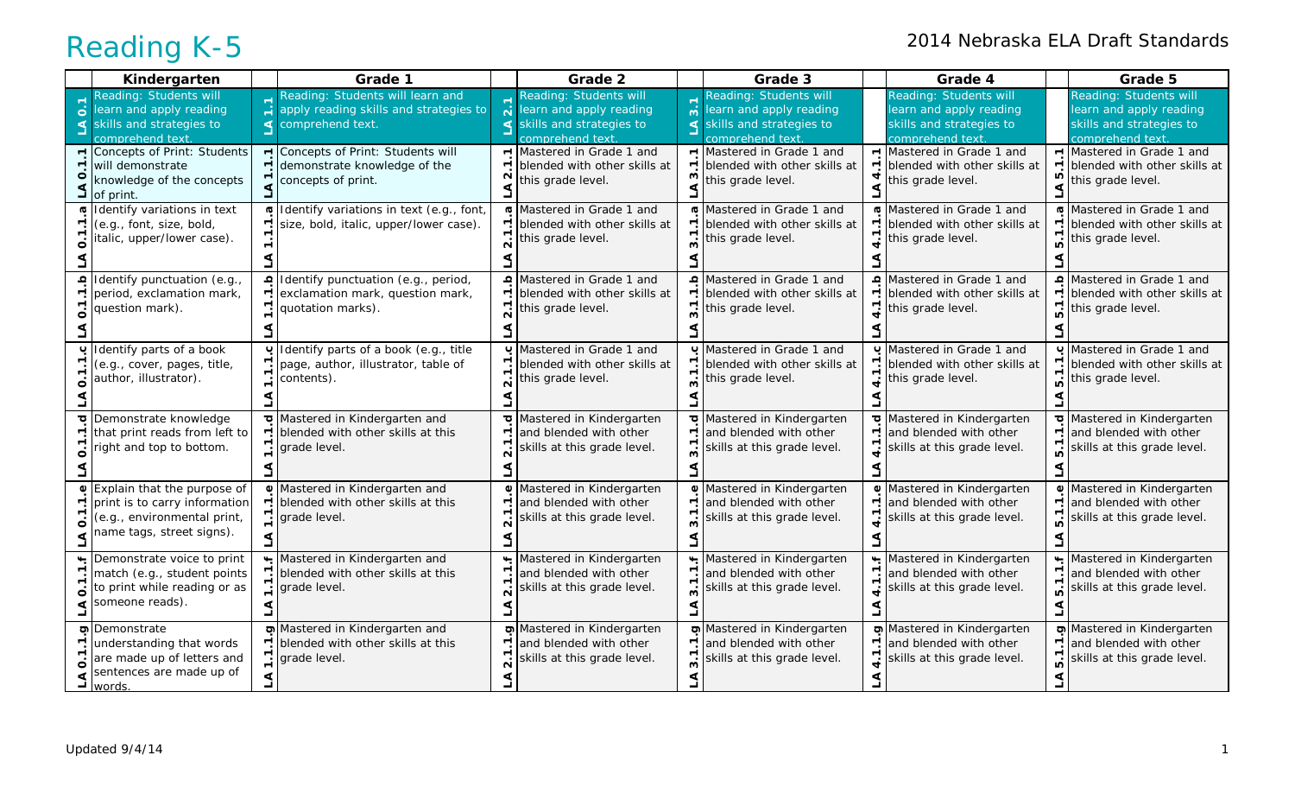|                          | Kindergarten                                                                                                                      |                                  | Grade 1                                                                                                             |                                                 | Grade 2                                                                                          |                          | Grade 3                                                                                            |                                           | Grade 4                                                                                            |                          | Grade 5                                                                                           |
|--------------------------|-----------------------------------------------------------------------------------------------------------------------------------|----------------------------------|---------------------------------------------------------------------------------------------------------------------|-------------------------------------------------|--------------------------------------------------------------------------------------------------|--------------------------|----------------------------------------------------------------------------------------------------|-------------------------------------------|----------------------------------------------------------------------------------------------------|--------------------------|---------------------------------------------------------------------------------------------------|
| $\overline{0}$           | Reading: Students will<br>learn and apply reading<br>skills and strategies to<br>comprehend text                                  | $\div$                           | Reading: Students will learn and<br>apply reading skills and strategies to<br>$\triangleleft$ comprehend text.      | $\overline{\mathbf{N}}$<br>$\blacktriangleleft$ | Reading: Students will<br>learn and apply reading<br>skills and strategies to<br>comprehend text | $\overline{m}$<br>$\leq$ | Reading: Students will<br>learn and apply reading<br>skills and strategies to<br>comprehend text   |                                           | Reading: Students will<br>learn and apply reading<br>skills and strategies to<br>comprehend text   |                          | Reading: Students will<br>learn and apply reading<br>skills and strategies to<br>comprehend text. |
|                          | Concepts of Print: Students<br>will demonstrate<br>knowledge of the concepts<br>of print.                                         | ٣.                               | Concepts of Print: Students will<br>demonstrate knowledge of the<br>concepts of print.                              | $\overline{\phantom{0}}$<br>$\mathbf{\Omega}$   | Mastered in Grade 1 and<br>blended with other skills at<br>this grade level.                     | ო                        | $\blacktriangleright$ Mastered in Grade 1 and<br>blended with other skills at<br>this grade level. | $\blacktriangledown$                      | $\blacktriangleright$ Mastered in Grade 1 and<br>blended with other skills at<br>this grade level. | ю                        | $\lceil$ Mastered in Grade 1 and<br>blended with other skills at<br>this grade level.             |
|                          | Identify variations in text<br>(e.g., font, size, bold,<br>italic, upper/lower case).                                             | ত্<br>٣.<br>$\blacktriangledown$ | Identify variations in text (e.g., font,<br>size, bold, italic, upper/lower case).                                  | G<br>$\overline{\phantom{0}}$                   | Mastered in Grade 1 and<br>blended with other skills at<br>this grade level.                     |                          | Mastered in Grade 1 and<br>blended with other skills at<br>this grade level.                       | $\overline{\phantom{0}}$<br>$\frac{7}{4}$ | Mastered in Grade 1 and<br>blended with other skills at<br>this grade level.                       |                          | Mastered in Grade 1 and<br>r. blended with other skills at<br>this grade level.                   |
|                          | punctuation (e.g.,<br>period, exclamation mark,<br>question mark).                                                                |                                  | Identify punctuation (e.g., period,<br>exclamation mark, question mark,<br>quotation marks).                        | $\Omega$<br>$\mathbf{\Omega}$                   | Mastered in Grade 1 and<br>blended with other skills at<br>this grade level.                     |                          | Mastered in Grade 1 and<br>blended with other skills at<br>this grade level.                       |                                           | Mastered in Grade 1 and<br>blended with other skills at<br>this grade level.                       |                          | Mastered in Grade 1 and<br>blended with other skills at<br>this grade level.                      |
| ပ                        | Identify parts of a book<br>(e.g., cover, pages, title,<br>author, illustrator).                                                  | ٣.<br>٣                          | Identify parts of a book (e.g., title<br>page, author, illustrator, table of<br>contents).                          | ပ<br>↽.                                         | Mastered in Grade 1 and<br>blended with other skills at<br>this grade level.                     |                          | Mastered in Grade 1 and<br>blended with other skills at<br>this grade level.                       |                                           | Mastered in Grade 1 and<br>blended with other skills at<br>this grade level.                       |                          | U Mastered in Grade 1 and<br>blended with other skills at<br>this grade level.                    |
| $\overline{\phantom{a}}$ | Demonstrate knowledge<br>that print reads from left to<br>right and top to bottom.                                                | Γ.                               | $\sigma$ Mastered in Kindergarten and<br>$\overline{\phantom{a}}$ blended with other skills at this<br>grade level. | ਹ<br>$\blacktriangledown$                       | Mastered in Kindergarten<br>and blended with other<br>skills at this grade level.                | $\overline{\phantom{0}}$ | Mastered in Kindergarten<br>and blended with other<br>skills at this grade level.                  | ٣,                                        | Mastered in Kindergarten<br>and blended with other<br>skills at this grade level.                  | $\overline{\phantom{0}}$ | Mastered in Kindergarten<br>and blended with other<br>skills at this grade level.                 |
|                          | <b>↓</b> Explain that the purpose of<br>print is to carry information<br>(e.g., environmental print,<br>name tags, street signs). | ᠵᢩ                               | ■ Mastered in Kindergarten and<br>blended with other skills at this<br>grade level.                                 | $\mathbf 0$<br>$\dot{\mathsf{n}}$               | Mastered in Kindergarten<br>and blended with other<br>skills at this grade level.                |                          | <b>■</b> Mastered in Kindergarten<br>and blended with other<br>skills at this grade level.         | ٣.                                        | <b>■</b> Mastered in Kindergarten<br>and blended with other<br>skills at this grade level.         |                          | <b>■</b> Mastered in Kindergarten<br>and blended with other<br>skills at this grade level.        |
|                          | Demonstrate voice to print<br>match (e.g., student points<br>to print while reading or as<br>someone reads).                      |                                  | Mastered in Kindergarten and<br>r. blended with other skills at this<br>grade level.                                | $\overline{\mathbf{N}}$                         | Mastered in Kindergarten<br>and blended with other<br>skills at this grade level.                |                          | Mastered in Kindergarten<br>and blended with other<br>skills at this grade level.                  | ⊤.                                        | Mastered in Kindergarten<br>and blended with other<br>skills at this grade level.                  |                          | Mastered in Kindergarten<br>and blended with other<br>skills at this grade level.                 |
|                          | Demonstrate<br>understanding that words<br>are made up of letters and<br>sentences are made up of<br>words.                       |                                  | Mastered in Kindergarten and<br>blended with other skills at this<br>grade level.                                   |                                                 | Mastered in Kindergarten<br>and blended with other<br>skills at this grade level.                |                          | Mastered in Kindergarten<br>and blended with other<br>skills at this grade level.                  |                                           | Mastered in Kindergarten<br>and blended with other<br>skills at this grade level.                  |                          | Mastered in Kindergarten<br>and blended with other<br>skills at this grade level.                 |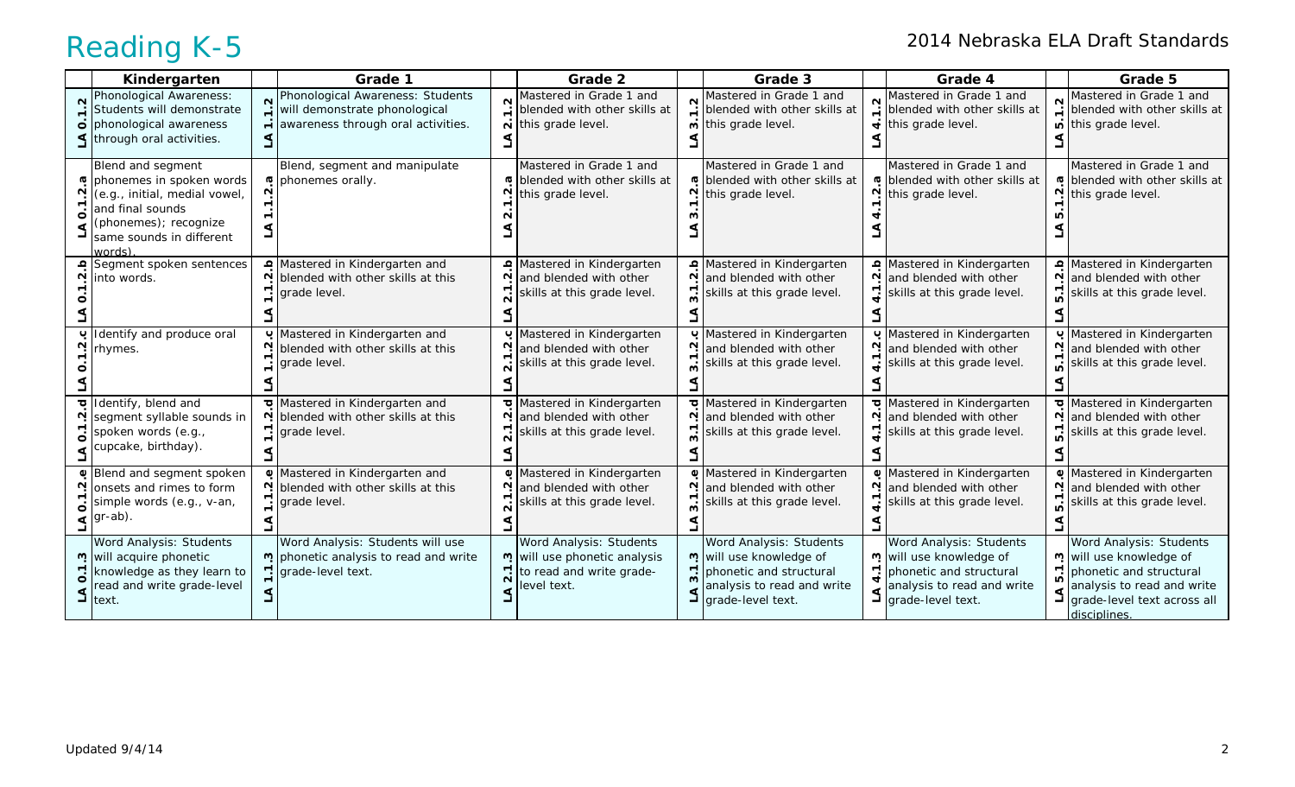|               | Kindergarten                                                                                                                                                                                                                                                                                                                                                                                                                                                                                                                                                                                                                                                                                                                                                                                                                                                                                                         |                                                | Grade 1                                                                                                        |              | Grade 2                                                                                           |        | Grade 3                                                                                                                                       |   | Grade 4                                                                                                                                                         |                  | Grade 5                                                                                                                                                           |
|---------------|----------------------------------------------------------------------------------------------------------------------------------------------------------------------------------------------------------------------------------------------------------------------------------------------------------------------------------------------------------------------------------------------------------------------------------------------------------------------------------------------------------------------------------------------------------------------------------------------------------------------------------------------------------------------------------------------------------------------------------------------------------------------------------------------------------------------------------------------------------------------------------------------------------------------|------------------------------------------------|----------------------------------------------------------------------------------------------------------------|--------------|---------------------------------------------------------------------------------------------------|--------|-----------------------------------------------------------------------------------------------------------------------------------------------|---|-----------------------------------------------------------------------------------------------------------------------------------------------------------------|------------------|-------------------------------------------------------------------------------------------------------------------------------------------------------------------|
| $\frac{2}{1}$ | Phonological Awareness:<br>Students will demonstrate<br>o phonological awareness<br><lthrough activities.<="" oral="" td=""><td>1.2</td><td>Phonological Awareness: Students<br/>will demonstrate phonological<br/><math>\div</math> awareness through oral activities.</td><td><math>\mathbf{N}</math></td><td>Mastered in Grade 1 and<br/>blended with other skills at<br/>this grade level.</td><td><math>\sim</math></td><td>Mastered in Grade 1 and<br/><math>\ddot{=}</math> blended with other skills at<br/><sub>ี</sub> o this grade level.</td><td></td><td>Mastered in Grade 1 and<br/>Networking the state of the skills at <math>\frac{d}{dt}</math> blended with other skills at<br/><math>\overrightarrow{\mathbf{t}}</math> this grade level.</td><td><math>\sim</math></td><td>Mastered in Grade 1 and<br/><math>\ddot{=}</math> blended with other skills at<br/>this grade level.</td></lthrough> | 1.2                                            | Phonological Awareness: Students<br>will demonstrate phonological<br>$\div$ awareness through oral activities. | $\mathbf{N}$ | Mastered in Grade 1 and<br>blended with other skills at<br>this grade level.                      | $\sim$ | Mastered in Grade 1 and<br>$\ddot{=}$ blended with other skills at<br><sub>ี</sub> o this grade level.                                        |   | Mastered in Grade 1 and<br>Networking the state of the skills at $\frac{d}{dt}$ blended with other skills at<br>$\overrightarrow{\mathbf{t}}$ this grade level. | $\sim$           | Mastered in Grade 1 and<br>$\ddot{=}$ blended with other skills at<br>this grade level.                                                                           |
| G<br>ö        | Blend and segment<br>phonemes in spoken words<br>(e.g., initial, medial vowel,<br>and final sounds<br>(phonemes); recognize<br>same sounds in different<br>words)                                                                                                                                                                                                                                                                                                                                                                                                                                                                                                                                                                                                                                                                                                                                                    | <b>G</b><br>٣<br>$\overline{\phantom{0}}$<br>J | Blend, segment and manipulate<br>phonemes orally.                                                              | <b>G</b>     | Mastered in Grade 1 and<br>blended with other skills at<br>this grade level.                      | N      | Mastered in Grade 1 and<br>In blended with other skills at<br>this grade level.                                                               |   | Mastered in Grade 1 and<br>$\sigma$ blended with other skills at<br>$\frac{N}{i}$ this grade level.                                                             | N                | Mastered in Grade 1 and<br>® blended with other skills at<br>this grade level.                                                                                    |
|               | Segment spoken sentences<br>into words.                                                                                                                                                                                                                                                                                                                                                                                                                                                                                                                                                                                                                                                                                                                                                                                                                                                                              |                                                | Mastered in Kindergarten and<br>blended with other skills at this<br>grade level.                              | ء            | Mastered in Kindergarten<br>and blended with other<br>skills at this grade level.                 | N.     | Mastered in Kindergarten<br>and blended with other<br>skills at this grade level.                                                             | N | Mastered in Kindergarten<br>and blended with other<br>skills at this grade level.                                                                               |                  | Mastered in Kindergarten<br>and blended with other<br>skills at this grade level.                                                                                 |
|               | Identify and produce oral<br>rhymes.                                                                                                                                                                                                                                                                                                                                                                                                                                                                                                                                                                                                                                                                                                                                                                                                                                                                                 |                                                | Mastered in Kindergarten and<br>blended with other skills at this<br>grade level.                              | ပ            | Mastered in Kindergarten<br>and blended with other<br>skills at this grade level.                 |        | Mastered in Kindergarten<br>and blended with other<br>skills at this grade level.                                                             |   | Mastered in Kindergarten<br>and blended with other<br>skills at this grade level.                                                                               | $\mathbf \Omega$ | Mastered in Kindergarten<br>and blended with other<br>skills at this grade level.                                                                                 |
| ิ             | Identify, blend and<br>segment syllable sounds in<br>spoken words (e.g.,<br>cupcake, birthday).                                                                                                                                                                                                                                                                                                                                                                                                                                                                                                                                                                                                                                                                                                                                                                                                                      | Ņ                                              | $\overline{p}$ Mastered in Kindergarten and<br>blended with other skills at this<br>grade level.               | ъ            | Mastered in Kindergarten<br>and blended with other<br>skills at this grade level.                 | N      | Mastered in Kindergarten<br>and blended with other<br>skills at this grade level.                                                             |   | Mastered in Kindergarten<br>and blended with other<br>skills at this grade level.                                                                               |                  | Mastered in Kindergarten<br>and blended with other<br>skills at this grade level.                                                                                 |
| ö             | Blend and segment spoken<br>onsets and rimes to form<br>simple words (e.g., v-an,<br>gr-ab).                                                                                                                                                                                                                                                                                                                                                                                                                                                                                                                                                                                                                                                                                                                                                                                                                         |                                                | Mastered in Kindergarten and<br>blended with other skills at this<br>grade level.                              | Ф            | Mastered in Kindergarten<br>and blended with other<br>skills at this grade level.                 | N      | Mastered in Kindergarten<br>and blended with other<br>skills at this grade level.                                                             | N | Mastered in Kindergarten<br>and blended with other<br>skills at this grade level.                                                                               | N                | Mastered in Kindergarten<br>and blended with other<br>skills at this grade level.                                                                                 |
|               | Word Analysis: Students<br>m will acquire phonetic<br>knowledge as they learn to<br>read and write grade-level<br>$\exists$ text.                                                                                                                                                                                                                                                                                                                                                                                                                                                                                                                                                                                                                                                                                                                                                                                    |                                                | Word Analysis: Students will use<br>phonetic analysis to read and write<br>grade-level text.                   |              | Word Analysis: Students<br>m will use phonetic analysis<br>to read and write grade-<br>evel text. |        | Word Analysis: Students<br>m will use knowledge of<br>phonetic and structural<br>analysis to read and write<br>$\mathbf{I}$ grade-level text. |   | Word Analysis: Students<br>m will use knowledge of<br>phonetic and structural<br>analysis to read and write<br>$\mathbf{I}$ grade-level text.                   |                  | Word Analysis: Students<br>m will use knowledge of<br>phonetic and structural<br>analysis to read and write<br>$\Box$ grade-level text across all<br>disciplines. |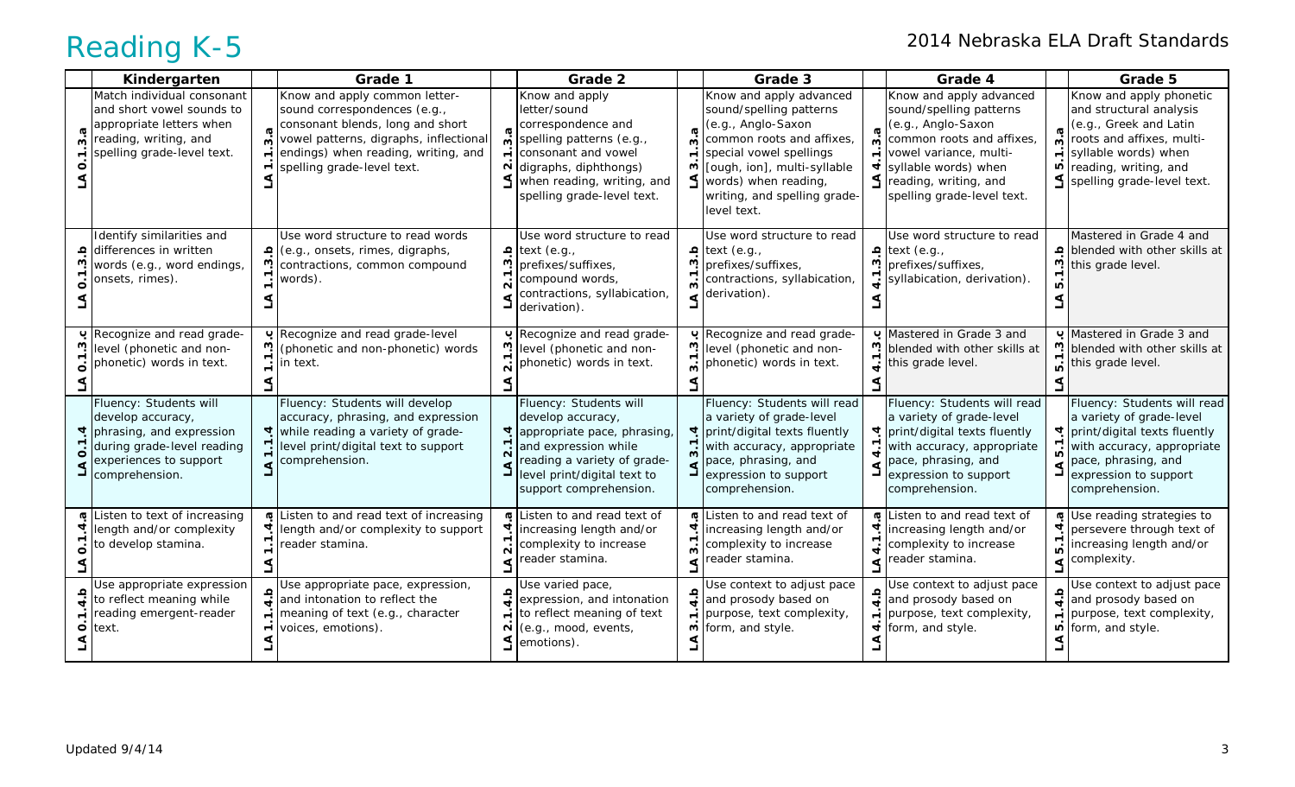| Kindergarten                                                                                                                                      |                                       | Grade 1                                                                                                                                                                                                          |                              | Grade 2                                                                                                                                                                                          |                          | Grade 3                                                                                                                                                                                                                                           |                                                               | Grade 4                                                                                                                                                                                                               |                                            | Grade 5                                                                                                                                                                                                                     |
|---------------------------------------------------------------------------------------------------------------------------------------------------|---------------------------------------|------------------------------------------------------------------------------------------------------------------------------------------------------------------------------------------------------------------|------------------------------|--------------------------------------------------------------------------------------------------------------------------------------------------------------------------------------------------|--------------------------|---------------------------------------------------------------------------------------------------------------------------------------------------------------------------------------------------------------------------------------------------|---------------------------------------------------------------|-----------------------------------------------------------------------------------------------------------------------------------------------------------------------------------------------------------------------|--------------------------------------------|-----------------------------------------------------------------------------------------------------------------------------------------------------------------------------------------------------------------------------|
| Match individual consonant<br>and short vowel sounds to<br>appropriate letters when<br>reading, writing, and<br>spelling grade-level text.        | $\boldsymbol{\sigma}$<br>$\mathbf{w}$ | Know and apply common letter-<br>sound correspondences (e.g.,<br>consonant blends, long and short<br>vowel patterns, digraphs, inflectional<br>endings) when reading, writing, and<br>spelling grade-level text. | $\sigma$<br>$\sim$           | Know and apply<br>letter/sound<br>correspondence and<br>spelling patterns (e.g.,<br>consonant and vowel<br>digraphs, diphthongs)<br>when reading, writing, and<br>spelling grade-level text.     | σ<br>ო<br>$\overline{ }$ | Know and apply advanced<br>sound/spelling patterns<br>(e.g., Anglo-Saxon<br>common roots and affixes,<br>special vowel spellings<br>m $\lceil$ [ough, ion], multi-syllable<br>words) when reading,<br>writing, and spelling grade-<br>level text. | $\boldsymbol{\sigma}$<br>$\dot{\mathsf{c}}$<br>$\overline{ }$ | Know and apply advanced<br>sound/spelling patterns<br>(e.g., Anglo-Saxon<br>common roots and affixes,<br>vowel variance, multi-<br>syllable words) when<br>$\leq$ reading, writing, and<br>spelling grade-level text. | $\boldsymbol{\sigma}$<br>ຕ່<br>$\div$<br>Ю | Know and apply phonetic<br>and structural analysis<br>(e.g., Greek and Latin<br>roots and affixes, multi-<br>syllable words) when<br>reading, writing, and<br>spelling grade-level text.                                    |
| Identify similarities and<br>differences in written<br>words (e.g., word endings,<br>onsets, rimes).                                              |                                       | Use word structure to read words<br>$\frac{a}{b}$ (e.g., onsets, rimes, digraphs,<br>contractions, common compound<br>words).                                                                                    | $\sim$                       | Use word structure to read<br>$\frac{q}{m}$ text (e.g.,<br>prefixes/suffixes,<br>compound words,<br>contractions, syllabication,<br>derivation).                                                 | ო<br>$\sim$              | Use word structure to read<br>ext (e.g.,<br>prefixes/suffixes,<br>contractions, syllabication,<br>derivation).                                                                                                                                    | ო                                                             | Use word structure to read<br>ext (e.g.,<br>prefixes/suffixes,<br>syllabication, derivation)                                                                                                                          | S                                          | Mastered in Grade 4 and<br>blended with other skills at<br>this grade level.                                                                                                                                                |
| Recognize and read grade-<br>level (phonetic and non-<br>phonetic) words in text.                                                                 |                                       | Pecognize and read grade-level<br>(phonetic and non-phonetic) words<br>in text.                                                                                                                                  | ပ<br>$\overline{N}$          | Recognize and read grade-<br>level (phonetic and non-<br>phonetic) words in text.                                                                                                                | ო<br><u>ო</u>            | Pecognize and read grade-<br>level (phonetic and non-<br>phonetic) words in text.                                                                                                                                                                 |                                                               | Mastered in Grade 3 and<br>blended with other skills at<br>this grade level.                                                                                                                                          |                                            | U Mastered in Grade 3 and<br>blended with other skills at<br>this grade level.                                                                                                                                              |
| Fluency: Students will<br>develop accuracy,<br>phrasing, and expression<br>during grade-level reading<br>experiences to support<br>comprehension. |                                       | Fluency: Students will develop<br>accuracy, phrasing, and expression<br>$\frac{1}{2}$ while reading a variety of grade-<br>level print/digital text to support<br>$\epsilon$ comprehension.                      | $\overline{2}$ .<br>گ        | Fluency: Students will<br>develop accuracy,<br>depart appropriate pace, phrasing<br>and expression while<br>reading a variety of grade-<br>level print/digital text to<br>support comprehension. | 3.1                      | Fluency: Students will read<br>a variety of grade-level<br>प print/digital texts fluently<br>with accuracy, appropriate<br>pace, phrasing, and<br>expression to support<br>comprehension.                                                         |                                                               | Fluency: Students will read<br>a variety of grade-level<br>प print/digital texts fluently<br>with accuracy, appropriate<br>pace, phrasing, and<br>expression to support<br>comprehension.                             | ๔                                          | Fluency: Students will read<br>a variety of grade-level<br>प print/digital texts fluently<br>$\sum_{\mathbf{p}}$ with accuracy, appropriate<br>pace, phrasing, and<br>$\frac{1}{2}$ expression to support<br>comprehension. |
| Listen to text of increasing<br>length and/or complexity<br>to develop stamina.                                                                   |                                       | Listen to and read text of increasing<br>length and/or complexity to support<br>reader stamina.                                                                                                                  | $\overline{\mathbf{N}}$<br>٩ | In Listen to and read text of<br>increasing length and/or<br>complexity to increase<br>reader stamina.                                                                                           | <u>ന്</u><br>$\leq$      | In Listen to and read text of<br>प increasing length and/or<br>complexity to increase<br>reader stamina.                                                                                                                                          |                                                               | In Listen to and read text of<br>increasing length and/or<br>complexity to increase<br>reader stamina.                                                                                                                | 4                                          | Use reading strategies to<br>persevere through text of<br>increasing length and/or<br>complexity.                                                                                                                           |
| Use appropriate expression<br>to reflect meaning while<br>reading emergent-reader<br>$\overline{\text{O}}$ text.                                  |                                       | Use appropriate pace, expression,<br>and intonation to reflect the<br>meaning of text (e.g., character<br>voices, emotions).                                                                                     | ≏<br>N<br>٩                  | Use varied pace,<br>expression, and intonation<br>to reflect meaning of text<br>(e.g., mood, events,<br>emotions).                                                                               | $\Omega$                 | Use context to adjust pace<br>and prosody based on<br>$\div$ purpose, text complexity,<br>$\overline{\mathsf{m}}$ form, and style.                                                                                                                | $\blacksquare$                                                | Use context to adjust pace<br>and prosody based on<br>purpose, text complexity,<br>form, and style.                                                                                                                   |                                            | Use context to adjust pace<br>and prosody based on<br>$\therefore$ purpose, text complexity,<br>form, and style.                                                                                                            |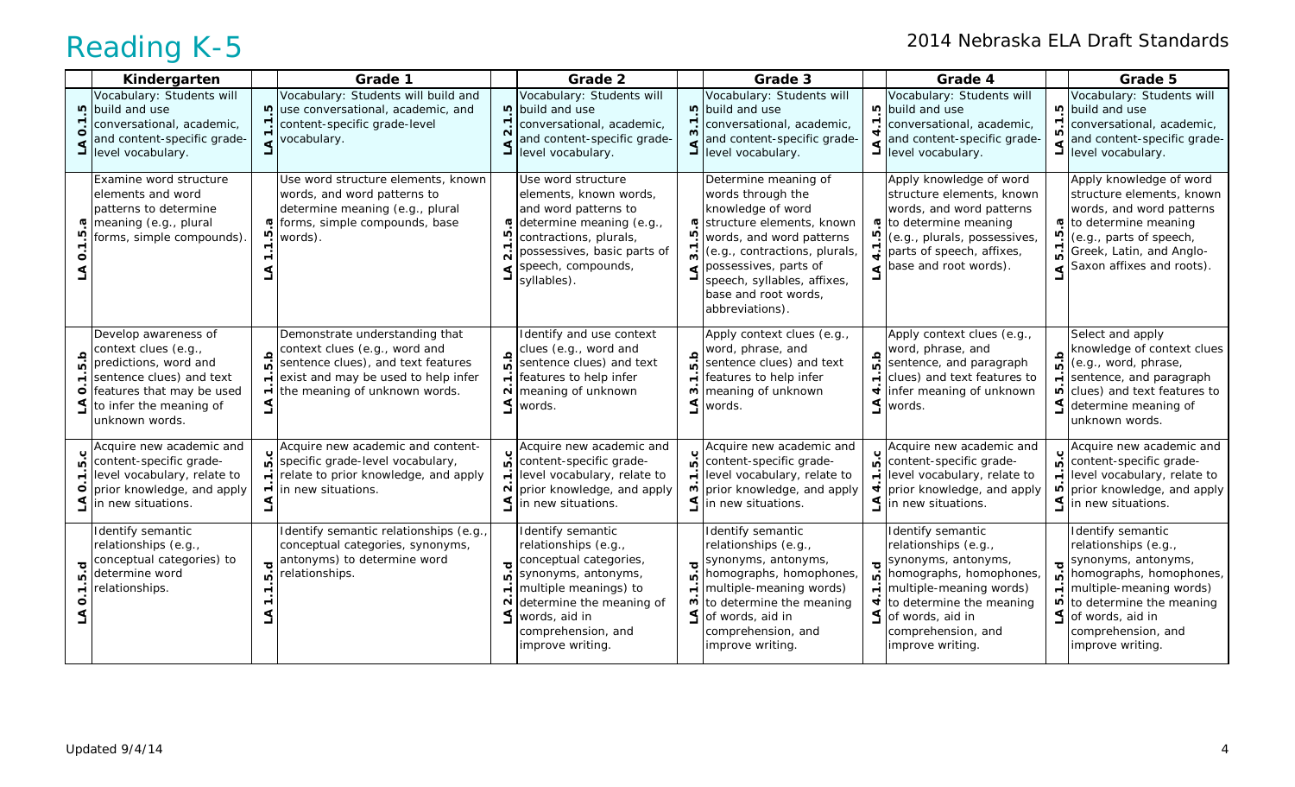|              | Kindergarten                                                                                                                                                                |                                                                 | Grade 1                                                                                                                                                                       |                                                                    | Grade 2                                                                                                                                                                                                    |                                                                 | Grade 3                                                                                                                                                                                                                                                     |                                            | Grade 4                                                                                                                                                                                                          |                                          | Grade 5                                                                                                                                                                                                                 |
|--------------|-----------------------------------------------------------------------------------------------------------------------------------------------------------------------------|-----------------------------------------------------------------|-------------------------------------------------------------------------------------------------------------------------------------------------------------------------------|--------------------------------------------------------------------|------------------------------------------------------------------------------------------------------------------------------------------------------------------------------------------------------------|-----------------------------------------------------------------|-------------------------------------------------------------------------------------------------------------------------------------------------------------------------------------------------------------------------------------------------------------|--------------------------------------------|------------------------------------------------------------------------------------------------------------------------------------------------------------------------------------------------------------------|------------------------------------------|-------------------------------------------------------------------------------------------------------------------------------------------------------------------------------------------------------------------------|
|              | Vocabulary: Students will<br>p build and use<br>conversational, academic,<br>and content-specific grade-<br>level vocabulary.                                               | rù.                                                             | Vocabulary: Students will build and<br>use conversational, academic, and<br>content-specific grade-level<br>vocabulary.                                                       | 2.1<br>٩                                                           | Vocabulary: Students will<br>p build and use<br>conversational, academic,<br>and content-specific grade-<br>level vocabulary.                                                                              | <b>LO</b><br>$\overline{\phantom{0}}$<br>$\boldsymbol{\omega}$  | Vocabulary: Students will<br>build and use<br>conversational, academic,<br>and content-specific grade-<br>level vocabulary.                                                                                                                                 |                                            | Vocabulary: Students will<br>p build and use<br>conversational, academic,<br>and content-specific grade-<br>$\mathbf{I}$ level vocabulary.                                                                       | ທ<br>L                                   | Vocabulary: Students will<br>puild and use<br>conversational, academic,<br>and content-specific grade-<br>level vocabulary.                                                                                             |
|              | Examine word structure<br>elements and word<br>patterns to determine<br>meaning (e.g., plural<br>forms, simple compounds)                                                   | ō.                                                              | Use word structure elements, known<br>words, and word patterns to<br>determine meaning (e.g., plural<br>o forms, simple compounds, base<br>words).                            | rü                                                                 | Use word structure<br>elements, known words,<br>and word patterns to<br>determine meaning (e.g.,<br>contractions, plurals,<br>possessives, basic parts of<br>speech, compounds,<br>syllables).             | G<br>r.                                                         | Determine meaning of<br>words through the<br>knowledge of word<br>structure elements, known<br>words, and word patterns<br>(e.g., contractions, plurals,<br>possessives, parts of<br>speech, syllables, affixes,<br>base and root words,<br>abbreviations). | īΰ.                                        | Apply knowledge of word<br>structure elements, known<br>words, and word patterns<br>to determine meaning<br>(e.g., plurals, possessives,<br>parts of speech, affixes,<br>base and root words).                   | ΓÚ.<br>$\overline{10}$                   | Apply knowledge of word<br>structure elements, known<br>words, and word patterns<br>to determine meaning<br>(e.g., parts of speech,<br>Greek, Latin, and Anglo-<br>Saxon affixes and roots).                            |
| C<br>ம்<br>o | Develop awareness of<br>context clues (e.g.,<br>predictions, word and<br>sentence clues) and text<br>features that may be used<br>to infer the meaning of<br>unknown words. | a.<br>G<br>$\overline{\phantom{a}}$<br>$\overline{\phantom{0}}$ | Demonstrate understanding that<br>context clues (e.g., word and<br>sentence clues), and text features<br>exist and may be used to help infer<br>the meaning of unknown words. | 5.b<br>$\blacksquare$<br>N<br>₹                                    | Identify and use context<br>clues (e.g., word and<br>sentence clues) and text<br>features to help infer<br>meaning of unknown<br>words.                                                                    | 5.b<br>$\overline{\phantom{0}}$<br>ო<br>L                       | Apply context clues (e.g.,<br>word, phrase, and<br>sentence clues) and text<br>features to help infer<br>meaning of unknown<br>words.                                                                                                                       | g.g                                        | Apply context clues (e.g.,<br>word, phrase, and<br>sentence, and paragraph<br>clues) and text features to<br>infer meaning of unknown<br>words.                                                                  | 5.b<br>$\overline{ }$<br>L               | Select and apply<br>knowledge of context clues<br>(e.g., word, phrase,<br>sentence, and paragraph<br>$\overline{p}$ clues) and text features to<br>determine meaning of<br>unknown words.                               |
| ۱ó<br>0      | Acquire new academic and<br>content-specific grade-<br>level vocabulary, relate to<br>prior knowledge, and apply<br>$\leq$ in new situations.                               | $\overline{ }$                                                  | Acquire new academic and content-<br>specific grade-level vocabulary,<br>relate to prior knowledge, and apply<br>in new situations.                                           | ம்<br>N                                                            | Acquire new academic and<br>content-specific grade-<br>level vocabulary, relate to<br>prior knowledge, and apply<br>$\leq$ in new situations.                                                              | ம்<br>$\blacksquare$<br>ო                                       | Acquire new academic and<br>content-specific grade-<br>level vocabulary, relate to<br>prior knowledge, and apply<br>$\leq$ in new situations.                                                                                                               | $\overline{a}$<br>$\blacksquare$           | Acquire new academic and<br>content-specific grade-<br>level vocabulary, relate to<br>prior knowledge, and apply<br>$\leq$ in new situations.                                                                    | ம்<br>$\vec{r}$<br>Ю                     | Acquire new academic and<br>content-specific grade-<br>level vocabulary, relate to<br>prior knowledge, and apply<br>$\leq$ in new situations.                                                                           |
| ١C           | Identify semantic<br>relationships (e.g.,<br>conceptual categories) to<br>determine word<br>relationships.                                                                  | p<br>۱ó                                                         | Identify semantic relationships (e.g.,<br>conceptual categories, synonyms,<br>antonyms) to determine word<br>relationships.                                                   | $\overline{\mathbf{o}}$<br>ю<br>$\overline{\phantom{0}}$<br>N<br>٩ | Identify semantic<br>relationships (e.g.,<br>conceptual categories,<br>synonyms, antonyms,<br>multiple meanings) to<br>determine the meaning of<br>words, aid in<br>comprehension, and<br>improve writing. | $\overline{\sigma}$<br>ம்<br>$\overline{\phantom{0}}$<br>w<br>L | Identify semantic<br>relationships (e.g.,<br>synonyms, antonyms,<br>homographs, homophones,<br>multiple-meaning words)<br>to determine the meaning<br>of words, aid in<br>comprehension, and<br>improve writing.                                            | $\overline{c}$<br>Ю<br>$\overline{ }$<br>4 | Identify semantic<br>relationships (e.g.,<br>synonyms, antonyms,<br>homographs, homophones,<br>multiple-meaning words)<br>to determine the meaning<br>of words, aid in<br>comprehension, and<br>improve writing. | ত্<br>ທ<br>$\overline{\phantom{0}}$<br>Ю | Identify semantic<br>relationships (e.g.,<br>synonyms, antonyms,<br>homographs, homophones,<br>multiple-meaning words)<br>to determine the meaning<br>$\leq$ of words, aid in<br>comprehension, and<br>improve writing. |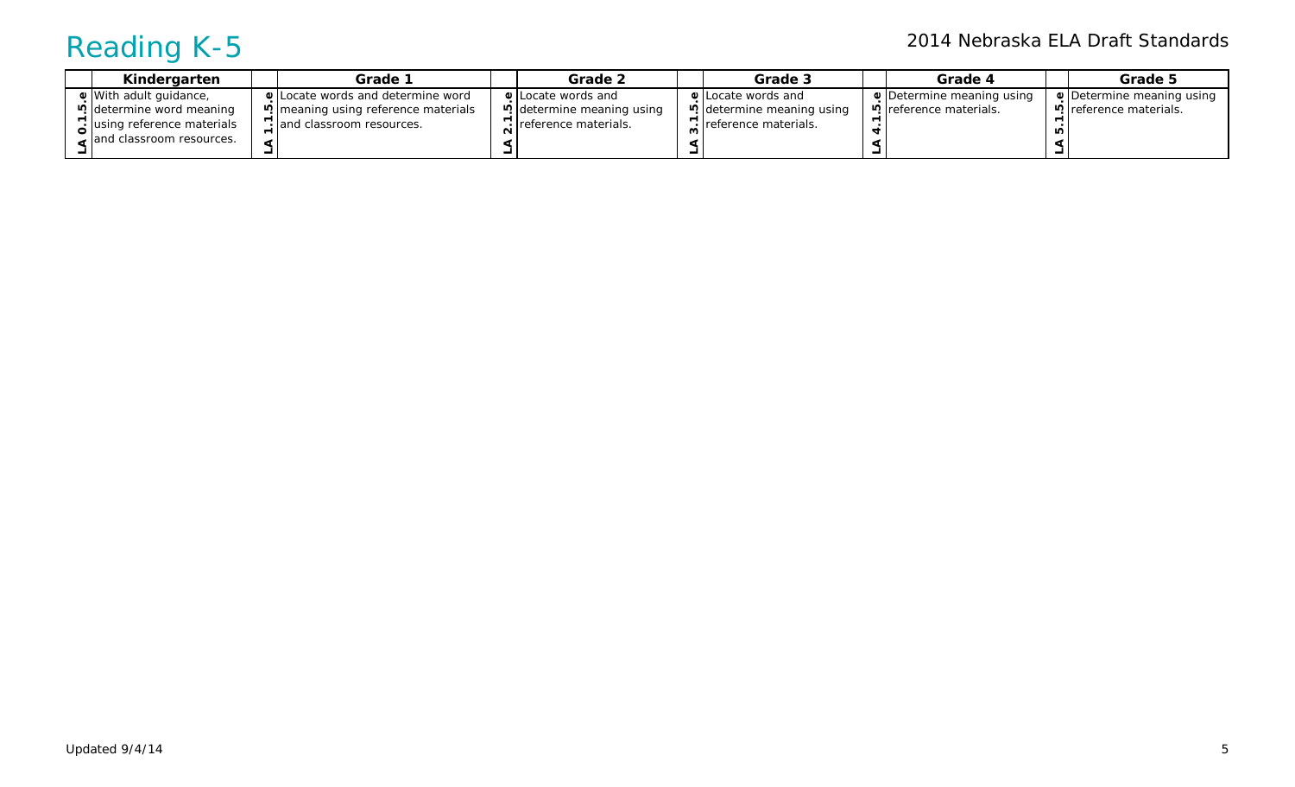|                                                                                                                                     | <b>Grade 5</b><br>Grade 4                                           |
|-------------------------------------------------------------------------------------------------------------------------------------|---------------------------------------------------------------------|
| <b>U</b> With adult quidance,<br><b>U</b> Locate words and determine word<br><b>↓</b> Locate words and<br><b>↓ILocate words and</b> | $\bullet$ Determine meaning using<br><b>Determine meaning using</b> |
| determine meaning using<br>determine meaning using<br>ي [determine word meaning<br>meaning using reference materials [9]            | <u>ιος</u> reference materials.<br>P. reference materials.          |
| eleference materials.<br>` Iusing reference materials<br>Freference materials.<br>· and classroom resources.                        | ഥ                                                                   |
| and classroom resources.                                                                                                            |                                                                     |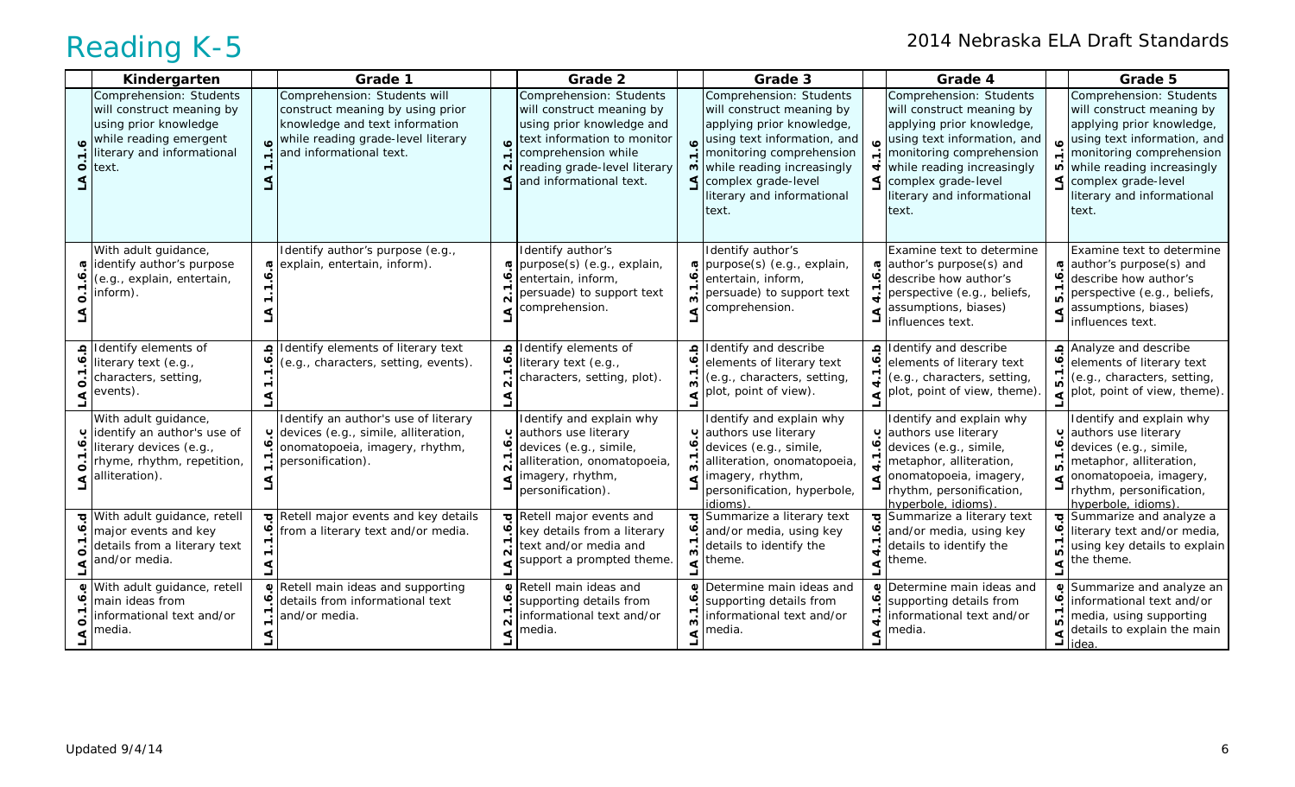|         | Kindergarten                                                                                                                                   | Grade 1                                                                                                                                                             |                         | Grade 2                                                                                                                                                                                            |          | Grade 3                                                                                                                                                                                                                                    |      | Grade 4                                                                                                                                                                                                                                                                       |                                                                      | Grade 5                                                                                                                                                                                                                                  |
|---------|------------------------------------------------------------------------------------------------------------------------------------------------|---------------------------------------------------------------------------------------------------------------------------------------------------------------------|-------------------------|----------------------------------------------------------------------------------------------------------------------------------------------------------------------------------------------------|----------|--------------------------------------------------------------------------------------------------------------------------------------------------------------------------------------------------------------------------------------------|------|-------------------------------------------------------------------------------------------------------------------------------------------------------------------------------------------------------------------------------------------------------------------------------|----------------------------------------------------------------------|------------------------------------------------------------------------------------------------------------------------------------------------------------------------------------------------------------------------------------------|
| $\circ$ | Comprehension: Students<br>will construct meaning by<br>using prior knowledge<br>while reading emergent<br>literary and informational<br>text. | Comprehension: Students will<br>construct meaning by using prior<br>knowledge and text information<br>while reading grade-level literary<br>and informational text. | o.<br>$\mathbf{\Omega}$ | Comprehension: Students<br>will construct meaning by<br>using prior knowledge and<br>text information to monitor<br>comprehension while<br>reading grade-level literary<br>and informational text. |          | Comprehension: Students<br>will construct meaning by<br>applying prior knowledge,<br>using text information, and<br>monitoring comprehension<br>m while reading increasingly<br>complex grade-level<br>literary and informational<br>text. |      | Comprehension: Students<br>will construct meaning by<br>applying prior knowledge,<br>using text information, and<br>$\sum$ monitoring comprehension<br>$\overrightarrow{\mathbf{r}}$ while reading increasingly<br>complex grade-level<br>literary and informational<br>text. | $\bullet$<br>$\overline{a}$                                          | Comprehension: Students<br>will construct meaning by<br>applying prior knowledge,<br>using text information, and<br>monitoring comprehension<br>while reading increasingly<br>complex grade-level<br>literary and informational<br>text. |
|         | With adult guidance,<br>dentify author's purpose<br>(e.g., explain, entertain,<br>inform).                                                     | Identify author's purpose (e.g.,<br>explain, entertain, inform).                                                                                                    | Ø                       | Identify author's<br>purpose(s) (e.g., explain,<br>entertain, inform,<br>persuade) to support text<br>comprehension.                                                                               | ⋖        | Identify author's<br>purpose(s) (e.g., explain,<br>entertain, inform,<br>persuade) to support text<br>comprehension.                                                                                                                       |      | Examine text to determine<br>author's purpose(s) and<br>describe how author's<br>$\frac{1}{\bullet}$ perspective (e.g., beliefs,<br>assumptions, biases)<br>influences text.                                                                                                  | <b>G</b><br>ڢ                                                        | Examine text to determine<br>author's purpose(s) and<br>describe how author's<br>perspective (e.g., beliefs,<br>assumptions, biases)<br>influences text.                                                                                 |
|         | Identify elements of<br>Pliterary text (e.g.,<br>characters, setting,<br>events).                                                              | Identify elements of literary text<br>(e.g., characters, setting, events).                                                                                          | $\overline{2}$          | Identify elements of<br>literary text (e.g.,<br>characters, setting, plot).                                                                                                                        | $\Omega$ | Identify and describe<br>elements of literary text<br>(e.g., characters, setting,<br>$\leq$ plot, point of view).                                                                                                                          | $-1$ | Identify and describe<br>elements of literary text<br>(e.g., characters, setting,<br>$\left\lfloor \frac{1}{2} \right\rfloor$ plot, point of view, theme).                                                                                                                    | 5.1                                                                  | Analyze and describe<br>elements of literary text<br>(e.g., characters, setting,<br>$\sum_{i=1}^{n}$ plot, point of view, theme).                                                                                                        |
|         | With adult guidance,<br>u dentify an author's use of<br>literary devices (e.g.,<br>rhyme, rhythm, repetition,<br>$\leq$ alliteration).         | Identify an author's use of literary<br>o devices (e.g., simile, alliteration,<br>onomatopoeia, imagery, rhythm,<br>personification).                               | ∘<br>ົ                  | Identify and explain why<br>authors use literary<br>devices (e.g., simile,<br>alliteration, onomatopoeia,<br>imagery, rhythm,<br>personification).                                                 |          | Identify and explain why<br>plauthors use literary<br>devices (e.g., simile,<br>alliteration, onomatopoeia,<br>imagery, rhythm,<br>personification, hyperbole,<br>idioms)                                                                  |      | Identify and explain why<br>authors use literary<br>devices (e.g., simile,<br>metaphor, alliteration,<br>onomatopoeia, imagery,<br>rhythm, personification,<br>hyperbole, idioms)                                                                                             | $\mathbf C$<br>$\ddot{\mathbf{0}}$<br>$\overline{\phantom{0}}$<br>ü٠ | Identify and explain why<br>authors use literary<br>devices (e.g., simile,<br>metaphor, alliteration,<br>onomatopoeia, imagery,<br>rhythm, personification,<br>hyperbole, idioms)                                                        |
|         | With adult guidance, retell<br>major events and key<br>details from a literary text<br>and/or media.                                           | Retell major events and key details<br>o from a literary text and/or media.                                                                                         | ڢ<br>$\mathbf{\Omega}$  | Retell major events and<br>key details from a literary<br>text and/or media and<br>support a prompted theme.                                                                                       |          | Summarize a literary text<br>and/or media, using key<br>details to identify the<br>theme.                                                                                                                                                  |      | Summarize a literary text<br>and/or media, using key<br>details to identify the<br>theme.                                                                                                                                                                                     | $\bullet$<br>5.1                                                     | Summarize and analyze a<br>literary text and/or media,<br>using key details to explain<br>the theme.                                                                                                                                     |
|         | With adult guidance, retell<br>main ideas from<br>informational text and/or<br>media.                                                          | Retell main ideas and supporting<br>details from informational text<br>and/or media.                                                                                | $\omega$<br>$\sim$      | Retell main ideas and<br>supporting details from<br>informational text and/or<br>media.                                                                                                            | ∾<br>ო   | Determine main ideas and<br>supporting details from<br>informational text and/or<br>media.                                                                                                                                                 | ०    | $\circ$ Determine main ideas and<br>supporting details from<br>informational text and/or<br>media.                                                                                                                                                                            | ڢ                                                                    | Summarize and analyze an<br>informational text and/or<br>media, using supporting<br>details to explain the main<br>idea                                                                                                                  |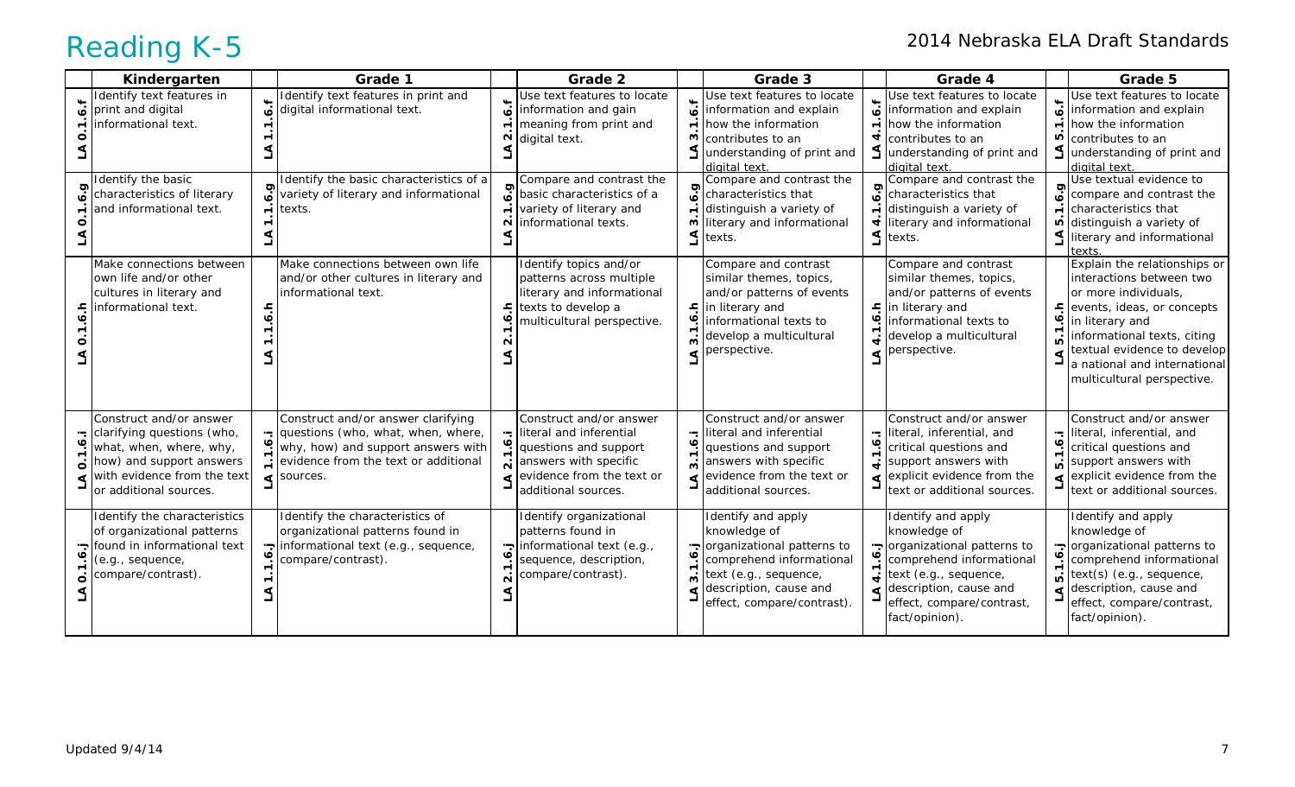| Kindergarten                                                                                                                                                          |                          | Grade 1                                                                                                                                                                            |                            | Grade 2                                                                                                                                                  |                                | Grade 3                                                                                                                                                                            |        | Grade 4                                                                                                                                                                                        |                               | Grade 5                                                                                                                                                                                                                                                       |
|-----------------------------------------------------------------------------------------------------------------------------------------------------------------------|--------------------------|------------------------------------------------------------------------------------------------------------------------------------------------------------------------------------|----------------------------|----------------------------------------------------------------------------------------------------------------------------------------------------------|--------------------------------|------------------------------------------------------------------------------------------------------------------------------------------------------------------------------------|--------|------------------------------------------------------------------------------------------------------------------------------------------------------------------------------------------------|-------------------------------|---------------------------------------------------------------------------------------------------------------------------------------------------------------------------------------------------------------------------------------------------------------|
| Identify text features in<br>print and digital<br>informational text.                                                                                                 | ු                        | Identify text features in print and<br>digital informational text.                                                                                                                 | ó.f<br>$\overline{ }$<br>N | Use text features to locate<br>information and gain<br>meaning from print and<br>digital text.                                                           | نه.<br>$\overline{ }$<br>w     | Use text features to locate<br>information and explain<br>how the information<br>contributes to an<br>understanding of print and<br>diaital text                                   | نۍ     | Use text features to locate<br>information and explain<br>how the information<br>contributes to an<br>understanding of print and<br>digital text.                                              | 6.f<br>ю                      | Use text features to locate<br>information and explain<br>how the information<br>contributes to an<br>understanding of print and<br>digital text                                                                                                              |
| Identify the basic<br>characteristics of literary<br>and informational text.                                                                                          | $\overline{\phantom{0}}$ | Identify the basic characteristics of a<br>variety of literary and informational<br>texts.                                                                                         | $\sim$                     | Compare and contrast the<br>$\sigma$ basic characteristics of a<br>variety of literary and<br>informational texts.                                       | 6.9<br>w<br>S.                 | Compare and contrast the<br>characteristics that<br>distinguish a variety of<br>literary and informational<br>texts.                                                               |        | Compare and contrast the<br>characteristics that<br>distinguish a variety of<br>literary and informational<br>texts.                                                                           | 6.9<br>$\overline{ }$<br>Ю    | Use textual evidence to<br>compare and contrast the<br>characteristics that<br>distinguish a variety of<br>literary and informational<br>texts                                                                                                                |
| Make connections between<br>own life and/or other<br>cultures in literary and<br>informational text.                                                                  | ۽.                       | Make connections between own life<br>and/or other cultures in literary and<br>informational text.                                                                                  | <u>ء</u>                   | Identify topics and/or<br>patterns across multiple<br>literary and informational<br>texts to develop a<br>multicultural perspective.                     |                                | Compare and contrast<br>similar themes, topics,<br>and/or patterns of events<br>$\frac{1}{2}$ in literary and<br>informational texts to<br>develop a multicultural<br>perspective. |        | Compare and contrast<br>similar themes, topics,<br>and/or patterns of events<br>$\mathsf{E}$ in literary and<br>informational texts to<br>develop a multicultural<br>perspective.              | 후.<br>ڢ<br>₫                  | Explain the relationships or<br>interactions between two<br>or more individuals,<br>events, ideas, or concepts<br>in literary and<br>informational texts, citing<br>textual evidence to develop<br>a national and international<br>multicultural perspective. |
| Construct and/or answer<br>clarifying questions (who,<br>what, when, where, why,<br>how) and support answers<br>with evidence from the text<br>or additional sources. | $\mathbf{\tau}$          | Construct and/or answer clarifying<br>questions (who, what, when, where,<br>why, how) and support answers with<br>evidence from the text or additional<br>$\triangleleft$ sources. | $\ddot{\bullet}$           | Construct and/or answer<br>literal and inferential<br>questions and support<br>answers with specific<br>evidence from the text or<br>additional sources. | <u>ن</u><br>$\dot{\mathbf{c}}$ | Construct and/or answer<br>literal and inferential<br>questions and support<br>answers with specific<br>evidence from the text or<br>additional sources.                           |        | Construct and/or answer<br>$\frac{1}{2}$ literal, inferential, and<br>critical questions and<br>support answers with<br>explicit evidence from the<br>text or additional sources.              | <u>ا: ه</u><br>ທ່<br>$\Delta$ | Construct and/or answer<br>literal, inferential, and<br>critical questions and<br>support answers with<br>explicit evidence from the<br>text or additional sources.                                                                                           |
| Identify the characteristics<br>of organizational patterns<br>found in informational text<br>(e.g., sequence,<br>compare/contrast).                                   |                          | Identify the characteristics of<br>organizational patterns found in<br>informational text (e.g., sequence,<br>compare/contrast).                                                   | ز.<br>ف<br>$\mathbf{N}$    | Identify organizational<br>patterns found in<br>informational text (e.g.,<br>sequence, description,<br>compare/contrast).                                | $\dot{\mathbf{c}}$             | Identify and apply<br>knowledge of<br>organizational patterns to<br>comprehend informational<br>text (e.g., sequence,<br>description, cause and<br>effect, compare/contrast).      | ç<br>᠇ | Identify and apply<br>knowledge of<br>organizational patterns to<br>comprehend informational<br>text (e.g., sequence,<br>description, cause and<br>effect, compare/contrast,<br>fact/opinion). | [.م.<br>ம்                    | Identify and apply<br>knowledge of<br>organizational patterns to<br>comprehend informational<br>text(s) (e.g., sequence,<br>description, cause and<br>effect, compare/contrast,<br>fact/opinion).                                                             |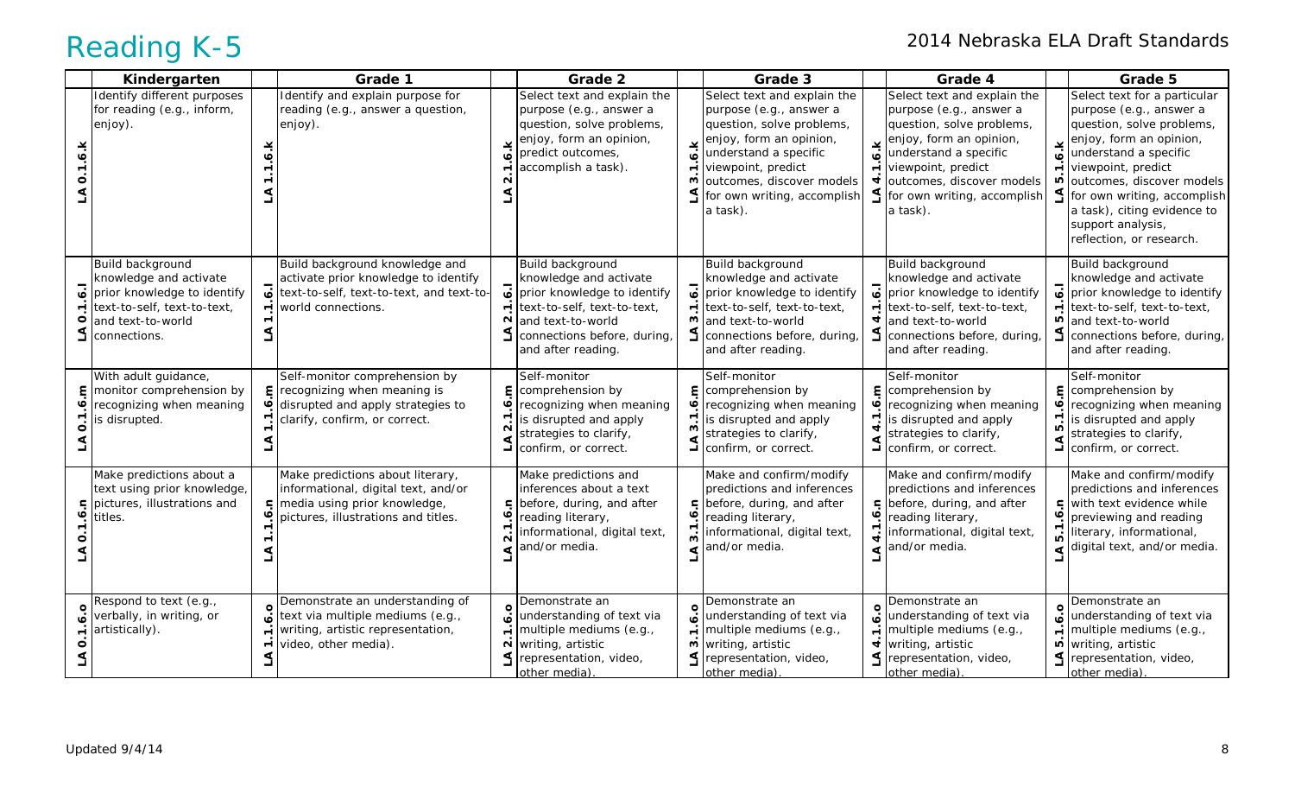|   | Kindergarten                                                                                                                                  |                          | Grade 1                                                                                                                                          |                                                | Grade 2                                                                                                                                                                            |                     | Grade 3                                                                                                                                                                                                                               |                                  | Grade 4                                                                                                                                                                                                                                                          |                                                 | Grade 5                                                                                                                                                                                                                                                                                                    |
|---|-----------------------------------------------------------------------------------------------------------------------------------------------|--------------------------|--------------------------------------------------------------------------------------------------------------------------------------------------|------------------------------------------------|------------------------------------------------------------------------------------------------------------------------------------------------------------------------------------|---------------------|---------------------------------------------------------------------------------------------------------------------------------------------------------------------------------------------------------------------------------------|----------------------------------|------------------------------------------------------------------------------------------------------------------------------------------------------------------------------------------------------------------------------------------------------------------|-------------------------------------------------|------------------------------------------------------------------------------------------------------------------------------------------------------------------------------------------------------------------------------------------------------------------------------------------------------------|
| O | Identify different purposes<br>for reading (e.g., inform,<br>enjoy).                                                                          |                          | Identify and explain purpose for<br>reading (e.g., answer a question,<br>enjoy).                                                                 | ⊻                                              | Select text and explain the<br>purpose (e.g., answer a<br>question, solve problems,<br>enjoy, form an opinion,<br>predict outcomes,<br>accomplish a task).                         | ო                   | Select text and explain the<br>purpose (e.g., answer a<br>question, solve problems,<br>enjoy, form an opinion,<br>understand a specific<br>viewpoint, predict<br>outcomes, discover models<br>for own writing, accomplish<br>a task). | ه.<br>4                          | Select text and explain the<br>purpose (e.g., answer a<br>question, solve problems,<br>$\mathbf{y}$ enjoy, form an opinion,<br>understand a specific<br>$\div$ viewpoint, predict<br>outcomes, discover models<br>$\leq$ for own writing, accomplish<br>a task). | 6.15<br>$\overline{ }$<br>ю<br>S                | Select text for a particular<br>purpose (e.g., answer a<br>question, solve problems,<br>enjoy, form an opinion,<br>understand a specific<br>viewpoint, predict<br>outcomes, discover models<br>for own writing, accomplish<br>a task), citing evidence to<br>support analysis,<br>reflection, or research. |
|   | Build background<br>knowledge and activate<br>prior knowledge to identify<br>text-to-self, text-to-text,<br>and text-to-world<br>connections. | $\overline{\phantom{0}}$ | Build background knowledge and<br>activate prior knowledge to identify<br>text-to-self, text-to-text, and text-to<br>world connections.          | 5<br>$\blacksquare$<br>$\mathbf{\Omega}$       | Build background<br>knowledge and activate<br>prior knowledge to identify<br>text-to-self, text-to-text,<br>and text-to-world<br>connections before, during,<br>and after reading. | $\overline{ }$<br>ო | Build background<br>knowledge and activate<br>prior knowledge to identify<br>text-to-self, text-to-text,<br>and text-to-world<br>connections before, during,<br>and after reading.                                                    | $\ddot{\circ}$<br>$\blacksquare$ | Build background<br>knowledge and activate<br>prior knowledge to identify<br>text-to-self, text-to-text,<br>and text-to-world<br>connections before, during,<br>and after reading.                                                                               | $\overline{6}$<br>$\overline{\phantom{0}}$<br>ю | Build background<br>knowledge and activate<br>prior knowledge to identify<br>text-to-self, text-to-text,<br>and text-to-world<br>connections before, during,<br>and after reading.                                                                                                                         |
|   | With adult guidance,<br>monitor comprehension by<br>recognizing when meaning<br>is disrupted.                                                 |                          | Self-monitor comprehension by<br>$\mathsf{E}$ recognizing when meaning is<br>disrupted and apply strategies to<br>clarify, confirm, or correct.  | ε<br>۰<br>$\mathbf{\Omega}$<br>S               | Self-monitor<br>comprehension by<br>recognizing when meaning<br>is disrupted and apply<br>strategies to clarify,<br>confirm, or correct.                                           | m                   | Self-monitor<br><b>E</b> comprehension by<br>recognizing when meaning<br>is disrupted and apply<br>strategies to clarify,<br>confirm, or correct.                                                                                     |                                  | Self-monitor<br><b>E</b> comprehension by<br>recognizing when meaning<br>is disrupted and apply<br>strategies to clarify,<br>confirm, or correct.                                                                                                                | ٤<br>ق<br>$\blacktriangledown$<br>ம்<br>₹       | Self-monitor<br>comprehension by<br>recognizing when meaning<br>is disrupted and apply<br>strategies to clarify,<br>confirm, or correct.                                                                                                                                                                   |
|   | Make predictions about a<br>text using prior knowledge,<br>⊑ lpictures, illustrations and<br>titles.                                          |                          | Make predictions about literary,<br>informational, digital text, and/or<br>F media using prior knowledge,<br>pictures, illustrations and titles. |                                                | Make predictions and<br>inferences about a text<br>$\mathsf{S}$ before, during, and after<br>reading literary,<br>informational, digital text,<br>and/or media.                    |                     | Make and confirm/modify<br>predictions and inferences<br>pefore, during, and after<br>reading literary,<br>informational, digital text,<br>and/or media.                                                                              |                                  | Make and confirm/modify<br>predictions and inferences<br>$\mathsf{E}$ before, during, and after<br>reading literary,<br>informational, digital text,<br>and/or media.                                                                                            | Ξ.<br>ڢ                                         | Make and confirm/modify<br>predictions and inferences<br>with text evidence while<br>previewing and reading<br>literary, informational,<br>digital text, and/or media.                                                                                                                                     |
|   | Respond to text (e.g.,<br>verbally, in writing, or<br>artistically).                                                                          |                          | Demonstrate an understanding of<br>text via multiple mediums (e.g.,<br>writing, artistic representation,<br>video, other media).                 | ة<br>$\overline{ }$<br>$\overline{\mathsf{N}}$ | Demonstrate an<br>understanding of text via<br>multiple mediums (e.g.,<br>writing, artistic<br>representation, video,<br>other media).                                             | $\circ$<br>ო        | Demonstrate an<br>understanding of text via<br>multiple mediums (e.g.,<br>writing, artistic<br>representation, video,<br>other media).                                                                                                | $\blacksquare$<br>₹              | Demonstrate an<br>understanding of text via<br>multiple mediums (e.g.,<br>writing, artistic<br>representation, video,<br>other media).                                                                                                                           | $\ddot{\circ}$<br>$\div$<br>$\overline{a}$<br>L | Demonstrate an<br>understanding of text via<br>multiple mediums (e.g.,<br>writing, artistic<br>representation, video,<br>other media)                                                                                                                                                                      |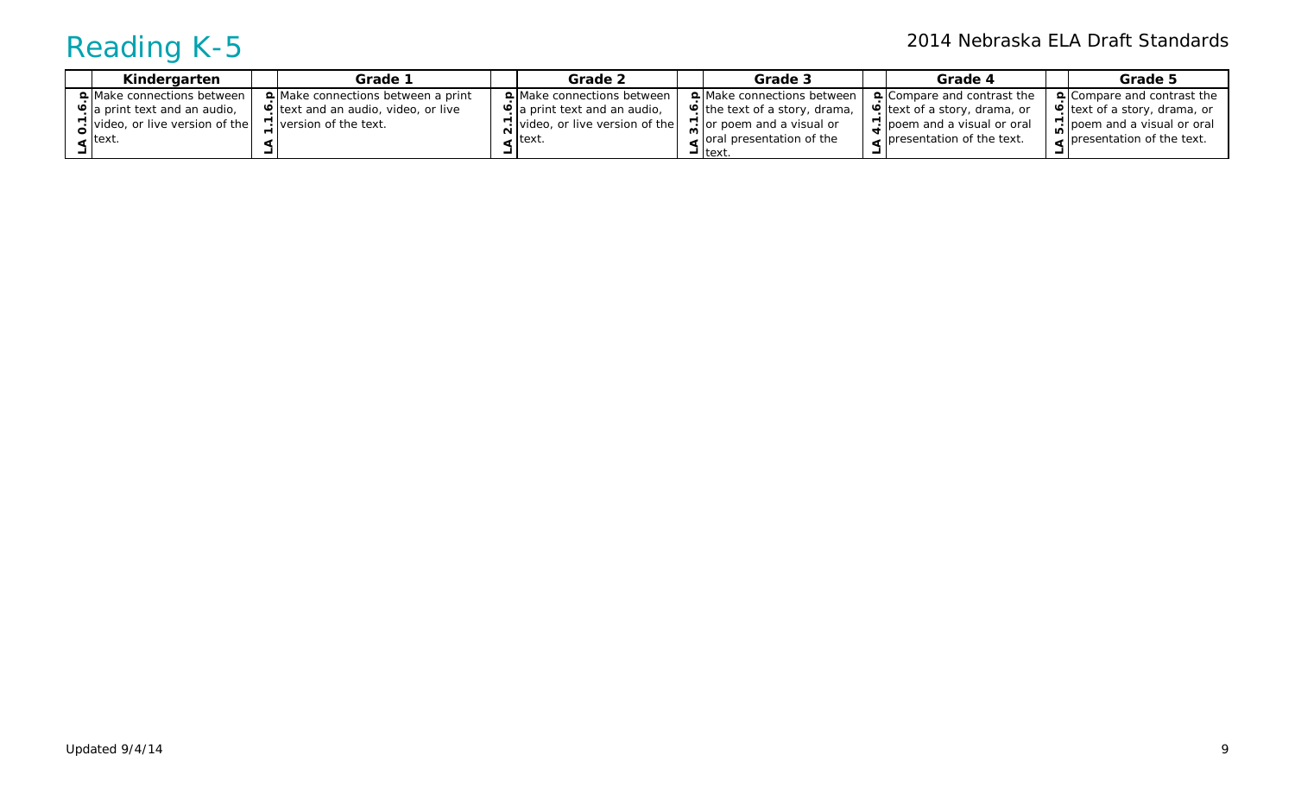| Kindergarten                         | Grade 1                                   | Grade 2                                | Grade 3                           | Grade 4                                 | Grade 5                           |
|--------------------------------------|-------------------------------------------|----------------------------------------|-----------------------------------|-----------------------------------------|-----------------------------------|
| <b>Q</b> Make connections between I  | $\Omega$ Make connections between a print | <b>Q</b> Make connections between      | <b>Q</b> Make connections between | $\Omega$ Compare and contrast the       | $\Delta$ Compare and contrast the |
| <b>P</b> a print text and an audio,  | e text and an audio, video, or live       | <b>P</b> a print text and an audio,    | P the text of a story, drama,     | Petext of a story, drama, or            | P text of a story, drama, or      |
| $\sum$ video, or live version of the | 7. version of the text.                   | $\lceil$ video, or live version of the | $\sum$ or poem and a visual or    | $\frac{1}{2}$ poem and a visual or oral | $\sum$ poem and a visual or oral  |
| $\le$ text.                          |                                           | . Itext.                               | $\sim$ oral presentation of the   | <b>p</b> lpresentation of the text.     | <b>presentation of the text.</b>  |
|                                      |                                           |                                        | $-$ Itext                         |                                         |                                   |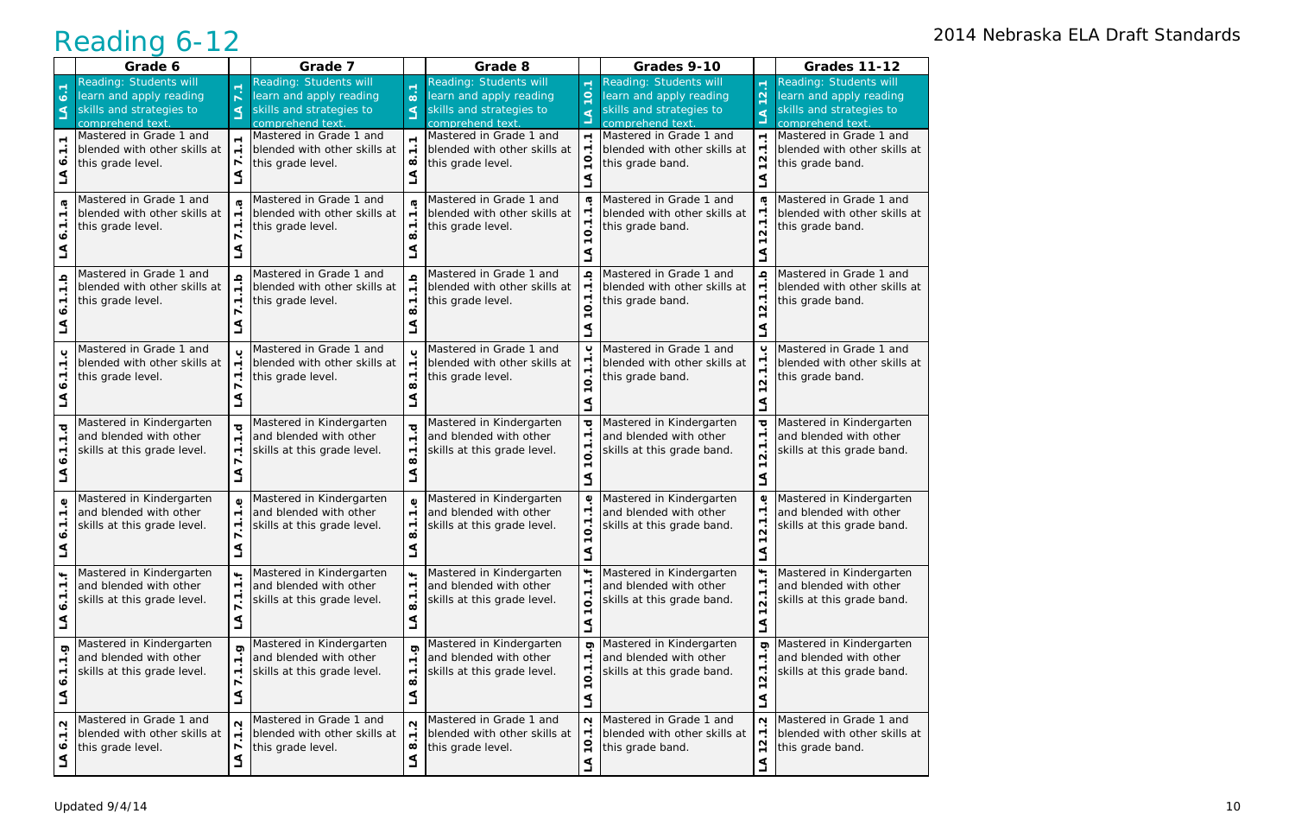|                                          | Grade 6                                                                                                 |                                                 | Grade 7                                                                                          |                                                                                | Grade 8                                                                                          |                                                   | Grades 9-10                                                                                             |                                                                              | <b>Grades 11-12</b>                                                                              |
|------------------------------------------|---------------------------------------------------------------------------------------------------------|-------------------------------------------------|--------------------------------------------------------------------------------------------------|--------------------------------------------------------------------------------|--------------------------------------------------------------------------------------------------|---------------------------------------------------|---------------------------------------------------------------------------------------------------------|------------------------------------------------------------------------------|--------------------------------------------------------------------------------------------------|
| 6.1<br>⋖                                 | <b>Reading: Students will</b><br>learn and apply reading<br>skills and strategies to<br>comprehend text | ⋖                                               | Reading: Students will<br>learn and apply reading<br>skills and strategies to<br>comprehend text | $\blacksquare$<br>$\ddot{\circ}$<br>$\Delta$                                   | Reading: Students will<br>learn and apply reading<br>skills and strategies to<br>comprehend text | $\blacksquare$<br>$\ddot{\circ}$                  | <b>Reading: Students will</b><br>learn and apply reading<br>skills and strategies to<br>comprehend text | $\leftarrow$<br>$\mathbf{\Omega}$<br>$\blacktriangledown$<br>๔               | Reading: Students will<br>learn and apply reading<br>skills and strategies to<br>comprehend text |
|                                          | Mastered in Grade 1 and<br>blended with other skills at<br>this grade level.                            | r                                               | Mastered in Grade 1 and<br>blended with other skills at<br>this grade level.                     | $\blacksquare$<br>$\infty$                                                     | Mastered in Grade 1 and<br>blended with other skills at<br>this grade level.                     | $\blacksquare$                                    | Mastered in Grade 1 and<br>blended with other skills at<br>this grade band.                             | $\overline{\phantom{a}}$<br>٣<br>N<br>$\overline{ }$                         | Mastered in Grade 1 and<br>blended with other skills at<br>this grade band.                      |
|                                          | Mastered in Grade 1 and<br>blended with other skills at<br>this grade level.                            | ٣                                               | Mastered in Grade 1 and<br>blended with other skills at<br>this grade level.                     | $\sqrt{2}$                                                                     | Mastered in Grade 1 and<br>blended with other skills at<br>this grade level.                     |                                                   | Mastered in Grade 1 and<br>blended with other skills at<br>this grade band.                             | G<br>2.1                                                                     | Mastered in Grade 1 and<br>blended with other skills at<br>this grade band.                      |
|                                          | Mastered in Grade 1 and<br>blended with other skills at<br>this grade level.                            |                                                 | Mastered in Grade 1 and<br>blended with other skills at<br>this grade level.                     | $\overline{ }$                                                                 | Mastered in Grade 1 and<br>blended with other skills at<br>this grade level.                     | $\Omega$<br>$\sqrt{2}$                            | Mastered in Grade 1 and<br>blended with other skills at<br>this grade band.                             | Ω<br>٣<br>$\mathbf{\Omega}$                                                  | Mastered in Grade 1 and<br>blended with other skills at<br>this grade band.                      |
|                                          | Mastered in Grade 1 and<br>blended with other skills at<br>this grade level.                            |                                                 | Mastered in Grade 1 and<br>blended with other skills at<br>this grade level.                     | $\overline{ }$<br>$\sqrt{2}$                                                   | Mastered in Grade 1 and<br>blended with other skills at<br>this grade level.                     | ပ                                                 | Mastered in Grade 1 and<br>blended with other skills at<br>this grade band.                             | ပ<br>٣<br>٣<br>$\overline{\mathbf{N}}$                                       | Mastered in Grade 1 and<br>blended with other skills at<br>this grade band.                      |
| ठ                                        | Mastered in Kindergarten<br>and blended with other<br>skills at this grade level.                       |                                                 | Mastered in Kindergarten<br>and blended with other<br>skills at this grade level.                | ত<br>$\overline{ }$<br>$\overline{ }$<br>ထ                                     | Mastered in Kindergarten<br>and blended with other<br>skills at this grade level.                | ত                                                 | Mastered in Kindergarten<br>and blended with other<br>skills at this grade band.                        | ত্<br>٣.<br>٣.<br>$\mathbf{\Omega}$                                          | Mastered in Kindergarten<br>and blended with other<br>skills at this grade band.                 |
|                                          | Mastered in Kindergarten<br>and blended with other<br>skills at this grade level.                       |                                                 | Mastered in Kindergarten<br>and blended with other<br>skills at this grade level.                | $\pmb{\mathbb{O}}$<br>$\blacksquare$<br>$\blacktriangledown$                   | Mastered in Kindergarten<br>and blended with other<br>skills at this grade level.                | ٥<br>$\Omega$                                     | Mastered in Kindergarten<br>and blended with other<br>skills at this grade band.                        | ٥<br>٣.<br><u>٣.</u><br>$\sim$                                               | Mastered in Kindergarten<br>and blended with other<br>skills at this grade band.                 |
| $\blacksquare$<br>∾                      | Mastered in Kindergarten<br>and blended with other<br>skills at this grade level.                       | $\overline{\phantom{0}}$<br>$\overline{ }$<br>₹ | Mastered in Kindergarten<br>and blended with other<br>skills at this grade level.                | $\ddot{}$<br>$\overline{\phantom{0}}$<br>$\overline{ }$<br>$\dot{\infty}$<br>⋖ | Mastered in Kindergarten<br>and blended with other<br>skills at this grade level.                | $\ddot{}$<br>$\blacksquare$<br>$\dot{\mathbf{o}}$ | Mastered in Kindergarten<br>and blended with other<br>skills at this grade band.                        | $\ddot{}$<br>$\overline{\phantom{a}}$<br>$\overline{ }$<br>$\dot{\mathsf n}$ | Mastered in Kindergarten<br>and blended with other<br>skills at this grade band.                 |
| တ္<br>$\overline{\phantom{0}}$<br>᠇<br>∘ | Mastered in Kindergarten<br>and blended with other<br>skills at this grade level.                       | Ō<br>$\blacksquare$<br>$\blacktriangledown$     | Mastered in Kindergarten<br>and blended with other<br>skills at this grade level.                | Ģ<br>$\blacksquare$<br>$\overline{ }$<br>$\infty$                              | Mastered in Kindergarten<br>and blended with other<br>skills at this grade level.                | ත<br>$\overline{ }$                               | Mastered in Kindergarten<br>and blended with other<br>skills at this grade band.                        | ၜ<br><u>ب</u><br>$\overline{2}$ . 1<br>$\mathbf{\tau}$                       | Mastered in Kindergarten<br>and blended with other<br>skills at this grade band.                 |
| $\sim$<br>$\blacktriangledown$<br>ง      | Mastered in Grade 1 and<br>blended with other skills at<br>this grade level.                            | $\blacksquare$<br>r<br>₹                        | Mastered in Grade 1 and<br>blended with other skills at<br>this grade level.                     | $\mathbf{\Omega}$<br>$\overline{ }$<br>$\infty$<br>⋖                           | Mastered in Grade 1 and<br>blended with other skills at<br>this grade level.                     | $\mathbf{\Omega}$                                 | Mastered in Grade 1 and<br>blended with other skills at<br>this grade band.                             | $\mathbf{\Omega}$<br>$\overline{\phantom{a}}$<br>$\frac{2}{3}$               | Mastered in Grade 1 and<br>blended with other skills at<br>this grade band.                      |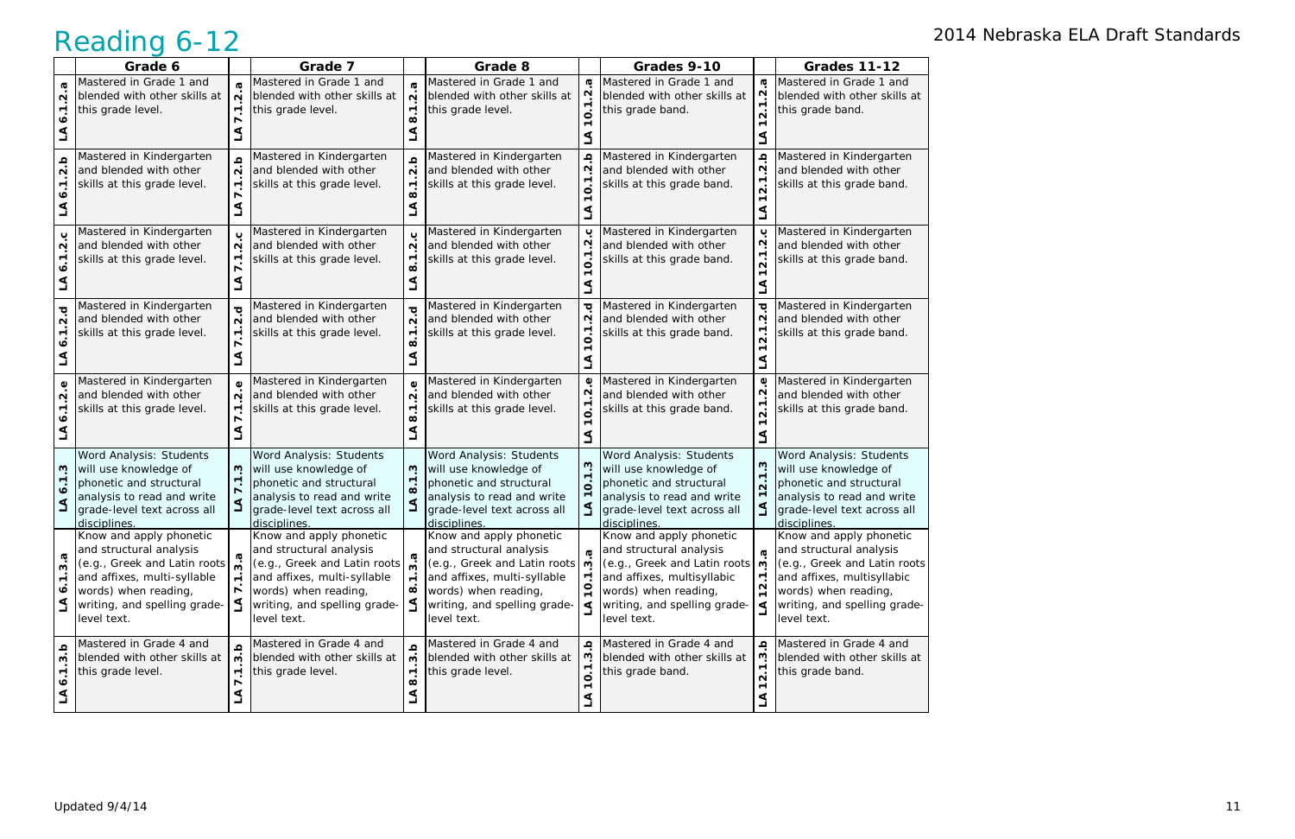|                                          | Grade 6                                                                                                                                                                                  |                                     | Grade 7                                                                                                                                                                                   |                                                                     | Grade 8                                                                                                                                                                                   |                                            | Grades 9-10                                                                                                                                                                                      |                                                                      | <b>Grades 11-12</b>                                                                                                                                                                     |
|------------------------------------------|------------------------------------------------------------------------------------------------------------------------------------------------------------------------------------------|-------------------------------------|-------------------------------------------------------------------------------------------------------------------------------------------------------------------------------------------|---------------------------------------------------------------------|-------------------------------------------------------------------------------------------------------------------------------------------------------------------------------------------|--------------------------------------------|--------------------------------------------------------------------------------------------------------------------------------------------------------------------------------------------------|----------------------------------------------------------------------|-----------------------------------------------------------------------------------------------------------------------------------------------------------------------------------------|
| Ф<br>N                                   | Mastered in Grade 1 and<br>blended with other skills at<br>this grade level.                                                                                                             | $\sim$                              | Mastered in Grade 1 and<br>blended with other skills at<br>this grade level.                                                                                                              | $\mathbf{\Omega}$<br>$\blacktriangledown$                           | Mastered in Grade 1 and<br>blended with other skills at<br>this grade level.                                                                                                              | $\boldsymbol{\sigma}$<br>$\mathbf{\Omega}$ | Mastered in Grade 1 and<br>blended with other skills at<br>this grade band.                                                                                                                      | G<br>$\mathbf{\Omega}$<br>$\blacktriangledown$<br>$\dot{\mathsf{n}}$ | Mastered in Grade 1 and<br>blended with other skills at<br>this grade band.                                                                                                             |
| ڢ<br>N                                   | Mastered in Kindergarten<br>and blended with other<br>skills at this grade level.                                                                                                        | $\mathbf{\Omega}$<br>$\overline{ }$ | Mastered in Kindergarten<br>and blended with other<br>skills at this grade level.                                                                                                         | $\frac{a}{2}$<br>$\blacktriangledown$<br>$\infty$                   | Mastered in Kindergarten<br>and blended with other<br>skills at this grade level.                                                                                                         | ≏                                          | Mastered in Kindergarten<br>and blended with other<br>skills at this grade band.                                                                                                                 | ڢ<br>Ņ<br>↽.<br>N                                                    | Mastered in Kindergarten<br>and blended with other<br>skills at this grade band.                                                                                                        |
| ب<br>N                                   | Mastered in Kindergarten<br>and blended with other<br>skills at this grade level.                                                                                                        | $\sim$                              | Mastered in Kindergarten<br>and blended with other<br>skills at this grade level.                                                                                                         | ပ<br>$\overline{\mathbf{N}}$<br>$\blacktriangledown$<br>œ           | Mastered in Kindergarten<br>and blended with other<br>skills at this grade level.                                                                                                         | ပ<br>$\overline{ }$                        | Mastered in Kindergarten<br>and blended with other<br>skills at this grade band.                                                                                                                 | ب<br>Ņ<br>N                                                          | Mastered in Kindergarten<br>and blended with other<br>skills at this grade band.                                                                                                        |
| ত<br>N                                   | Mastered in Kindergarten<br>and blended with other<br>skills at this grade level.                                                                                                        | $\sim$                              | Mastered in Kindergarten<br>and blended with other<br>skills at this grade level.                                                                                                         | ত<br>$\overline{\mathbf{N}}$<br>$\overline{\phantom{0}}$            | Mastered in Kindergarten<br>and blended with other<br>skills at this grade level.                                                                                                         | ত<br>N<br>$\overline{0}$                   | Mastered in Kindergarten<br>and blended with other<br>skills at this grade band.                                                                                                                 | ত্<br>Ņ<br>٣.<br>$\mathbf{\Omega}$                                   | Mastered in Kindergarten<br>and blended with other<br>skills at this grade band.                                                                                                        |
| Ф<br>N                                   | Mastered in Kindergarten<br>and blended with other<br>skills at this grade level.                                                                                                        | $\sim$                              | Mastered in Kindergarten<br>and blended with other<br>skills at this grade level.                                                                                                         | $\omega$<br>$\mathbf{\Omega}$<br>$\blacktriangledown$<br>∞          | Mastered in Kindergarten<br>and blended with other<br>skills at this grade level.                                                                                                         | Φ<br>N                                     | Mastered in Kindergarten<br>and blended with other<br>skills at this grade band.                                                                                                                 | $\mathbf 0$<br>Ņ<br>٣.<br>$\mathbf{\Omega}$                          | Mastered in Kindergarten<br>and blended with other<br>skills at this grade band.                                                                                                        |
| ŵ                                        | Word Analysis: Students<br>will use knowledge of<br>phonetic and structural<br>analysis to read and write<br>grade-level text across all<br>disciplines.                                 | w                                   | Word Analysis: Students<br>will use knowledge of<br>phonetic and structural<br>analysis to read and write<br>grade-level text across all<br>disciplines.                                  | w<br>$\blacktriangledown$<br>$\dot{\infty}$<br>$\blacktriangleleft$ | Word Analysis: Students<br>will use knowledge of<br>phonetic and structural<br>analysis to read and write<br>grade-level text across all<br>disciplines.                                  | $\blacktriangledown$                       | Word Analysis: Students<br>will use knowledge of<br>phonetic and structural<br>analysis to read and write<br>grade-level text across all<br>disciplines.                                         | <u>ო</u><br>$\blacktriangledown$<br>$\mathbf{\Omega}$                | Word Analysis: Students<br>will use knowledge of<br>phonetic and structural<br>analysis to read and write<br>grade-level text across all<br>disciplines.                                |
| σ<br>w<br>$\blacktriangledown$<br>∾<br>⋖ | Know and apply phonetic<br>and structural analysis<br>(e.g., Greek and Latin roots<br>and affixes, multi-syllable<br>words) when reading,<br>writing, and spelling grade-<br>level text. | ო                                   | Know and apply phonetic<br>and structural analysis<br>(c.g., Greek and Latin roots)<br>and affixes, multi-syllable<br>words) when reading,<br>writing, and spelling grade-<br>level text. | $\blacksquare$<br>$\infty$                                          | Know and apply phonetic<br>and structural analysis<br>(c.g., Greek and Latin roots)<br>and affixes, multi-syllable<br>words) when reading,<br>writing, and spelling grade-<br>level text. |                                            | Know and apply phonetic<br>and structural analysis<br>(e.g., Greek and Latin roots $\theta$<br>and affixes, multisyllabic<br>words) when reading,<br>writing, and spelling grade-<br>level text. | <b>G</b><br>$\blacktriangledown$<br>N<br>$\overline{ }$              | Know and apply phonetic<br>and structural analysis<br>(e.g., Greek and Latin roots<br>and affixes, multisyllabic<br>words) when reading,<br>writing, and spelling grade-<br>level text. |
| Q<br>w<br>٣<br>∾<br>⋖                    | Mastered in Grade 4 and<br>blended with other skills at<br>this grade level.                                                                                                             | Ω<br>ო<br>$\mathbf{\tau}$           | Mastered in Grade 4 and<br>blended with other skills at<br>this grade level.                                                                                                              | $\Omega$<br>S<br>$\blacktriangledown$<br>œ<br>₹                     | Mastered in Grade 4 and<br>blended with other skills at<br>this grade level.                                                                                                              | ≏<br>ო<br><b>一</b>                         | Mastered in Grade 4 and<br>blended with other skills at<br>this grade band.                                                                                                                      | ڢ<br><u>ო</u><br>$\overline{\phantom{a}}$<br>$\mathbf{\Omega}$<br>₹  | Mastered in Grade 4 and<br>blended with other skills at<br>this grade band.                                                                                                             |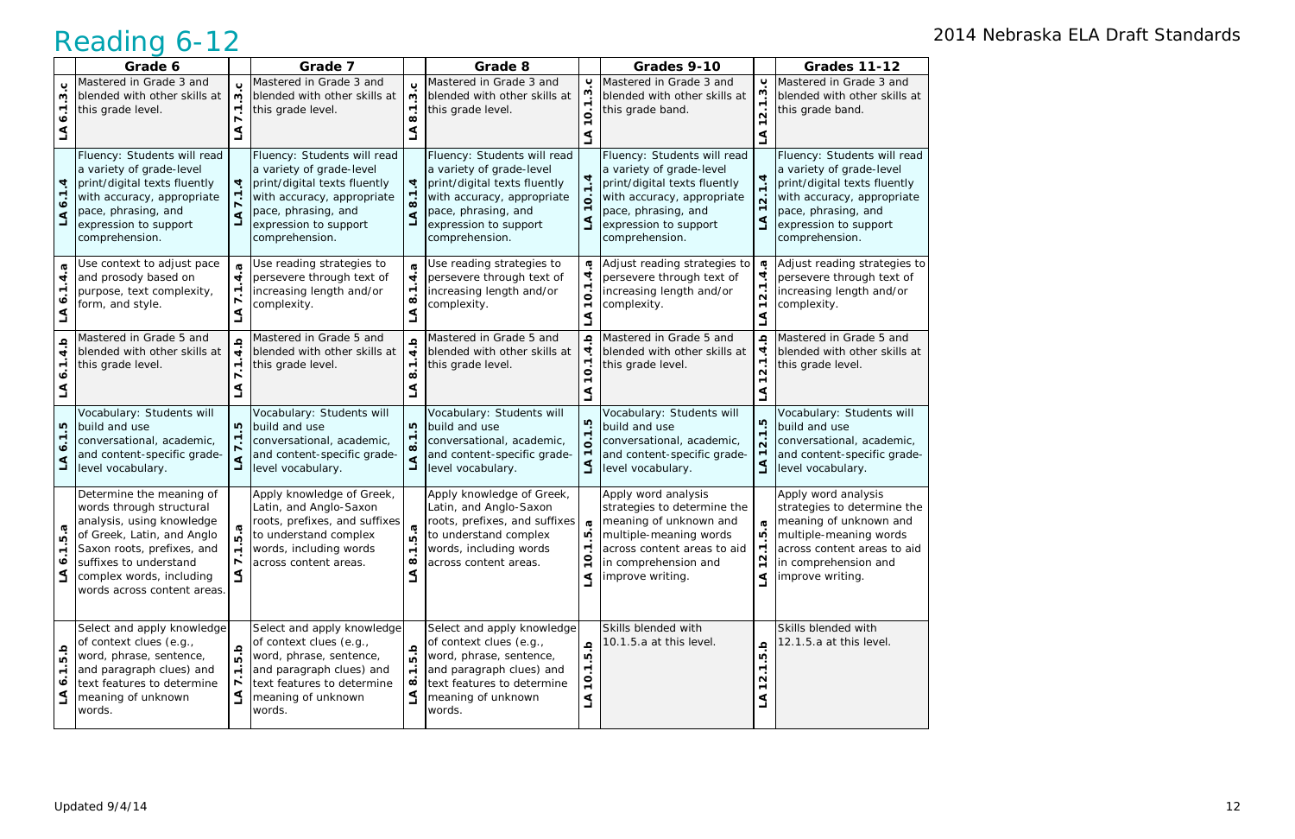|                                              | Grade 6                                                                                                                                                                                                                            |                                                                        | Grade 7                                                                                                                                                                                 |                                                                                          | Grade 8                                                                                                                                                                                 |                                                                                     | Grades 9-10                                                                                                                                                                             |                                                                                       | <b>Grades 11-12</b>                                                                                                                                                                     |
|----------------------------------------------|------------------------------------------------------------------------------------------------------------------------------------------------------------------------------------------------------------------------------------|------------------------------------------------------------------------|-----------------------------------------------------------------------------------------------------------------------------------------------------------------------------------------|------------------------------------------------------------------------------------------|-----------------------------------------------------------------------------------------------------------------------------------------------------------------------------------------|-------------------------------------------------------------------------------------|-----------------------------------------------------------------------------------------------------------------------------------------------------------------------------------------|---------------------------------------------------------------------------------------|-----------------------------------------------------------------------------------------------------------------------------------------------------------------------------------------|
| ں<br>ო                                       | Mastered in Grade 3 and<br>blended with other skills at<br>this grade level.                                                                                                                                                       | ω                                                                      | Mastered in Grade 3 and<br>blended with other skills at<br>this grade level.                                                                                                            | Μ<br>$\blacktriangledown$<br>$\infty$                                                    | Mastered in Grade 3 and<br>blended with other skills at<br>this grade level.                                                                                                            | ပ<br>ო<br>O                                                                         | Mastered in Grade 3 and<br>blended with other skills at<br>this grade band.                                                                                                             | $\mathbf c$<br>ن<br>ن<br>$\dot{\mathsf n}$                                            | Mastered in Grade 3 and<br>blended with other skills at<br>this grade band.                                                                                                             |
| ব<br>∾<br>⋖                                  | Fluency: Students will read<br>a variety of grade-level<br>print/digital texts fluently<br>with accuracy, appropriate<br>pace, phrasing, and<br>expression to support<br>comprehension.                                            | 4                                                                      | Fluency: Students will read<br>a variety of grade-level<br>print/digital texts fluently<br>with accuracy, appropriate<br>pace, phrasing, and<br>expression to support<br>comprehension. | 4<br>$\infty$<br>⋖<br>$\overline{\phantom{0}}$                                           | Fluency: Students will read<br>a variety of grade-level<br>print/digital texts fluently<br>with accuracy, appropriate<br>pace, phrasing, and<br>expression to support<br>comprehension. | 4                                                                                   | Fluency: Students will read<br>a variety of grade-level<br>print/digital texts fluently<br>with accuracy, appropriate<br>pace, phrasing, and<br>expression to support<br>comprehension. | 1.4<br>$\dot{\mathsf n}$<br>$\blacktriangledown$<br>$\mathbf{I}$                      | Fluency: Students will read<br>a variety of grade-level<br>print/digital texts fluently<br>with accuracy, appropriate<br>pace, phrasing, and<br>expression to support<br>comprehension. |
| ত্<br>4<br>岖                                 | Jse context to adjust pace<br>and prosody based on<br>purpose, text complexity,<br>form, and style.                                                                                                                                | $\overline{\mathbf{r}}$<br>$\mathbf{\tau}$<br>₫                        | Use reading strategies to<br>persevere through text of<br>increasing length and/or<br>complexity.                                                                                       | $\boldsymbol{\sigma}$<br>$\overline{\mathbf{A}}$<br>$\overline{\phantom{a}}$<br>$\Delta$ | Use reading strategies to<br>persevere through text of<br>increasing length and/or<br>complexity.                                                                                       | G<br>O                                                                              | Adjust reading strategies to<br>persevere through text of<br>increasing length and/or<br>complexity.                                                                                    | ā<br>4<br>$\blacktriangledown$<br>$\dot{\mathbf{v}}$<br>$\blacktriangledown$          | Adjust reading strategies to<br>persevere through text of<br>increasing length and/or<br>complexity.                                                                                    |
| $\frac{a}{4}$                                | Mastered in Grade 5 and<br>blended with other skills at<br>this grade level.                                                                                                                                                       | ≏<br>4                                                                 | Mastered in Grade 5 and<br>blended with other skills at<br>this grade level.                                                                                                            | Ω<br>$\vec{r}$<br>$\blacksquare$<br>œ                                                    | Mastered in Grade 5 and<br>blended with other skills at<br>this grade level.                                                                                                            | $\Omega$<br>O                                                                       | Mastered in Grade 5 and<br>blended with other skills at<br>this grade level.                                                                                                            | $\pmb{\Omega}$<br>4<br>$\blacktriangledown$<br>$\mathbf{\Omega}$                      | Mastered in Grade 5 and<br>blended with other skills at<br>this grade level.                                                                                                            |
| īυ.<br>ง                                     | Vocabulary: Students will<br>build and use<br>conversational, academic,<br>and content-specific grade-<br>level vocabulary.                                                                                                        | Ю                                                                      | Vocabulary: Students will<br>build and use<br>conversational, academic,<br>and content-specific grade-<br>level vocabulary.                                                             | rù<br>$\Delta$                                                                           | Vocabulary: Students will<br>build and use<br>conversational, academic,<br>and content-specific grade-<br>level vocabulary.                                                             | rU                                                                                  | Vocabulary: Students will<br>build and use<br>conversational, academic,<br>and content-specific grade-<br>level vocabulary.                                                             | $1.\overline{5}$<br>$\dot{\mathsf{n}}$<br>$\mathbf{\tau}$<br>$\Delta$                 | Vocabulary: Students will<br>build and use<br>conversational, academic,<br>and content-specific grade-<br>level vocabulary.                                                             |
| σ<br>Ю<br>$\overline{\phantom{a}}$<br>∙<br>₹ | Determine the meaning of<br>words through structural<br>analysis, using knowledge<br>of Greek, Latin, and Anglo<br>Saxon roots, prefixes, and<br>suffixes to understand<br>complex words, including<br>words across content areas. | <b>G</b><br>Ю<br>$\blacktriangledown$<br>$\overline{\phantom{a}}$<br>L | Apply knowledge of Greek,<br>Latin, and Anglo-Saxon<br>roots, prefixes, and suffixes<br>to understand complex<br>words, including words<br>across content areas.                        | <b>LO</b><br>$\dot{ }$<br>œ<br>⋖                                                         | Apply knowledge of Greek,<br>Latin, and Anglo-Saxon<br>roots, prefixes, and suffixes<br>to understand complex<br>words, including words<br>across content areas.                        | $\boldsymbol{\sigma}$<br>ഥ<br>$\overline{ }$<br>O                                   | Apply word analysis<br>strategies to determine the<br>meaning of unknown and<br>multiple-meaning words<br>across content areas to aid<br>in comprehension and<br>improve writing.       | Ø<br>ഥ<br>$\overline{\phantom{a}}$<br>$\mathbf{\Omega}$<br>$\overline{ }$<br>$\Delta$ | Apply word analysis<br>strategies to determine the<br>meaning of unknown and<br>multiple-meaning words<br>across content areas to aid<br>in comprehension and<br>improve writing.       |
| a<br>G<br>$\overline{ }$<br>∾<br>₹           | Select and apply knowledge<br>of context clues (e.g.,<br>word, phrase, sentence,<br>and paragraph clues) and<br>text features to determine<br>meaning of unknown<br>words.                                                         | $\blacksquare$<br>$\Delta$                                             | Select and apply knowledge<br>of context clues (e.g.,<br>word, phrase, sentence,<br>and paragraph clues) and<br>text features to determine<br>meaning of unknown<br>words.              | $\Omega$<br><u>ທ່</u><br>$\blacksquare$<br>$\infty$<br>$\Delta$                          | Select and apply knowledge<br>of context clues (e.g.,<br>word, phrase, sentence,<br>and paragraph clues) and<br>text features to determine<br>meaning of unknown<br>words.              | $\Omega$<br>īΰ.<br>$\overline{\phantom{a}}$<br>$\circ$<br>$\blacktriangledown$<br>L | Skills blended with<br>10.1.5.a at this level.                                                                                                                                          | Ω<br>Ю<br>$\overline{\phantom{0}}$<br>N<br>$\overline{\phantom{0}}$<br>ک              | Skills blended with<br>12.1.5.a at this level.                                                                                                                                          |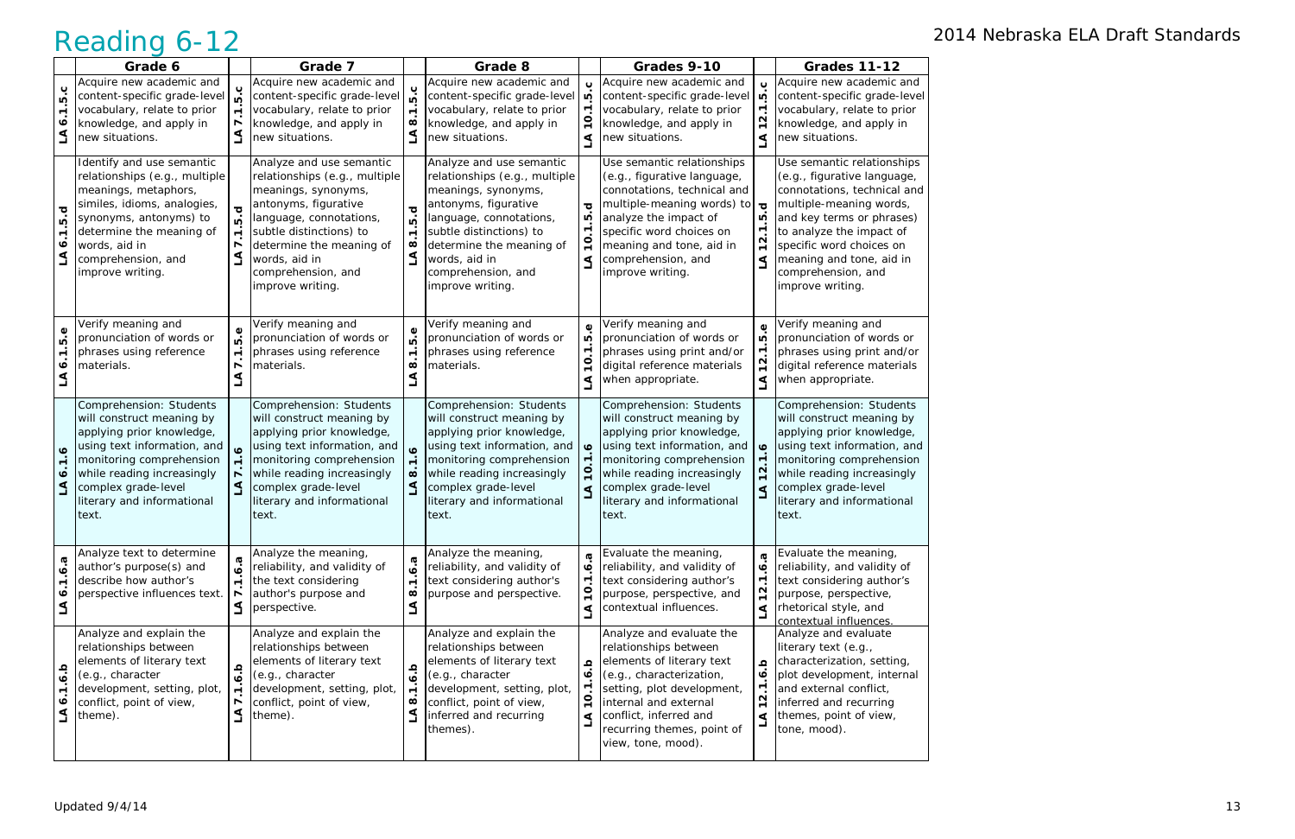|                                                                | Grade 6                                                                                                                                                                                                                                  |                                                                                                 | Grade 7                                                                                                                                                                                                                                               |                                                      | Grade 8                                                                                                                                                                                                                                               |                                                                        | Grades 9-10                                                                                                                                                                                                                                       |                                                                                | <b>Grades 11-12</b>                                                                                                                                                                                                                                                            |
|----------------------------------------------------------------|------------------------------------------------------------------------------------------------------------------------------------------------------------------------------------------------------------------------------------------|-------------------------------------------------------------------------------------------------|-------------------------------------------------------------------------------------------------------------------------------------------------------------------------------------------------------------------------------------------------------|------------------------------------------------------|-------------------------------------------------------------------------------------------------------------------------------------------------------------------------------------------------------------------------------------------------------|------------------------------------------------------------------------|---------------------------------------------------------------------------------------------------------------------------------------------------------------------------------------------------------------------------------------------------|--------------------------------------------------------------------------------|--------------------------------------------------------------------------------------------------------------------------------------------------------------------------------------------------------------------------------------------------------------------------------|
| 5.C<br>∙                                                       | Acquire new academic and<br>content-specific grade-level<br>vocabulary, relate to prior<br>knowledge, and apply in<br>new situations.                                                                                                    |                                                                                                 | Acquire new academic and<br>content-specific grade-level<br>vocabulary, relate to prior<br>knowledge, and apply in<br>new situations.                                                                                                                 | $\mathbf c$<br>ةَ<br>$\blacksquare$<br>$\infty$<br>گ | Acquire new academic and<br>content-specific grade-level<br>vocabulary, relate to prior<br>knowledge, and apply in<br>new situations.                                                                                                                 | ഥ<br>$\blacktriangledown$<br>⋖                                         | Acquire new academic and<br>content-specific grade-level<br>vocabulary, relate to prior<br>knowledge, and apply in<br>new situations.                                                                                                             | $\overline{c}$<br>5<br>$\overline{\phantom{a}}$<br>N<br>$\blacksquare$<br>⋖    | Acquire new academic and<br>content-specific grade-level<br>vocabulary, relate to prior<br>knowledge, and apply in<br>new situations.                                                                                                                                          |
| ত্<br>$\overline{10}$<br>$\blacktriangledown$<br>∘<br>$\Delta$ | Identify and use semantic<br>relationships (e.g., multiple<br>meanings, metaphors,<br>similes, idioms, analogies,<br>synonyms, antonyms) to<br>determine the meaning of<br>words, aid in<br>comprehension, and<br>improve writing.       | ഥ<br>$\triangleleft$                                                                            | Analyze and use semantic<br>relationships (e.g., multiple<br>meanings, synonyms,<br>antonyms, figurative<br>language, connotations,<br>subtle distinctions) to<br>determine the meaning of<br>words, aid in<br>comprehension, and<br>improve writing. | 5.d<br>$\div$<br>$\infty$<br>$\Delta$                | Analyze and use semantic<br>relationships (e.g., multiple<br>meanings, synonyms,<br>antonyms, figurative<br>language, connotations,<br>subtle distinctions) to<br>determine the meaning of<br>words, aid in<br>comprehension, and<br>improve writing. | ত<br>LO,<br>$\mathbf{\tau}$<br>⋖                                       | Use semantic relationships<br>(e.g., figurative language,<br>connotations, technical and<br>multiple-meaning words) to<br>analyze the impact of<br>specific word choices on<br>meaning and tone, aid in<br>comprehension, and<br>improve writing. | $\overline{\mathbf{c}}$<br>rù<br>ॱ<br>N<br>$\mathbf{\tau}$<br>⋖                | Use semantic relationships<br>(e.g., figurative language,<br>connotations, technical and<br>multiple-meaning words,<br>and key terms or phrases)<br>to analyze the impact of<br>specific word choices on<br>meaning and tone, aid in<br>comprehension, and<br>improve writing. |
| 5.e<br>∘                                                       | Verify meaning and<br>pronunciation of words or<br>phrases using reference<br>materials.                                                                                                                                                 | Φ<br>ഥ<br>$\blacksquare$                                                                        | Verify meaning and<br>pronunciation of words or<br>phrases using reference<br>materials.                                                                                                                                                              | 5.e<br>$\div$<br>$\infty$<br>⋖                       | Verify meaning and<br>pronunciation of words or<br>phrases using reference<br>materials.                                                                                                                                                              | Ф<br>LO.<br>⊤.<br>O<br>⋖                                               | Verify meaning and<br>pronunciation of words or<br>phrases using print and/or<br>digital reference materials<br>when appropriate.                                                                                                                 | Φ<br>ΙO.<br>$\overline{\phantom{a}}$<br>N<br>$\blacksquare$<br>٩               | Verify meaning and<br>pronunciation of words or<br>phrases using print and/or<br>digital reference materials<br>when appropriate.                                                                                                                                              |
| $\bullet$<br>$\overline{r}$<br>$\bullet$<br>$\Delta$           | Comprehension: Students<br>will construct meaning by<br>applying prior knowledge,<br>using text information, and<br>monitoring comprehension<br>while reading increasingly<br>complex grade-level<br>literary and informational<br>text. | $\mathbf{o}$                                                                                    | Comprehension: Students<br>will construct meaning by<br>applying prior knowledge,<br>using text information, and<br>monitoring comprehension<br>while reading increasingly<br>complex grade-level<br>literary and informational<br>text.              | $\bullet$<br>$\div$<br>$\infty$<br>$\mathbf 1$       | Comprehension: Students<br>will construct meaning by<br>applying prior knowledge,<br>using text information, and<br>monitoring comprehension<br>while reading increasingly<br>complex grade-level<br>literary and informational<br>text.              | $\bullet$<br>⋖                                                         | Comprehension: Students<br>will construct meaning by<br>applying prior knowledge,<br>using text information, and<br>monitoring comprehension<br>while reading increasingly<br>complex grade-level<br>literary and informational<br>text.          | $\bullet$<br>$\mathbf{\Omega}$<br>⋖                                            | Comprehension: Students<br>will construct meaning by<br>applying prior knowledge,<br>using text information, and<br>monitoring comprehension<br>while reading increasingly<br>complex grade-level<br>literary and informational<br>text.                                       |
| 6.3<br>٣<br>$\bullet$<br>⋖<br>ᆜ                                | Analyze text to determine<br>author's purpose(s) and<br>describe how author's<br>perspective influences text.                                                                                                                            | $\dot{\mathbf{o}}$<br>$\blacktriangledown$<br>$\mathbf{S}$                                      | Analyze the meaning,<br>reliability, and validity of<br>the text considering<br>author's purpose and<br>perspective.                                                                                                                                  | $\sigma$<br>ة<br>$\div$<br>$\infty$<br>LA            | Analyze the meaning,<br>reliability, and validity of<br>text considering author's<br>purpose and perspective.                                                                                                                                         | $\boldsymbol{\sigma}$<br>∘<br>$\overline{\phantom{a}}$<br>$\circ$<br>⋖ | Evaluate the meaning,<br>reliability, and validity of<br>text considering author's<br>purpose, perspective, and<br>contextual influences.                                                                                                         | G<br>ە<br>$\overline{\phantom{a}}$<br>$\mathbf{\Omega}$<br>$\overline{ }$<br>⋖ | Evaluate the meaning,<br>reliability, and validity of<br>text considering author's<br>purpose, perspective,<br>rhetorical style, and<br>contextual influences.                                                                                                                 |
| d.b<br>٣<br>०<br>⋖                                             | Analyze and explain the<br>relationships between<br>elements of literary text<br>(e.g., character<br>development, setting, plot,<br>conflict, point of view,<br>theme).                                                                  | $\Omega$<br>$\dot{\mathbf{o}}$<br>$\overline{ }$<br>$\overline{\phantom{a}}$<br>$\triangleleft$ | Analyze and explain the<br>relationships between<br>elements of literary text<br>(e.g., character<br>development, setting, plot,<br>conflict, point of view,<br>theme).                                                                               | d.b<br>$\div$<br>$\infty$<br>L                       | Analyze and explain the<br>relationships between<br>elements of literary text<br>(e.g., character<br>development, setting, plot,<br>conflict, point of view,<br>inferred and recurring<br>themes).                                                    | $\Omega$<br>$\bullet$<br>$\circ$<br>⋖                                  | Analyze and evaluate the<br>relationships between<br>elements of literary text<br>(e.g., characterization,<br>setting, plot development,<br>internal and external<br>conflict, inferred and<br>recurring themes, point of<br>view, tone, mood).   | ڢ<br>$\dot{\mathbf{c}}$<br>↽.<br>N<br>$\overline{ }$<br>⋖                      | Analyze and evaluate<br>literary text (e.g.,<br>characterization, setting,<br>plot development, internal<br>and external conflict,<br>inferred and recurring<br>themes, point of view,<br>tone, mood).                                                                         |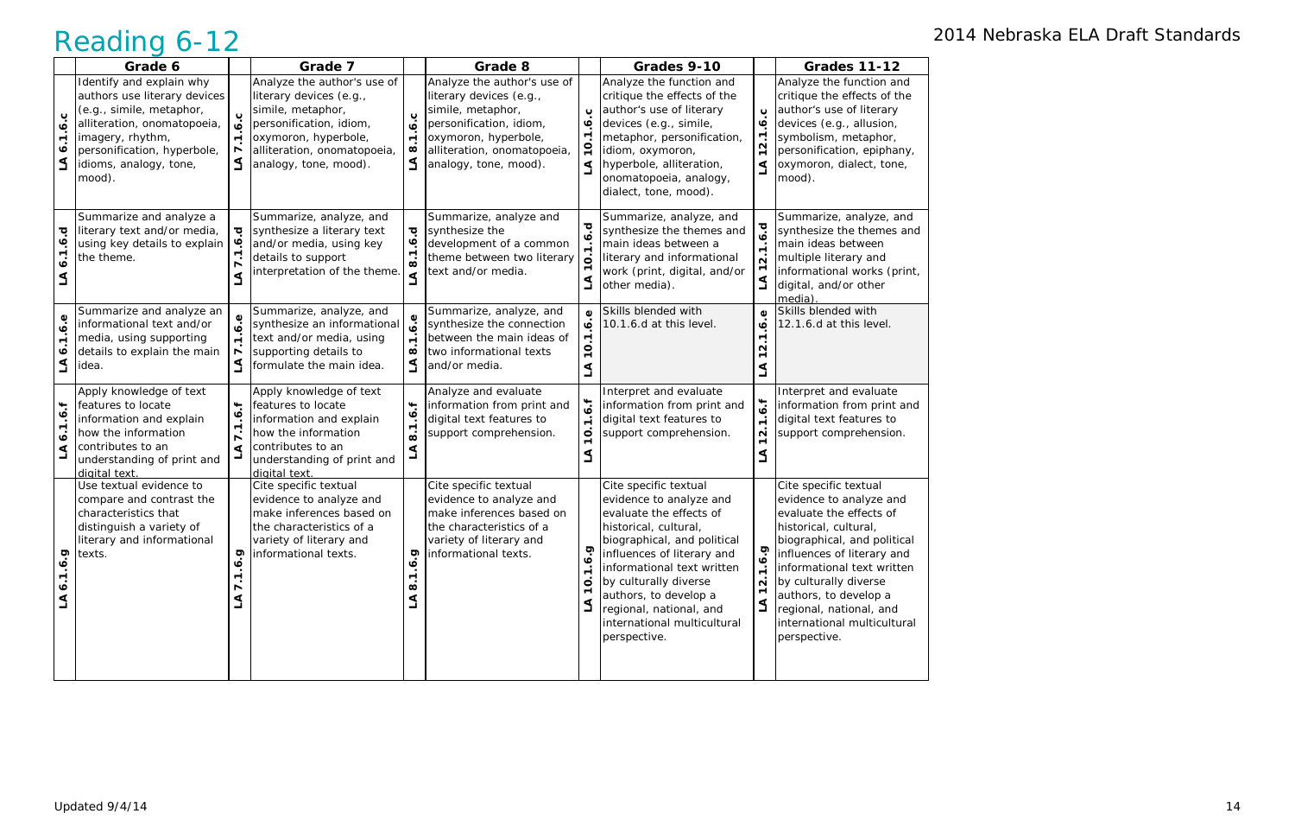|                                          | Grade 6                                                                                                                                                                                                    |                                | Grade 7                                                                                                                                                                                |                                                                                    | Grade 8                                                                                                                                                                                |                                                        | Grades 9-10                                                                                                                                                                                                                                                                                                                 |                                                                                    | <b>Grades 11-12</b>                                                                                                                                                                                                                                                                                                         |
|------------------------------------------|------------------------------------------------------------------------------------------------------------------------------------------------------------------------------------------------------------|--------------------------------|----------------------------------------------------------------------------------------------------------------------------------------------------------------------------------------|------------------------------------------------------------------------------------|----------------------------------------------------------------------------------------------------------------------------------------------------------------------------------------|--------------------------------------------------------|-----------------------------------------------------------------------------------------------------------------------------------------------------------------------------------------------------------------------------------------------------------------------------------------------------------------------------|------------------------------------------------------------------------------------|-----------------------------------------------------------------------------------------------------------------------------------------------------------------------------------------------------------------------------------------------------------------------------------------------------------------------------|
| ب<br>ڣ<br>$\blacktriangledown$<br>∾<br>L | Identify and explain why<br>authors use literary devices<br>(e.g., simile, metaphor,<br>alliteration, onomatopoeia,<br>imagery, rhythm,<br>personification, hyperbole,<br>idioms, analogy, tone,<br>mood). | ڹ<br>ة<br>$\blacktriangledown$ | Analyze the author's use of<br>literary devices (e.g.,<br>simile, metaphor,<br>personification, idiom,<br>oxymoron, hyperbole,<br>alliteration, onomatopoeia,<br>analogy, tone, mood). | $\mathbf{o}$<br>هٔ<br>$\blacksquare$<br>$\infty$<br>$\leq$                         | Analyze the author's use of<br>literary devices (e.g.,<br>simile, metaphor,<br>personification, idiom,<br>oxymoron, hyperbole,<br>alliteration, onomatopoeia,<br>analogy, tone, mood). | $\mathbf{o}$<br>∙<br>$\circ$<br>∢                      | Analyze the function and<br>critique the effects of the<br>author's use of literary<br>devices (e.g., simile,<br>metaphor, personification,<br>idiom, oxymoron,<br>hyperbole, alliteration,<br>onomatopoeia, analogy,<br>dialect, tone, mood).                                                                              | $\mathbf{o}$<br>$\bullet$<br>$\overline{\phantom{a}}$<br>N<br>$\mathbf{\tau}$<br>⋖ | Analyze the function and<br>critique the effects of the<br>author's use of literary<br>devices (e.g., allusion,<br>symbolism, metaphor,<br>personification, epiphany,<br>oxymoron, dialect, tone,<br>mood).                                                                                                                 |
| p.<br>o<br>۵                             | Summarize and analyze a<br>literary text and/or media,<br>using key details to explain<br>the theme.                                                                                                       | ত্<br>∾                        | Summarize, analyze, and<br>synthesize a literary text<br>and/or media, using key<br>details to support<br>interpretation of the theme.                                                 | ত্<br>$\dot{\mathbf{e}}$<br>$\overline{8}$<br>$\blacktriangleleft$                 | Summarize, analyze and<br>synthesize the<br>development of a common<br>theme between two literary<br>text and/or media.                                                                | ত<br>L                                                 | Summarize, analyze, and<br>synthesize the themes and<br>main ideas between a<br>literary and informational<br>work (print, digital, and/or<br>other media).                                                                                                                                                                 | 1.6.d<br>$\dot{\mathsf{N}}$<br>L                                                   | Summarize, analyze, and<br>synthesize the themes and<br>main ideas between<br>multiple literary and<br>informational works (print,<br>digital, and/or other<br>media)                                                                                                                                                       |
| ه.<br>ف<br>ง                             | Summarize and analyze an<br>informational text and/or<br>media, using supporting<br>details to explain the main<br>idea.                                                                                   |                                | Summarize, analyze, and<br>synthesize an informational<br>text and/or media, using<br>supporting details to<br>formulate the main idea.                                                | Φ<br>$\blacksquare$<br>$\infty$<br>$\Delta$                                        | Summarize, analyze, and<br>synthesize the connection<br>between the main ideas of<br>two informational texts<br>and/or media.                                                          | $\omega$<br>$\blacksquare$<br>0<br>$\overline{ }$<br>⋖ | Skills blended with<br>10.1.6.d at this level.                                                                                                                                                                                                                                                                              | $\omega$<br>$\bullet$<br>N                                                         | Skills blended with<br>12.1.6.d at this level.                                                                                                                                                                                                                                                                              |
| $\ddot{}$<br>ڣ<br>$\bullet$<br>⋖         | Apply knowledge of text<br>features to locate<br>information and explain<br>how the information<br>contributes to an<br>understanding of print and<br>digital text                                         | بب                             | Apply knowledge of text<br>features to locate<br>information and explain<br>how the information<br>contributes to an<br>understanding of print and<br>digital text.                    | $\ddot{}$<br>$\dot{\mathbf{e}}$<br>$\blacksquare$<br>$\dot{\infty}$<br>$\mathbf 1$ | Analyze and evaluate<br>information from print and<br>digital text features to<br>support comprehension.                                                                               | 6.f<br>$\blacksquare$<br>$\circ$<br>⋖                  | Interpret and evaluate<br>information from print and<br>digital text features to<br>support comprehension.                                                                                                                                                                                                                  | 1.6.1<br>$\mathbf{\Omega}$<br>⋖                                                    | Interpret and evaluate<br>information from print and<br>digital text features to<br>support comprehension.                                                                                                                                                                                                                  |
| <b>6.9</b><br>$\ddot{\bullet}$ .1<br>L   | Use textual evidence to<br>compare and contrast the<br>characteristics that<br>distinguish a variety of<br>literary and informational<br>texts.                                                            | င္<br>٣.<br>₹                  | Cite specific textual<br>evidence to analyze and<br>make inferences based on<br>the characteristics of a<br>variety of literary and<br>informational texts.                            | io.<br>O<br>$\blacktriangledown$<br>$\infty$<br>L                                  | Cite specific textual<br>evidence to analyze and<br>make inferences based on<br>the characteristics of a<br>variety of literary and<br>informational texts.                            | $\circ$                                                | Cite specific textual<br>evidence to analyze and<br>evaluate the effects of<br>historical, cultural,<br>biographical, and political<br>influences of literary and<br>informational text written<br>by culturally diverse<br>authors, to develop a<br>regional, national, and<br>international multicultural<br>perspective. | 1.6.9<br>$\overline{N}$<br>$\Delta$                                                | Cite specific textual<br>evidence to analyze and<br>evaluate the effects of<br>historical, cultural,<br>biographical, and political<br>influences of literary and<br>informational text written<br>by culturally diverse<br>authors, to develop a<br>regional, national, and<br>international multicultural<br>perspective. |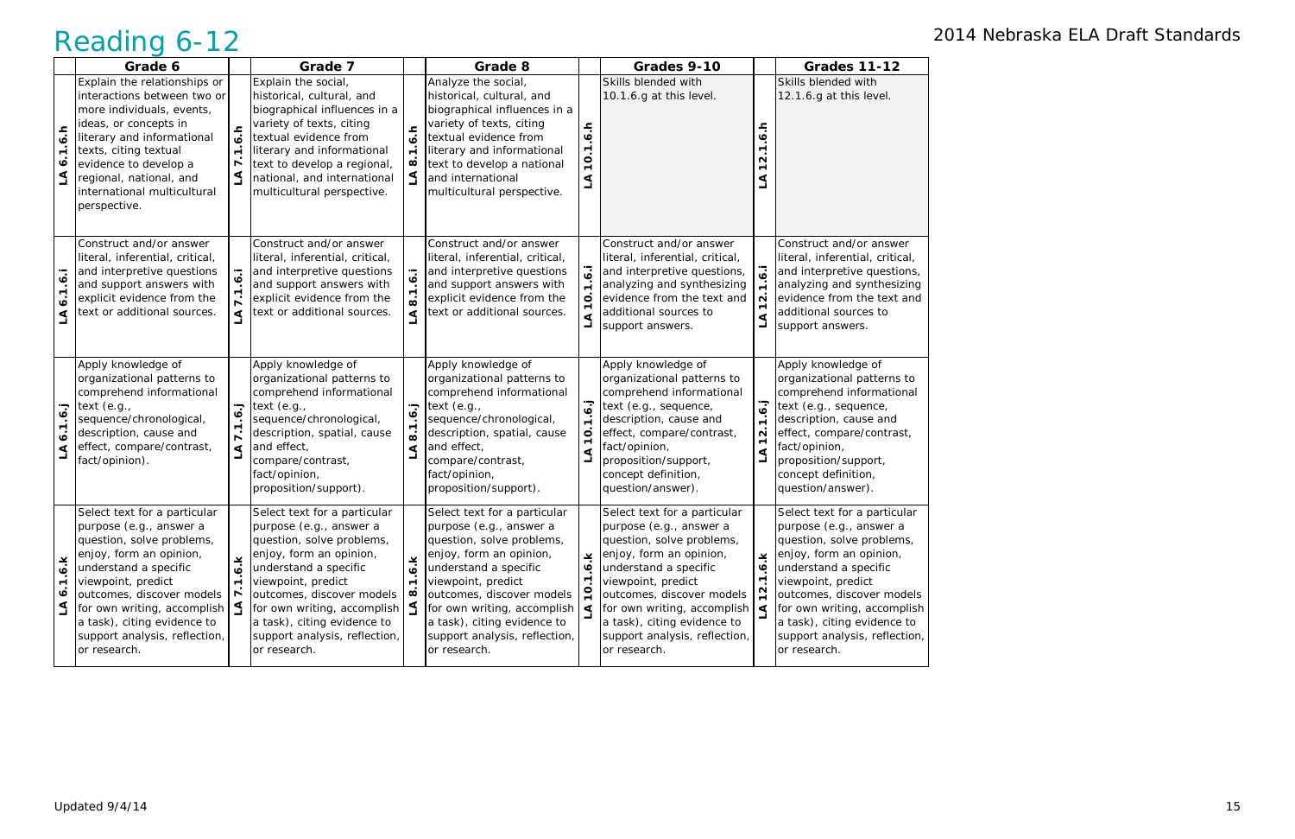|                                                         | Grade 6                                                                                                                                                                                                                                                                                                    |                                  | Grade 7                                                                                                                                                                                                                                                                                                                  |                                                            | Grade 8                                                                                                                                                                                                                                                                                                           |                  | Grades 9-10                                                                                                                                                                                                                                                                                                       |                                                                    | <b>Grades 11-12</b>                                                                                                                                                                                                                                                                                        |
|---------------------------------------------------------|------------------------------------------------------------------------------------------------------------------------------------------------------------------------------------------------------------------------------------------------------------------------------------------------------------|----------------------------------|--------------------------------------------------------------------------------------------------------------------------------------------------------------------------------------------------------------------------------------------------------------------------------------------------------------------------|------------------------------------------------------------|-------------------------------------------------------------------------------------------------------------------------------------------------------------------------------------------------------------------------------------------------------------------------------------------------------------------|------------------|-------------------------------------------------------------------------------------------------------------------------------------------------------------------------------------------------------------------------------------------------------------------------------------------------------------------|--------------------------------------------------------------------|------------------------------------------------------------------------------------------------------------------------------------------------------------------------------------------------------------------------------------------------------------------------------------------------------------|
| $-6.5$<br>$\blacktriangledown$<br>$\bullet$<br>$\Delta$ | Explain the relationships or<br>interactions between two or<br>more individuals, events,<br>ideas, or concepts in<br>literary and informational<br>texts, citing textual<br>evidence to develop a<br>regional, national, and<br>international multicultural<br>perspective.                                | $\overline{ }$<br>$\overline{ }$ | Explain the social,<br>historical, cultural, and<br>biographical influences in a<br>variety of texts, citing<br>textual evidence from<br>literary and informational<br>text to develop a regional,<br>national, and international<br>multicultural perspective.                                                          | $-6.5$<br>$\blacktriangledown$<br>$\infty$<br>$\mathbf{S}$ | Analyze the social,<br>historical, cultural, and<br>biographical influences in a<br>variety of texts, citing<br>textual evidence from<br>literary and informational<br>text to develop a national<br>and international<br>multicultural perspective.                                                              | 1.6.h<br>Ö,<br>L | Skills blended with<br>10.1.6.g at this level.                                                                                                                                                                                                                                                                    | ۽<br>$\bullet$<br>᠇<br>N<br>⋖                                      | Skills blended with<br>12.1.6.g at this level.                                                                                                                                                                                                                                                             |
| $\overline{6}$<br>$\blacksquare$<br>هٔ<br>ے             | Construct and/or answer<br>literal, inferential, critical,<br>and interpretive questions<br>and support answers with<br>explicit evidence from the<br>text or additional sources.                                                                                                                          | ⋖                                | Construct and/or answer<br>literal, inferential, critical,<br>and interpretive questions<br>and support answers with<br>explicit evidence from the<br>text or additional sources.                                                                                                                                        | $\overline{6}$<br>⋖                                        | Construct and/or answer<br>literal, inferential, critical,<br>and interpretive questions<br>and support answers with<br>explicit evidence from the<br>text or additional sources.                                                                                                                                 | $\circ$          | Construct and/or answer<br>literal, inferential, critical,<br>and interpretive questions,<br>analyzing and synthesizing<br>evidence from the text and<br>additional sources to<br>support answers.                                                                                                                | $\sim$<br>⋖<br>ᆜ                                                   | Construct and/or answer<br>literal, inferential, critical,<br>and interpretive questions,<br>analyzing and synthesizing<br>evidence from the text and<br>additional sources to<br>support answers.                                                                                                         |
| 1.6.<br>$\dot{\bullet}$<br>⋖                            | Apply knowledge of<br>organizational patterns to<br>comprehend informational<br>text $(e.g.,$<br>sequence/chronological,<br>description, cause and<br>effect, compare/contrast,<br>fact/opinion).                                                                                                          | ⋖                                | Apply knowledge of<br>organizational patterns to<br>comprehend informational<br>text $(e.g.,$<br>sequence/chronological,<br>description, spatial, cause<br>and effect,<br>compare/contrast,<br>fact/opinion,<br>proposition/support).                                                                                    | $\ddot{6}$ .<br>$\dot{\infty}$<br>⋖                        | Apply knowledge of<br>organizational patterns to<br>comprehend informational<br>text $(e.g.,$<br>sequence/chronological,<br>description, spatial, cause<br>and effect,<br>compare/contrast,<br>fact/opinion,<br>proposition/support).                                                                             | $\circ$          | Apply knowledge of<br>organizational patterns to<br>comprehend informational<br>text (e.g., sequence,<br>description, cause and<br>effect, compare/contrast,<br>fact/opinion,<br>proposition/support,<br>concept definition,<br>question/answer).                                                                 | <b>i</b> ء<br>$\div$<br>$\sim$<br>$\blacktriangledown$<br>$\Delta$ | Apply knowledge of<br>organizational patterns to<br>comprehend informational<br>text (e.g., sequence,<br>description, cause and<br>effect, compare/contrast,<br>fact/opinion,<br>proposition/support,<br>concept definition,<br>question/answer).                                                          |
| ¥<br>؋<br>$\blacktriangledown$<br>$\bullet$<br>$\Delta$ | Select text for a particular<br>purpose (e.g., answer a<br>question, solve problems,<br>enjoy, form an opinion,<br>understand a specific<br>viewpoint, predict<br>outcomes, discover models<br>for own writing, accomplish<br>a task), citing evidence to<br>support analysis, reflection,<br>or research. | $\frac{1}{2}$<br><u>گ</u>        | Select text for a particular<br>purpose (e.g., answer a<br>question, solve problems,<br>enjoy, form an opinion,<br>understand a specific<br>viewpoint, predict<br>outcomes, discover models<br>for own writing, accomplish $\frac{1}{2}$<br>a task), citing evidence to<br>support analysis, reflection,<br>or research. | 6.<br>$\blacksquare$<br>œ                                  | Select text for a particular<br>purpose (e.g., answer a<br>question, solve problems,<br>enjoy, form an opinion,<br>understand a specific<br>viewpoint, predict<br>outcomes, discover models<br>for own writing, accomplish $\leq$<br>a task), citing evidence to<br>support analysis, reflection,<br>or research. | ¥<br>$\bullet$   | Select text for a particular<br>purpose (e.g., answer a<br>question, solve problems,<br>enjoy, form an opinion,<br>understand a specific<br>viewpoint, predict<br>outcomes, discover models<br>for own writing, accomplish $\leq$<br>a task), citing evidence to<br>support analysis, reflection,<br>or research. | $\pmb{\times}$<br>$\bullet$<br>$\overline{ }$<br>$\frac{2}{3}$     | Select text for a particular<br>purpose (e.g., answer a<br>question, solve problems,<br>enjoy, form an opinion,<br>understand a specific<br>viewpoint, predict<br>outcomes, discover models<br>for own writing, accomplish<br>a task), citing evidence to<br>support analysis, reflection,<br>or research. |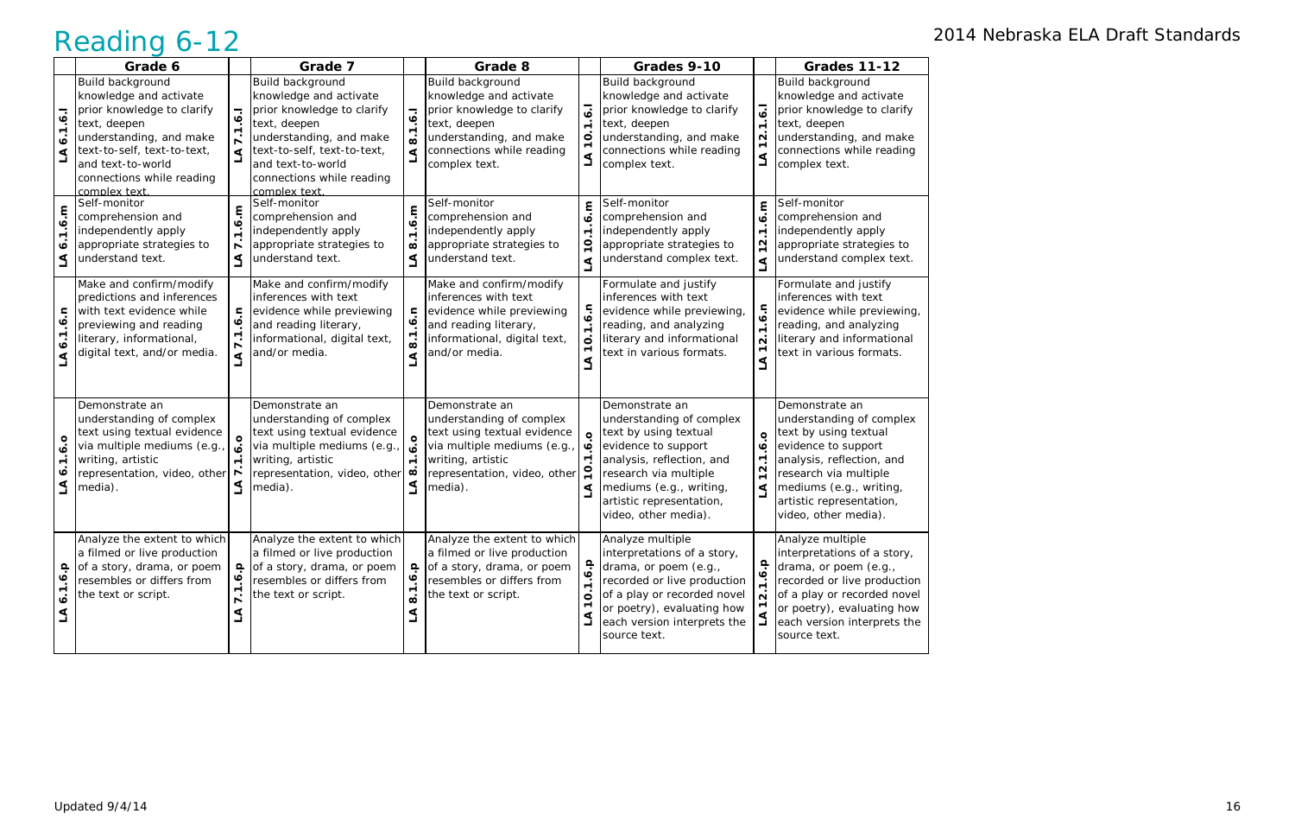|                                                   | Grade 6                                                                                                                                                                                                              |                           | Grade 7                                                                                                                                                                                                              |                                                                         | Grade 8                                                                                                                                                                 |                                              | Grades 9-10                                                                                                                                                                                                                     |                                                                                               | <b>Grades 11-12</b>                                                                                                                                                                                                             |
|---------------------------------------------------|----------------------------------------------------------------------------------------------------------------------------------------------------------------------------------------------------------------------|---------------------------|----------------------------------------------------------------------------------------------------------------------------------------------------------------------------------------------------------------------|-------------------------------------------------------------------------|-------------------------------------------------------------------------------------------------------------------------------------------------------------------------|----------------------------------------------|---------------------------------------------------------------------------------------------------------------------------------------------------------------------------------------------------------------------------------|-----------------------------------------------------------------------------------------------|---------------------------------------------------------------------------------------------------------------------------------------------------------------------------------------------------------------------------------|
| 1.6.1<br>$\ddot{\mathbf{o}}$<br>L                 | Build background<br>knowledge and activate<br>prior knowledge to clarify<br>text, deepen<br>understanding, and make<br>text-to-self, text-to-text,<br>and text-to-world<br>connections while reading<br>complex text | ⋖                         | Build background<br>knowledge and activate<br>prior knowledge to clarify<br>text, deepen<br>understanding, and make<br>text-to-self, text-to-text,<br>and text-to-world<br>connections while reading<br>complex text | 1.6.1<br>$\dot{\infty}$<br>$\Delta$                                     | Build background<br>knowledge and activate<br>prior knowledge to clarify<br>text, deepen<br>understanding, and make<br>connections while reading<br>complex text.       | $\overline{6}$<br>$\div$<br>$\circ$          | Build background<br>knowledge and activate<br>prior knowledge to clarify<br>text, deepen<br>understanding, and make<br>connections while reading<br>complex text.                                                               | $\overline{6}$<br>$\blacktriangledown$<br>$\mathbf{\Omega}$<br>گ                              | Build background<br>knowledge and activate<br>prior knowledge to clarify<br>text, deepen<br>understanding, and make<br>connections while reading<br>complex text.                                                               |
| 6.m<br>$\div$<br>$\bullet$<br>گ                   | Self-monitor<br>comprehension and<br>independently apply<br>appropriate strategies to<br>understand text.                                                                                                            | έ<br>$\mathbf{\tau}$<br>⋖ | Self-monitor<br>comprehension and<br>independently apply<br>appropriate strategies to<br>understand text.                                                                                                            | 6.m<br>$\cdot$<br>$\infty$<br>$\Delta$                                  | Self-monitor<br>comprehension and<br>independently apply<br>appropriate strategies to<br>understand text.                                                               | 6.5<br>$\blacksquare$<br>$\circ$<br>$\Delta$ | Self-monitor<br>comprehension and<br>independently apply<br>appropriate strategies to<br>understand complex text.                                                                                                               | ε<br>ؘ؋<br>$\blacksquare$<br>$\mathbf{\Omega}$<br>$\mathbf{\tau}$<br>$\blacktriangleleft$     | Self-monitor<br>comprehension and<br>independently apply<br>appropriate strategies to<br>understand complex text.                                                                                                               |
| 0.9.<br>$\blacksquare$<br>∾<br>⋖                  | Make and confirm/modify<br>predictions and inferences<br>with text evidence while<br>previewing and reading<br>literary, informational,<br>digital text, and/or media.                                               | E<br>⋖                    | Make and confirm/modify<br>inferences with text<br>evidence while previewing<br>and reading literary,<br>informational, digital text,<br>and/or media.                                                               | 6.5<br>ထဲ<br>⋖                                                          | Make and confirm/modify<br>inferences with text<br>evidence while previewing<br>and reading literary,<br>informational, digital text,<br>and/or media.                  | G.n<br>$\cdot$<br>$\mathbf{o}$               | Formulate and justify<br>inferences with text<br>evidence while previewing,<br>reading, and analyzing<br>literary and informational<br>text in various formats.                                                                 | 6.7<br>$\div$<br>$\overline{\mathsf{N}}$<br>$\overline{\phantom{0}}$<br>⋖                     | Formulate and justify<br>inferences with text<br>evidence while previewing,<br>reading, and analyzing<br>literary and informational<br>text in various formats.                                                                 |
| ó<br>؋<br>$\blacktriangledown$<br>$\bullet$<br>LA | Demonstrate an<br>understanding of complex<br>text using textual evidence<br>via multiple mediums (e.g.,<br>writing, artistic<br>representation, video, other   ~<br>media).                                         | $\circ$                   | Demonstrate an<br>understanding of complex<br>text using textual evidence<br>via multiple mediums (e.g.,<br>writing, artistic<br>representation, video, other $\infty$<br>media).                                    | $\dot{\mathbf{o}}$<br>$\blacksquare$<br>L                               | Demonstrate an<br>understanding of complex<br>text using textual evidence<br>via multiple mediums (e.g.<br>writing, artistic<br>representation, video, other<br>media). | $\circ$<br>$\bullet$<br>⋖                    | Demonstrate an<br>understanding of complex<br>text by using textual<br>evidence to support<br>analysis, reflection, and<br>research via multiple<br>mediums (e.g., writing,<br>artistic representation,<br>video, other media). | $\circ$<br>$\ddot{\mathbf{0}}$<br>$\overline{ }$<br>$\mathbf{\Omega}$<br>$\mathbf{\tau}$<br>⋖ | Demonstrate an<br>understanding of complex<br>text by using textual<br>evidence to support<br>analysis, reflection, and<br>research via multiple<br>mediums (e.g., writing,<br>artistic representation,<br>video, other media). |
| ڢ<br>؋<br>$\blacktriangledown$<br>$\bullet$<br>L  | Analyze the extent to which<br>a filmed or live production<br>of a story, drama, or poem<br>resembles or differs from<br>the text or script.                                                                         | ∾<br>L                    | Analyze the extent to which<br>a filmed or live production<br>of a story, drama, or poem<br>resembles or differs from<br>the text or script.                                                                         | $\frac{\mathsf{o}}{\cdot}$<br>$\dot{\mathbf{e}}$<br>$\overline{8}$<br>L | Analyze the extent to which<br>a filmed or live production<br>of a story, drama, or poem<br>resembles or differs from<br>the text or script.                            | 1.6. p<br>$\circ$                            | Analyze multiple<br>interpretations of a story,<br>drama, or poem (e.g.,<br>recorded or live production<br>of a play or recorded novel<br>or poetry), evaluating how<br>each version interprets the<br>source text.             | $\ddot{\bullet}$ .p<br>$\overline{N}$                                                         | Analyze multiple<br>interpretations of a story,<br>drama, or poem (e.g.,<br>recorded or live production<br>of a play or recorded novel<br>or poetry), evaluating how<br>each version interprets the<br>source text.             |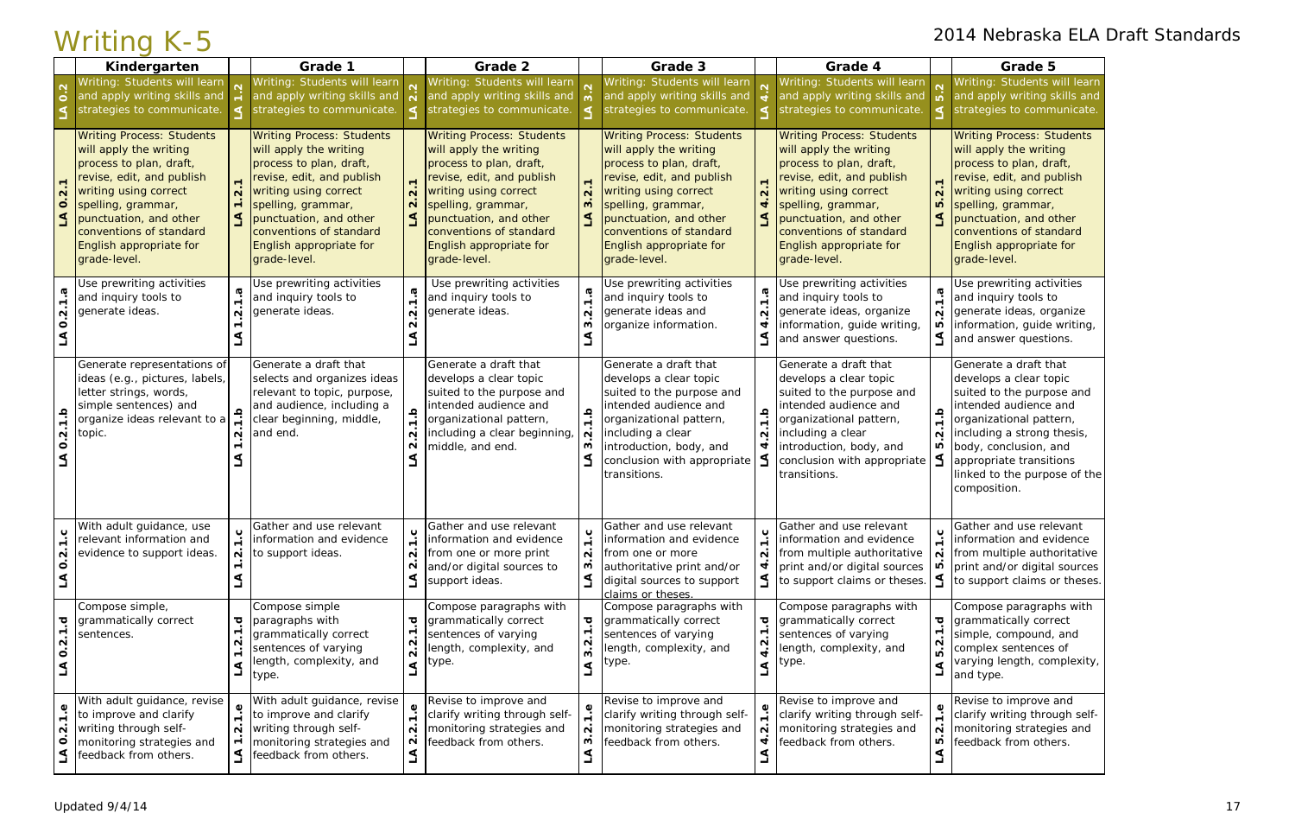Writing: Students will learn and apply writing skills and strategies to communicate.

Writing Process: Students will apply the writing process to plan, draft, revise, edit, and publish writing using correct spelling, grammar, punctuation, and other conventions of standard English appropriate for grade-level.

Use prewriting activities and inquiry tools to generate ideas, organize information, guide writing, and answer questions.

|                                                                                  | Kindergarten                                                                                                                                                                                                                                                      |                    | Grade 1                                                                                                                                                                                                                                                           |                                              | Grade 2                                                                                                                                                                                                                                                           |                             | Grade 3                                                                                                                                                                                                                                                           |                   | Grade 4                                                                                                                                                                                                                                                           |                                                  | Grade 5                                                                                                                                                                                                                                |
|----------------------------------------------------------------------------------|-------------------------------------------------------------------------------------------------------------------------------------------------------------------------------------------------------------------------------------------------------------------|--------------------|-------------------------------------------------------------------------------------------------------------------------------------------------------------------------------------------------------------------------------------------------------------------|----------------------------------------------|-------------------------------------------------------------------------------------------------------------------------------------------------------------------------------------------------------------------------------------------------------------------|-----------------------------|-------------------------------------------------------------------------------------------------------------------------------------------------------------------------------------------------------------------------------------------------------------------|-------------------|-------------------------------------------------------------------------------------------------------------------------------------------------------------------------------------------------------------------------------------------------------------------|--------------------------------------------------|----------------------------------------------------------------------------------------------------------------------------------------------------------------------------------------------------------------------------------------|
| $\overline{\mathsf{c}}$                                                          | Writing: Students will learn<br>and apply writing skills and<br>strategies to communicate.                                                                                                                                                                        |                    | Writing: Students will learn<br>and apply writing skills and<br>strategies to communicate.                                                                                                                                                                        |                                              | Writing: Students will learn<br>and apply writing skills and<br>strategies to communicate.                                                                                                                                                                        |                             | Writing: Students will learn<br>and apply writing skills and<br>strategies to communicate.                                                                                                                                                                        |                   | Writing: Students will learn<br>and apply writing skills and<br>strategies to communicate.                                                                                                                                                                        |                                                  | Writing: Students v<br>and apply writing s<br>strategies to comm                                                                                                                                                                       |
| $\overline{N}$<br>$\circ$<br>$\Delta$                                            | <b>Writing Process: Students</b><br>will apply the writing<br>process to plan, draft,<br>revise, edit, and publish<br>writing using correct<br>spelling, grammar,<br>punctuation, and other<br>conventions of standard<br>English appropriate for<br>grade-level. |                    | <b>Writing Process: Students</b><br>will apply the writing<br>process to plan, draft,<br>revise, edit, and publish<br>writing using correct<br>spelling, grammar,<br>punctuation, and other<br>conventions of standard<br>English appropriate for<br>grade-level. | $\overline{N}$<br>$\mathbf{\Omega}$          | <b>Writing Process: Students</b><br>will apply the writing<br>process to plan, draft,<br>revise, edit, and publish<br>writing using correct<br>spelling, grammar,<br>punctuation, and other<br>conventions of standard<br>English appropriate for<br>grade-level. | w                           | <b>Writing Process: Students</b><br>will apply the writing<br>process to plan, draft,<br>revise, edit, and publish<br>writing using correct<br>spelling, grammar,<br>punctuation, and other<br>conventions of standard<br>English appropriate for<br>grade-level. | $\mathbf{\Omega}$ | <b>Writing Process: Students</b><br>will apply the writing<br>process to plan, draft,<br>revise, edit, and publish<br>writing using correct<br>spelling, grammar,<br>punctuation, and other<br>conventions of standard<br>English appropriate for<br>grade-level. | $\overline{ }$<br>$\mathbf{\Omega}$<br><b>LO</b> | <b>Writing Process: St</b><br>will apply the writir<br>process to plan, dra<br>revise, edit, and pu<br>writing using corred<br>spelling, grammar,<br>punctuation, and of<br>conventions of star<br>English appropriate<br>grade-level. |
| ø<br>$\blacksquare$<br>$\dot{\mathbf{N}}$<br>$\circ$                             | Use prewriting activities<br>and inquiry tools to<br>generate ideas.                                                                                                                                                                                              | ᠬᠣ<br>$\sim$       | Use prewriting activities<br>and inquiry tools to<br>generate ideas.                                                                                                                                                                                              | ω<br>$\mathbf{\Omega}$                       | Use prewriting activities<br>and inquiry tools to<br>generate ideas.                                                                                                                                                                                              | o<br>$\sim$                 | Use prewriting activities<br>and inquiry tools to<br>generate ideas and<br>organize information.                                                                                                                                                                  | ত্<br>N           | Use prewriting activities<br>and inquiry tools to<br>generate ideas, organize<br>information, guide writing,<br>and answer questions.                                                                                                                             | $\frac{1}{9}$<br>$\mathbf{\tilde{N}}$<br>Ю       | Use prewriting activ<br>and inquiry tools to<br>generate ideas, org<br>information, guide<br>and answer questic                                                                                                                        |
| $\frac{a}{1}$<br>$\overline{0}$ .<br>ے                                           | Generate representations of<br>ideas (e.g., pictures, labels,<br>letter strings, words,<br>simple sentences) and<br>organize ideas relevant to a<br>topic.                                                                                                        | $\sim$             | Generate a draft that<br>selects and organizes ideas<br>relevant to topic, purpose,<br>and audience, including a<br>clear beginning, middle,<br>and end.                                                                                                          | ڢ<br>$\sim$<br>$\mathbf 2$                   | Generate a draft that<br>develops a clear topic<br>suited to the purpose and<br>intended audience and<br>organizational pattern,<br>including a clear beginning,<br>middle, and end.                                                                              | ڢ<br>$\mathbf{\Omega}$<br>ო | Generate a draft that<br>develops a clear topic<br>suited to the purpose and<br>intended audience and<br>organizational pattern,<br>including a clear<br>introduction, body, and<br>conclusion with appropriate<br>transitions.                                   | م<br>م<br>N       | Generate a draft that<br>develops a clear topic<br>suited to the purpose and<br>intended audience and<br>organizational pattern,<br>including a clear<br>introduction, body, and<br>conclusion with appropriate<br>transitions.                                   | $\frac{q}{7}$<br>$\mathbf{\Omega}$               | Generate a draft th<br>develops a clear to<br>suited to the purpo<br>intended audience<br>organizational patt<br>including a strong t<br>body, conclusion, a<br>appropriate transiti<br>linked to the purpo<br>composition.            |
| $\overline{ }$<br>$0.\overline{2}$<br>$\Delta$                                   | With adult quidance, use<br>relevant information and<br>evidence to support ideas.                                                                                                                                                                                | $\mathbf{\Omega}$  | Gather and use relevant<br>information and evidence<br>to support ideas.                                                                                                                                                                                          | $\sim$<br>N<br>$\blacktriangleleft$          | Gather and use relevant<br>information and evidence<br>from one or more print<br>and/or digital sources to<br>support ideas.                                                                                                                                      | $\mathbf{\Omega}$<br>ო      | Gather and use relevant<br>information and evidence<br>from one or more<br>authoritative print and/or<br>digital sources to support<br>claims or theses.                                                                                                          | $\mathbf{\Omega}$ | Gather and use relevant<br>information and evidence<br>from multiple authoritative<br>print and/or digital sources<br>to support claims or theses.                                                                                                                | $\mathbf{\Omega}$<br>ഥ<br>S                      | Gather and use rele<br>information and ev<br>from multiple autho<br>print and/or digital<br>to support claims o                                                                                                                        |
| ত্<br>$\overline{ }$<br>$0.\overline{2}$<br>کا                                   | Compose simple,<br>grammatically correct<br>sentences.                                                                                                                                                                                                            | ত<br>N<br>$\Delta$ | Compose simple<br>paragraphs with<br>grammatically correct<br>sentences of varying<br>length, complexity, and<br>type.                                                                                                                                            | ত্<br>N<br>$\dot{\mathsf n}$<br>$\mathbf{z}$ | Compose paragraphs with<br>grammatically correct<br>sentences of varying<br>length, complexity, and<br>ltype.                                                                                                                                                     | ਹ<br>w<br>$\Delta$          | Compose paragraphs with<br>grammatically correct<br>sentences of varying<br>length, complexity, and<br>type.                                                                                                                                                      | ত<br>⊄            | Compose paragraphs with<br>grammatically correct<br>sentences of varying<br>length, complexity, and<br>type.                                                                                                                                                      | ত্<br>$\blacksquare$<br>N<br>ഥ                   | Compose paragrapl<br>grammatically corre<br>simple, compound,<br>complex sentences<br>varying length, con<br>and type.                                                                                                                 |
| به<br>$\blacktriangledown$<br>$\dot{\mathbf{N}}$<br>$\overline{\mathbf{o}}$<br>₹ | With adult guidance, revise<br>to improve and clarify<br>writing through self-<br>monitoring strategies and<br>feedback from others.                                                                                                                              | $\sim$             | With adult guidance, revise<br>to improve and clarify<br>writing through self-<br>monitoring strategies and<br>feedback from others.                                                                                                                              | $\mathbf{\Omega}$<br>$\mathbf{\Omega}$<br>₹  | Revise to improve and<br>clarify writing through self-<br>monitoring strategies and<br>feedback from others.                                                                                                                                                      | N<br>ო                      | Revise to improve and<br>clarify writing through self-<br>monitoring strategies and<br>feedback from others.                                                                                                                                                      | N<br>4            | Revise to improve and<br>clarify writing through self-<br>monitoring strategies and<br>feedback from others.                                                                                                                                                      | $\frac{6}{1}$<br>N<br>ro                         | Revise to improve a<br>clarify writing throu<br>monitoring strategi<br>feedback from othe                                                                                                                                              |

Generate a draft that develops a clear topic suited to the purpose and intended audience and organizational pattern, including a strong thesis, body, conclusion, and appropriate transitions linked to the purpose of the composition.

Gather and use relevant information and evidence from multiple authoritative print and/or digital sources to support claims or theses.

Compose paragraphs with grammatically correct simple, compound, and complex sentences of varying length, complexity, and type.

Revise to improve and clarify writing through selfmonitoring strategies and feedback from others.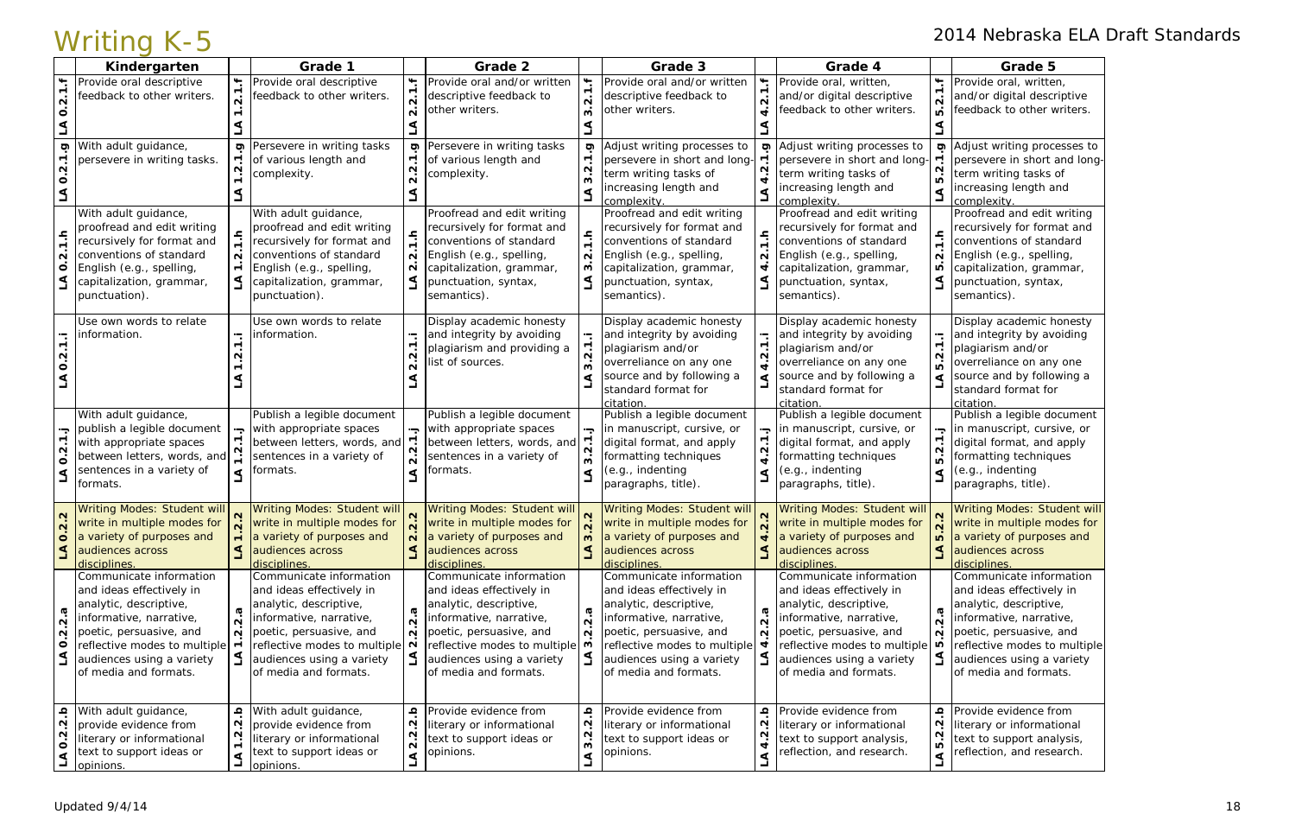|                                               | VVIILII IYI IN U                                   |                       |                                                                                            |                                        | Grade 2                                            |                     | Grade 3                                            |                                        |                                                    |                                      |                                                    |
|-----------------------------------------------|----------------------------------------------------|-----------------------|--------------------------------------------------------------------------------------------|----------------------------------------|----------------------------------------------------|---------------------|----------------------------------------------------|----------------------------------------|----------------------------------------------------|--------------------------------------|----------------------------------------------------|
| ۳.                                            | Kindergarten<br>Provide oral descriptive           | ۳.                    | Grade 1<br>Provide oral descriptive                                                        | ۴.                                     | Provide oral and/or written                        |                     | Provide oral and/or written                        | $\ddot{ }$                             | Grade 4<br>Provide oral, written,                  | ┶                                    | Grade 5<br>Provide oral, written,                  |
|                                               | feedback to other writers.                         |                       | feedback to other writers.                                                                 |                                        | descriptive feedback to                            |                     | descriptive feedback to                            | 2.1                                    | and/or digital descriptive                         |                                      | and/or digital descriptive                         |
| $\dot{\mathsf n}$<br>$\circ$                  |                                                    |                       |                                                                                            |                                        | other writers.                                     |                     | other writers.                                     |                                        | eedback to other writers.                          | $\mathbf{\Omega}$<br>$\overline{a}$  | feedback to other writers.                         |
|                                               |                                                    |                       |                                                                                            |                                        |                                                    |                     |                                                    |                                        |                                                    |                                      |                                                    |
|                                               |                                                    |                       |                                                                                            |                                        |                                                    |                     |                                                    |                                        |                                                    |                                      |                                                    |
| Ģ                                             | With adult guidance,                               |                       | <b>ס</b> Persevere in writing tasks                                                        | ō                                      | Persevere in writing tasks                         | Ō)                  | Adjust writing processes to                        | g                                      | Adjust writing processes to                        | <b>වා</b>                            | Adjust writing processes to                        |
| $\dot{\mathsf{N}}$                            | persevere in writing tasks.                        | $\mathbf{\Omega}$     | of various length and                                                                      |                                        | of various length and                              |                     | persevere in short and long-                       | $\sim$                                 | persevere in short and long-                       | $\mathbf{\Omega}$                    | persevere in short and long-                       |
| $\circ$                                       |                                                    |                       | complexity.                                                                                |                                        | complexity.                                        |                     | term writing tasks of<br>increasing length and     | नं                                     | term writing tasks of<br>increasing length and     | $\overline{10}$                      | term writing tasks of<br>increasing length and     |
|                                               |                                                    |                       |                                                                                            |                                        |                                                    |                     | complexity.                                        | ⋖<br>⊐                                 | complexity.                                        | ⋖                                    | complexity.                                        |
|                                               | With adult guidance,                               |                       | With adult guidance,                                                                       |                                        | Proofread and edit writing                         |                     | Proofread and edit writing                         |                                        | Proofread and edit writing                         |                                      | Proofread and edit writing                         |
|                                               | proofread and edit writing                         |                       | proofread and edit writing                                                                 |                                        | recursively for format and                         |                     | recursively for format and                         |                                        | recursively for format and                         |                                      | recursively for format and                         |
| $\frac{1}{2}$                                 | recursively for format and                         |                       | recursively for format and                                                                 |                                        | conventions of standard                            |                     | conventions of standard                            | $\frac{1}{1}$                          | conventions of standard                            | $\frac{1}{2}$                        | conventions of standard                            |
| $\sim$                                        | conventions of standard                            | $\mathbf{\Omega}$     | conventions of standard                                                                    | $\sim$                                 | English (e.g., spelling,                           | $\mathbf{\Omega}$   | English (e.g., spelling,                           | $\mathbf{\Omega}$                      | English (e.g., spelling,                           | $\mathbf{\Omega}$                    | English (e.g., spelling,                           |
| $\overline{\mathbf{o}}$                       | English (e.g., spelling,                           | $\overline{ }$        | English (e.g., spelling,                                                                   | N                                      | capitalization, grammar,                           |                     | capitalization, grammar,                           | 4                                      | capitalization, grammar,                           | ru                                   | capitalization, grammar,                           |
| $\Delta$                                      | capitalization, grammar,                           |                       | capitalization, grammar,                                                                   |                                        | punctuation, syntax,                               |                     | punctuation, syntax,                               | ے                                      | punctuation, syntax,                               | $\trianglelefteq$                    | punctuation, syntax,                               |
|                                               | punctuation).                                      |                       | punctuation).                                                                              |                                        | semantics).                                        |                     | semantics).                                        |                                        | semantics).                                        |                                      | semantics).                                        |
|                                               | Use own words to relate                            |                       | Use own words to relate                                                                    |                                        | Display academic honesty                           |                     | Display academic honesty                           |                                        | Display academic honesty                           |                                      | Display academic honesty                           |
| $\ddot{ }$                                    | information.                                       |                       | information.                                                                               | ۰.                                     | and integrity by avoiding                          |                     | and integrity by avoiding                          | Н.                                     | and integrity by avoiding                          | $\mathbin{\blacksquare}$             | and integrity by avoiding                          |
|                                               |                                                    |                       |                                                                                            |                                        | plagiarism and providing a                         |                     | plagiarism and/or                                  | 2.1                                    | plagiarism and/or                                  | $\blacksquare$<br>$\dot{\mathsf{N}}$ | plagiarism and/or                                  |
| N<br>O                                        |                                                    |                       |                                                                                            | $\mathbf{\Omega}$                      | list of sources.                                   |                     | overreliance on any one                            | 4                                      | overreliance on any one                            | ம்                                   | overreliance on any one                            |
|                                               |                                                    |                       |                                                                                            |                                        |                                                    |                     | source and by following a                          | ⋖                                      | source and by following a                          | ⋖                                    | source and by following a                          |
|                                               |                                                    |                       |                                                                                            |                                        |                                                    | standard format for |                                                    | standard format for                    |                                                    | standard format for                  |                                                    |
|                                               | With adult guidance,                               |                       | Publish a legible document                                                                 |                                        | Publish a legible document                         |                     | citation<br>Publish a legible document             |                                        | citation<br>Publish a legible document             |                                      | citation<br>Publish a legible document             |
|                                               | publish a legible document                         | Ļ.                    | with appropriate spaces                                                                    | Ļ.                                     | with appropriate spaces                            |                     | in manuscript, cursive, or                         | Ļ.                                     | in manuscript, cursive, or                         |                                      | in manuscript, cursive, or                         |
| $\overline{1}$ .                              | with appropriate spaces                            |                       | between letters, words, and                                                                |                                        | between letters, words, and                        |                     | digital format, and apply                          | ٣                                      | digital format, and apply                          | $\overline{ }$                       | digital format, and apply                          |
| $\dot{\mathbf{N}}$<br>$\dot{\mathbf{o}}$      | between letters, words, and                        |                       | sentences in a variety of                                                                  |                                        | sentences in a variety of                          |                     | formatting techniques                              | $\dot{\mathbf{N}}$<br>$\vec{r}$        | formatting techniques                              | $\dot{\mathsf{N}}$<br>ம்             | formatting techniques                              |
| $\mathbf 3$                                   | sentences in a variety of                          | $\blacktriangleleft$  | formats.                                                                                   |                                        | formats.                                           |                     | (e.g., indenting                                   | ⋖                                      | (e.g., indenting                                   | $\Delta$                             | (e.g., indenting                                   |
|                                               | formats.                                           |                       |                                                                                            |                                        |                                                    |                     | paragraphs, title).                                |                                        | paragraphs, title).                                |                                      | paragraphs, title).                                |
|                                               |                                                    |                       |                                                                                            |                                        | Writing Modes: Student will                        |                     | Writing Modes: Student will N                      |                                        | Writing Modes: Student will                        |                                      | <b>Writing Modes: Student will</b>                 |
| $\mathbf{N}$                                  | write in multiple modes for                        |                       | Writing Modes: Student will N Writing Modes: Student will N<br>write in multiple modes for |                                        | write in multiple modes for                        |                     | write in multiple modes for                        |                                        | write in multiple modes for                        |                                      | write in multiple modes for                        |
| $\mathbf{\Omega}$<br>$\circ$                  | a variety of purposes and                          | $\blacksquare$        | a variety of purposes and                                                                  | $\sim$                                 | a variety of purposes and                          | w                   | a variety of purposes and                          | $\overline{\phantom{a}}$               | a variety of purposes and                          | <b>IO</b>                            | a variety of purposes and                          |
| $\Delta$                                      | audiences across                                   |                       | audiences across                                                                           | $\triangleleft$                        | audiences across                                   |                     | audiences across                                   | $\mathbf 1$                            | audiences across                                   | $\triangleleft$                      | audiences across                                   |
|                                               | disciplines.                                       |                       | disciplines.                                                                               |                                        | disciplines.                                       |                     | disciplines.                                       |                                        | disciplines.                                       |                                      | disciplines.                                       |
|                                               | Communicate information                            |                       | Communicate information                                                                    |                                        | Communicate information                            |                     | Communicate information                            |                                        | Communicate information                            |                                      | Communicate information                            |
|                                               | and ideas effectively in<br>analytic, descriptive, |                       | and ideas effectively in                                                                   |                                        | and ideas effectively in<br>analytic, descriptive, |                     | and ideas effectively in<br>analytic, descriptive, |                                        | and ideas effectively in<br>analytic, descriptive, |                                      | and ideas effectively in<br>analytic, descriptive, |
| ø                                             | informative, narrative,                            | $\boldsymbol{\varpi}$ | analytic, descriptive,<br>informative, narrative,                                          | $\sigma$                               | informative, narrative,                            | 5                   | informative, narrative,                            | ω                                      | informative, narrative,                            | ത                                    | informative, narrative,                            |
| $\overline{\mathsf{N}}$<br>$\sim$             | poetic, persuasive, and                            | $\dot{\mathsf{N}}$    | $\overrightarrow{N}$ poetic, persuasive, and                                               | $\mathbf{\Omega}$<br>$\mathbf{\Omega}$ | poetic, persuasive, and                            | $\sim$<br>$\sim$    | poetic, persuasive, and                            | $\mathbf{\Omega}$<br>$\mathbf{\Omega}$ | poetic, persuasive, and                            | $\overline{\mathsf{N}}$<br>$\sim$    | poetic, persuasive, and                            |
| $\circ$                                       | reflective modes to multiple                       | $\overline{ }$        | reflective modes to multiple $\sim$                                                        |                                        | reflective modes to multiple                       |                     | reflective modes to multiple                       |                                        | reflective modes to multiple                       | ഥ                                    | reflective modes to multiple                       |
| $\Delta$                                      | audiences using a variety                          |                       | audiences using a variety                                                                  |                                        | audiences using a variety                          |                     | audiences using a variety                          | L                                      | audiences using a variety                          |                                      | audiences using a variety                          |
|                                               | of media and formats.                              |                       | of media and formats.                                                                      |                                        | of media and formats.                              |                     | of media and formats.                              |                                        | of media and formats.                              |                                      | of media and formats.                              |
|                                               |                                                    |                       |                                                                                            |                                        |                                                    |                     |                                                    |                                        |                                                    |                                      |                                                    |
|                                               | With adult guidance,                               | ڢ                     | With adult guidance,                                                                       | $\Omega$                               | Provide evidence from                              | ڢ                   | Provide evidence from                              | <u>م</u>                               | Provide evidence from                              | $\Omega$                             | Provide evidence from                              |
| $\overline{2}$ .b                             | provide evidence from                              | $\mathbf{\Omega}$     | provide evidence from                                                                      | N                                      | literary or informational                          |                     | literary or informational                          | $\mathbf{\Omega}$                      | literary or informational                          | $\mathbf{\Omega}$                    | literary or informational                          |
| $\overline{\mathbf{N}}$<br>$\dot{\mathbf{o}}$ | literary or informational                          | N                     | literary or informational                                                                  | $\overline{\mathsf{N}}$                | text to support ideas or                           | $3.\overline{2}$    | text to support ideas or                           | $\mathbf{N}$<br>नं                     | text to support analysis,                          | $\mathbf{\Omega}$<br>ம்              | text to support analysis,                          |
|                                               | text to support ideas or                           | ⋖                     | text to support ideas or                                                                   | $\blacktriangleleft$                   | opinions.                                          |                     | opinions.                                          | $\Delta$                               | reflection, and research.                          | $\Delta$                             | reflection, and research.                          |
| $\Delta$                                      | opinions.                                          |                       | opinions.                                                                                  |                                        |                                                    | $\Delta$            |                                                    |                                        |                                                    |                                      |                                                    |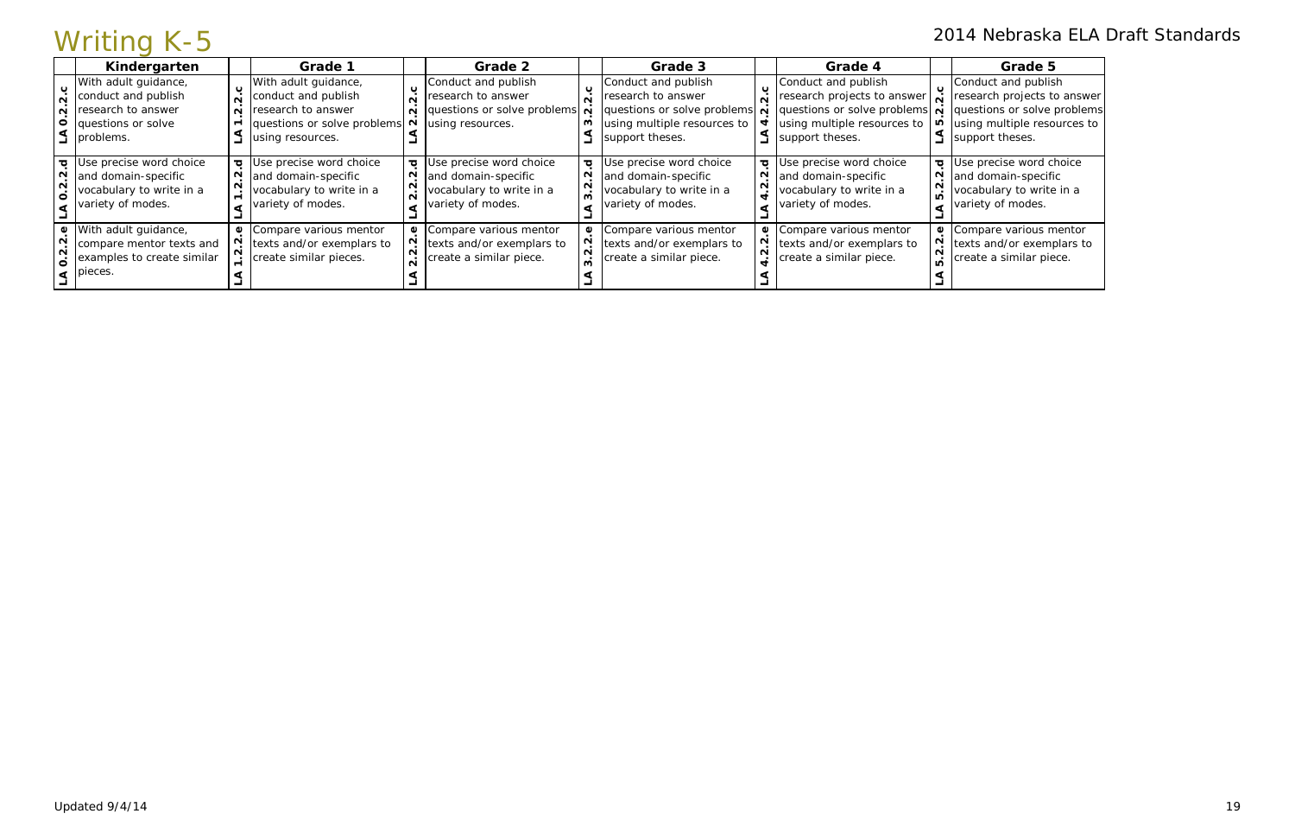| 2014 Nebraska ELA Draft Standards<br>Writing K-5                                                                                                 |        |                                                                                                                            |                         |                                                                                                                                                       |                         |                                                                                                                            |                   |                                                                                                                            |  |                                                                                                                                                                                                                                                                                    |  |  |  |
|--------------------------------------------------------------------------------------------------------------------------------------------------|--------|----------------------------------------------------------------------------------------------------------------------------|-------------------------|-------------------------------------------------------------------------------------------------------------------------------------------------------|-------------------------|----------------------------------------------------------------------------------------------------------------------------|-------------------|----------------------------------------------------------------------------------------------------------------------------|--|------------------------------------------------------------------------------------------------------------------------------------------------------------------------------------------------------------------------------------------------------------------------------------|--|--|--|
| Kindergarten                                                                                                                                     |        | Grade 1                                                                                                                    |                         | Grade 2                                                                                                                                               |                         | Grade 3                                                                                                                    |                   | Grade 4                                                                                                                    |  | Grade 5                                                                                                                                                                                                                                                                            |  |  |  |
| With adult guidance,<br>conduct and publish<br>$\overline{N}$<br>$\overline{N}$ research to answer<br>$\circ$<br>questions or solve<br>problems. | $\sim$ | With adult guidance,<br>conduct and publish<br>research to answer<br>questions or solve problems<br>using resources.       | $\overline{\mathbf{N}}$ | Conduct and publish<br>research to answer<br>$\overrightarrow{q}$ questions or solve problems $\overrightarrow{q}$<br>$\overline{N}$ using resources. | ల                       | Conduct and publish<br>research to answer<br>questions or solve problems<br>using multiple resources to<br>support theses. | $\sim$            | Conduct and publish<br>support theses.                                                                                     |  | Conduct and publish<br>research projects to answer $\vec{v}$ research projects to answer<br>questions or solve problems $\vec{v}$ questions or solve problems<br>using multiple resources to $\vert \mathbf{u} \vert$ using multiple resources to<br>$\frac{1}{2}$ support theses. |  |  |  |
| $\sigma$ Use precise word choice<br>N and domain-specific<br>vocabulary to write in a<br>variety of modes.                                       |        | <b><math>\sigma</math></b> Use precise word choice<br>and domain-specific<br>vocabulary to write in a<br>variety of modes. | N                       | <b><math>\sigma</math></b> Use precise word choice<br>and domain-specific<br>vocabulary to write in a<br>variety of modes.                            | $\overline{\mathbf{o}}$ | Use precise word choice<br>and domain-specific<br>vocabulary to write in a<br>variety of modes.                            | $\sim$            | <b><math>\sigma</math></b> Use precise word choice<br>and domain-specific<br>vocabulary to write in a<br>variety of modes. |  | <b><math>\sigma</math></b> Use precise word choice<br>and domain-specific<br>vocabulary to write in a<br>variety of modes.                                                                                                                                                         |  |  |  |
| With adult guidance,<br>compare mentor texts and<br>examples to create similar<br>$\dot{\mathbf{o}}$<br>pieces.                                  | മ      | Compare various mentor<br>texts and/or exemplars to<br>create similar pieces.                                              |                         | Compare various mentor<br>texts and/or exemplars to<br>create a similar piece.                                                                        | ึധ                      | Compare various mentor<br>texts and/or exemplars to<br>create a similar piece.                                             | $\mathbf{\omega}$ | Compare various mentor<br>texts and/or exemplars to<br>create a similar piece.                                             |  | Compare various mentor<br>texts and/or exemplars to<br>create a similar piece.                                                                                                                                                                                                     |  |  |  |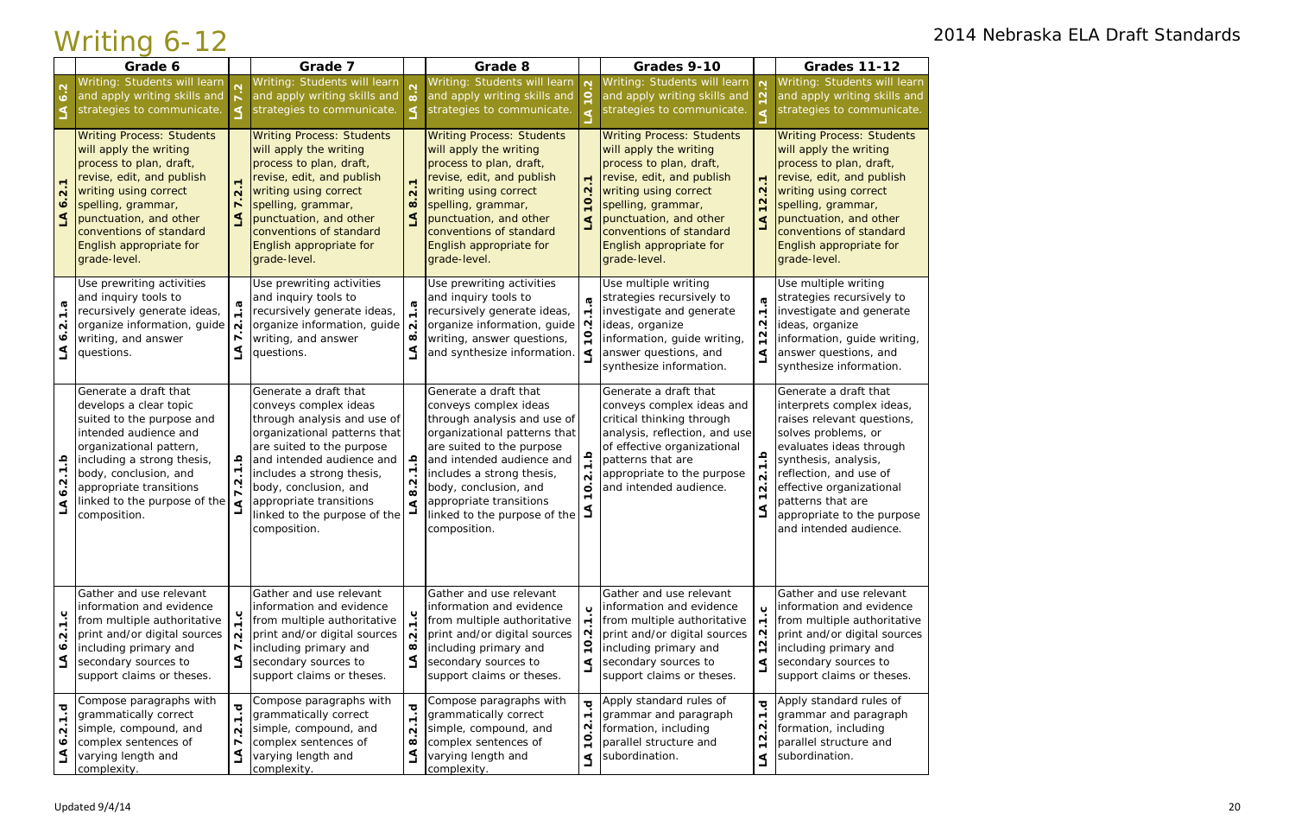|                                                                     | Grade 6                                                                                                                                                                                                                                                            |                                                              | Grade 7                                                                                                                                                                                                                                                                                                  |                                                                                           | Grade 8                                                                                                                                                                                                                                                                                                  |                                                                        | Grades 9-10                                                                                                                                                                                                                                                       |                                                                                              | <b>Grades 11-12</b>                                                                                                                                                                                                                                                                           |
|---------------------------------------------------------------------|--------------------------------------------------------------------------------------------------------------------------------------------------------------------------------------------------------------------------------------------------------------------|--------------------------------------------------------------|----------------------------------------------------------------------------------------------------------------------------------------------------------------------------------------------------------------------------------------------------------------------------------------------------------|-------------------------------------------------------------------------------------------|----------------------------------------------------------------------------------------------------------------------------------------------------------------------------------------------------------------------------------------------------------------------------------------------------------|------------------------------------------------------------------------|-------------------------------------------------------------------------------------------------------------------------------------------------------------------------------------------------------------------------------------------------------------------|----------------------------------------------------------------------------------------------|-----------------------------------------------------------------------------------------------------------------------------------------------------------------------------------------------------------------------------------------------------------------------------------------------|
| $\overline{6.2}$                                                    | Writing: Students will learn<br>and apply writing skills and<br>strategies to communicate.                                                                                                                                                                         |                                                              | Writing: Students will learn<br>and apply writing skills and<br>strategies to communicate.                                                                                                                                                                                                               |                                                                                           | Writing: Students will learn<br>and apply writing skills and<br>strategies to communicate.                                                                                                                                                                                                               | $\mathbf{\Omega}$                                                      | Writing: Students will learn<br>and apply writing skills and<br>strategies to communicate.                                                                                                                                                                        | $\mathbf{\Omega}$                                                                            | Writing: Students will learn<br>and apply writing skills and<br>strategies to communicate.                                                                                                                                                                                                    |
| $\mathbf{\Omega}$<br>$\bullet$<br>$\Delta$                          | <b>Writing Process: Students</b><br>will apply the writing<br>process to plan, draft,<br>revise, edit, and publish<br>writing using correct<br>spelling, grammar,<br>punctuation, and other<br>conventions of standard<br>English appropriate for<br>grade-level.  | $\mathbf{\Omega}$                                            | <b>Writing Process: Students</b><br>will apply the writing<br>process to plan, draft,<br>revise, edit, and publish<br>writing using correct<br>spelling, grammar,<br>punctuation, and other<br>conventions of standard<br>English appropriate for<br>grade-level.                                        | $\overline{\mathbf{N}}$<br>$\infty$<br>$\mathbf{A}$                                       | <b>Writing Process: Students</b><br>will apply the writing<br>process to plan, draft,<br>revise, edit, and publish<br>writing using correct<br>spelling, grammar,<br>punctuation, and other<br>conventions of standard<br>English appropriate for<br>grade-level.                                        | $\blacksquare$<br>$\mathbf{\Omega}$<br>$\circ$                         | <b>Writing Process: Students</b><br>will apply the writing<br>process to plan, draft,<br>revise, edit, and publish<br>writing using correct<br>spelling, grammar,<br>punctuation, and other<br>conventions of standard<br>English appropriate for<br>grade-level. | $\blacksquare$<br>$\mathbf{\Omega}$<br>$\mathbf{\Omega}$<br>⋖                                | <b>Writing Process: Students</b><br>will apply the writing<br>process to plan, draft,<br>revise, edit, and publish<br>writing using correct<br>spelling, grammar,<br>punctuation, and other<br>conventions of standard<br>English appropriate for<br>grade-level.                             |
| G<br>$\mathbf{\Omega}$<br>۰ö                                        | Use prewriting activities<br>and inquiry tools to<br>recursively generate ideas,<br>organize information, guide<br>writing, and answer<br>questions.                                                                                                               | $\overline{\mathbf{N}}$                                      | Use prewriting activities<br>and inquiry tools to<br>recursively generate ideas,<br>organize information, guide<br>writing, and answer<br>questions.                                                                                                                                                     | $\mathbf{\Omega}$<br>$\infty$<br>$\Delta$                                                 | Use prewriting activities<br>and inquiry tools to<br>recursively generate ideas,<br>organize information, guide<br>writing, answer questions,<br>and synthesize information.                                                                                                                             | ⋖                                                                      | Use multiple writing<br>strategies recursively to<br>investigate and generate<br>ideas, organize<br>information, guide writing,<br>answer questions, and<br>synthesize information.                                                                               | $\boldsymbol{\sigma}$<br>$\blacksquare$<br>$\mathbf{\Omega}$<br>$\overline{N}$<br>⋖          | Use multiple writing<br>strategies recursively to<br>investigate and generate<br>ideas, organize<br>information, guide writing,<br>answer questions, and<br>synthesize information.                                                                                                           |
| $\frac{a}{1}$ .<br>$\mathbf{N}$<br>$\bullet$<br>L                   | Generate a draft that<br>develops a clear topic<br>suited to the purpose and<br>intended audience and<br>organizational pattern,<br>including a strong thesis,<br>body, conclusion, and<br>appropriate transitions<br>linked to the purpose of the<br>composition. | ڢ<br>₫                                                       | Generate a draft that<br>conveys complex ideas<br>through analysis and use of<br>organizational patterns that<br>are suited to the purpose<br>and intended audience and<br>includes a strong thesis,<br>body, conclusion, and<br>appropriate transitions<br>linked to the purpose of the<br>composition. | ڢ<br><u>ب</u><br>$\frac{2}{8}$<br>$\blacktriangleleft$                                    | Generate a draft that<br>conveys complex ideas<br>through analysis and use of<br>organizational patterns that<br>are suited to the purpose<br>and intended audience and<br>includes a strong thesis,<br>body, conclusion, and<br>appropriate transitions<br>linked to the purpose of the<br>composition. | $\Omega$<br>$\overline{N}$<br>$\circ$                                  | Generate a draft that<br>conveys complex ideas and<br>critical thinking through<br>analysis, reflection, and use<br>of effective organizational<br>patterns that are<br>appropriate to the purpose<br>and intended audience.                                      | ڢ<br>$\overline{\mathbf{N}}$<br>$\mathbf{\Omega}$<br>$\Delta$                                | Generate a draft that<br>interprets complex ideas,<br>raises relevant questions,<br>solves problems, or<br>evaluates ideas through<br>synthesis, analysis,<br>reflection, and use of<br>effective organizational<br>patterns that are<br>appropriate to the purpose<br>and intended audience. |
| ب<br>$\blacksquare$<br>$\mathbf{\Omega}$<br>$\dot{\mathbf{o}}$<br>ے | <b>Gather and use relevant</b><br>information and evidence<br>from multiple authoritative<br>print and/or digital sources<br>including primary and<br>secondary sources to<br>support claims or theses.                                                            | $\mathbf{\Omega}$<br>$\blacksquare$                          | Gather and use relevant<br>information and evidence<br>from multiple authoritative<br>print and/or digital sources<br>including primary and<br>secondary sources to<br>support claims or theses.                                                                                                         | $\ddot{=}$<br>$\mathbf{\Omega}$<br>$\infty$<br>$\preceq$                                  | Gather and use relevant<br>information and evidence<br>from multiple authoritative<br>print and/or digital sources<br>including primary and<br>secondary sources to<br>support claims or theses.                                                                                                         | $\circ$<br>⋖                                                           | Gather and use relevant<br>information and evidence<br>from multiple authoritative<br>print and/or digital sources<br>including primary and<br>secondary sources to<br>support claims or theses.                                                                  | $\circ$<br>$\mathbf{\tau}$<br>$\mathbf{\Omega}$<br>$\mathbf{\Omega}$<br>$\mathbf{\tau}$<br>⋖ | Gather and use relevant<br>information and evidence<br>from multiple authoritative<br>print and/or digital sources<br>including primary and<br>secondary sources to<br>support claims or theses.                                                                                              |
| ত্<br>$\blacksquare$<br>N<br>$\bullet$<br>⋖                         | Compose paragraphs with<br>grammatically correct<br>simple, compound, and<br>complex sentences of<br>varying length and<br>complexity.                                                                                                                             | ъ<br>$\overline{ }$<br>$\overline{N}$<br>$\blacksquare$<br>L | Compose paragraphs with<br>grammatically correct<br>simple, compound, and<br>complex sentences of<br>varying length and<br>complexity.                                                                                                                                                                   | $\overline{\mathbf{o}}$<br>$\blacksquare$<br>$\mathbf{\Omega}$<br>$\infty$<br>$\mathbf 3$ | Compose paragraphs with<br>grammatically correct<br>simple, compound, and<br>complex sentences of<br>varying length and<br>complexity.                                                                                                                                                                   | $\overline{\sigma}$<br>$\mathbf{\Omega}$<br>$\circ$<br>$\triangleleft$ | Apply standard rules of<br>grammar and paragraph<br>formation, including<br>parallel structure and<br>subordination.                                                                                                                                              | $\overline{\sigma}$<br>$\blacksquare$<br>$\mathbf{\Omega}$<br>$\mathbf{\Omega}$<br>⋖         | Apply standard rules of<br>grammar and paragraph<br>formation, including<br>parallel structure and<br>subordination.                                                                                                                                                                          |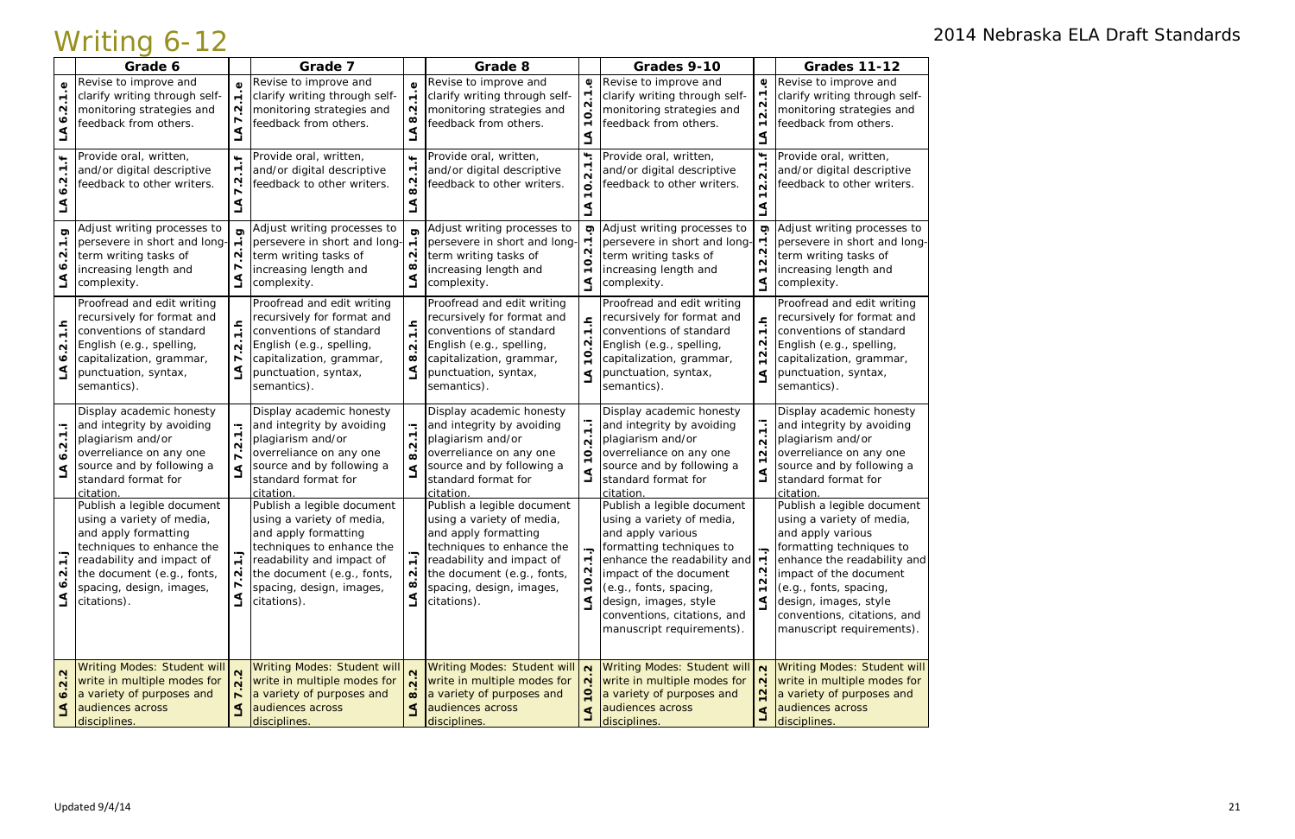|                                                     | Grade 6                                                                                                                                                                                                            |                                                              | Grade 7                                                                                                                                                                                                            |                                                              | Grade 8                                                                                                                                                                                                            |                                                  | Grades 9-10                                                                                                                                                                                                                                                                      |                                                                                             | <b>Grades 11-12</b>                                                                                                                                                                                                                                                              |
|-----------------------------------------------------|--------------------------------------------------------------------------------------------------------------------------------------------------------------------------------------------------------------------|--------------------------------------------------------------|--------------------------------------------------------------------------------------------------------------------------------------------------------------------------------------------------------------------|--------------------------------------------------------------|--------------------------------------------------------------------------------------------------------------------------------------------------------------------------------------------------------------------|--------------------------------------------------|----------------------------------------------------------------------------------------------------------------------------------------------------------------------------------------------------------------------------------------------------------------------------------|---------------------------------------------------------------------------------------------|----------------------------------------------------------------------------------------------------------------------------------------------------------------------------------------------------------------------------------------------------------------------------------|
| ٥<br>N                                              | Revise to improve and<br>clarify writing through self-<br>monitoring strategies and<br>feedback from others.                                                                                                       | $\mathbf{\Omega}$                                            | Revise to improve and<br>clarify writing through self-<br>monitoring strategies and<br>feedback from others.                                                                                                       | $\blacktriangledown$<br>N<br>œ                               | Revise to improve and<br>clarify writing through self-<br>monitoring strategies and<br>feedback from others.                                                                                                       | $\pmb{\mathsf{O}}$                               | Revise to improve and<br>clarify writing through self-<br>monitoring strategies and<br>feedback from others.                                                                                                                                                                     | $\pmb{\mathbb{O}}$<br>$2.\overline{2}$<br>$\blacktriangledown$                              | Revise to improve and<br>clarify writing through self-<br>monitoring strategies and<br>feedback from others.                                                                                                                                                                     |
| N                                                   | Provide oral, written,<br>and/or digital descriptive<br>feedback to other writers.                                                                                                                                 | $\leftarrow$                                                 | Provide oral, written,<br>and/or digital descriptive<br>feedback to other writers.                                                                                                                                 | $\overline{\phantom{a}}$<br>$\blacksquare$<br>N<br>$\infty$  | Provide oral, written,<br>and/or digital descriptive<br>feedback to other writers.                                                                                                                                 | ⊶<br>N<br>$\circ$                                | Provide oral, written,<br>and/or digital descriptive<br>feedback to other writers.                                                                                                                                                                                               | $\ddot{}$<br>$2.\overline{2}$                                                               | Provide oral, written,<br>and/or digital descriptive<br>feedback to other writers.                                                                                                                                                                                               |
| ರಾ<br>N<br>৩                                        | Adjust writing processes to<br>persevere in short and long-<br>term writing tasks of<br>increasing length and<br>complexity.                                                                                       | N                                                            | Adjust writing processes to<br>persevere in short and long-<br>term writing tasks of<br>increasing length and<br>complexity.                                                                                       | N<br>œ<br>$\Delta$                                           | Adjust writing processes to<br>persevere in short and long-<br>term writing tasks of<br>increasing length and<br>complexity.                                                                                       | ත<br>N<br>$\blacksquare$                         | Adjust writing processes to<br>persevere in short and long-<br>term writing tasks of<br>increasing length and<br>complexity.                                                                                                                                                     | ס<br>Ņ<br>$\mathbf{\Omega}$<br>$\overline{ }$<br>L                                          | Adjust writing processes to<br>persevere in short and long-<br>term writing tasks of<br>increasing length and<br>complexity.                                                                                                                                                     |
| ءِ<br>N<br>∙<br>∢                                   | Proofread and edit writing<br>recursively for format and<br>conventions of standard<br>English (e.g., spelling,<br>capitalization, grammar,<br>punctuation, syntax,<br>semantics).                                 | <u>۽</u><br>$\sim$                                           | Proofread and edit writing<br>recursively for format and<br>conventions of standard<br>English (e.g., spelling,<br>capitalization, grammar,<br>punctuation, syntax,<br>semantics).                                 | $\frac{1}{\tau}$<br>$\sim$<br>œ<br>L                         | Proofread and edit writing<br>recursively for format and<br>conventions of standard<br>English (e.g., spelling,<br>capitalization, grammar,<br>punctuation, syntax,<br>semantics).                                 | N<br>⋖                                           | Proofread and edit writing<br>recursively for format and<br>conventions of standard<br>English (e.g., spelling,<br>capitalization, grammar,<br>punctuation, syntax,<br>semantics).                                                                                               | ءِ<br>$\overline{ }$<br>Ņ<br>$\frac{2}{1}$<br>⋖                                             | Proofread and edit writing<br>recursively for format and<br>conventions of standard<br>English (e.g., spelling,<br>capitalization, grammar,<br>punctuation, syntax,<br>semantics).                                                                                               |
| $\mathbf{\Omega}$<br>∘<br>∢                         | Display academic honesty<br>and integrity by avoiding<br>plagiarism and/or<br>overreliance on any one<br>source and by following a<br>standard format for<br>citation.                                             | $\sim$                                                       | Display academic honesty<br>and integrity by avoiding<br>plagiarism and/or<br>overreliance on any one<br>source and by following a<br>standard format for<br>citation                                              | $\ddot{ }$<br>$\overline{\mathbf{N}}$<br>$\dot{\infty}$<br>⋖ | Display academic honesty<br>and integrity by avoiding<br>plagiarism and/or<br>overreliance on any one<br>source and by following a<br>standard format for<br><b>citation</b>                                       | $\blacksquare$<br>$\sim$<br>O                    | Display academic honesty<br>and integrity by avoiding<br>plagiarism and/or<br>overreliance on any one<br>source and by following a<br>standard format for<br>citation.                                                                                                           | $\blacktriangledown$<br>$\mathbf{\Omega}$<br>$\mathbf{\Omega}$<br>$\blacktriangledown$<br>⋖ | Display academic honesty<br>and integrity by avoiding<br>plagiarism and/or<br>overreliance on any one<br>source and by following a<br>standard format for<br>citation                                                                                                            |
| ٣<br>N<br>۰ö<br>⋖                                   | Publish a legible document<br>using a variety of media,<br>and apply formatting<br>techniques to enhance the<br>readability and impact of<br>the document (e.g., fonts,<br>spacing, design, images,<br>citations). | $\overline{ }$<br>N                                          | Publish a legible document<br>using a variety of media,<br>and apply formatting<br>techniques to enhance the<br>readability and impact of<br>the document (e.g., fonts,<br>spacing, design, images,<br>citations). | $\blacksquare$<br>$\mathbf{\Omega}$<br>$\infty$<br>$\Delta$  | Publish a legible document<br>using a variety of media,<br>and apply formatting<br>techniques to enhance the<br>readability and impact of<br>the document (e.g., fonts,<br>spacing, design, images,<br>citations). | ⋖                                                | Publish a legible document<br>using a variety of media,<br>and apply various<br>formatting techniques to<br>enhance the readability and<br>impact of the document<br>(e.g., fonts, spacing,<br>design, images, style<br>conventions, citations, and<br>manuscript requirements). | 2.2<br>$\overline{ }$<br>⋖                                                                  | Publish a legible document<br>using a variety of media,<br>and apply various<br>formatting techniques to<br>enhance the readability and<br>impact of the document<br>(e.g., fonts, spacing,<br>design, images, style<br>conventions, citations, and<br>manuscript requirements). |
| $\mathbf{\Omega}$<br>$\mathbf{\Omega}$<br>$\bullet$ | <b>Writing Modes: Student will</b><br>write in multiple modes for<br>a variety of purposes and<br>audiences across<br>disciplines.                                                                                 | $\overline{\mathsf{N}}$<br>$\overline{ }$<br>$\triangleleft$ | Writing Modes: Student will<br>write in multiple modes for<br>a variety of purposes and<br>audiences across<br>disciplines.                                                                                        | $\overline{N}$<br>$\infty$<br>$\mathbf{S}$                   | <b>Writing Modes: Student will</b><br>write in multiple modes for<br>a variety of purposes and<br>audiences across<br>disciplines.                                                                                 | $\mathbf{\Omega}$<br>$\mathbf{\Omega}$<br>은<br>₫ | Writing Modes: Student will N<br>write in multiple modes for<br>a variety of purposes and<br>audiences across<br>disciplines.                                                                                                                                                    | $\mathbf{N}$<br>$\frac{2}{1}$<br>⋖                                                          | <b>Writing Modes: Student will</b><br>write in multiple modes for<br>a variety of purposes and<br>audiences across<br>disciplines.                                                                                                                                               |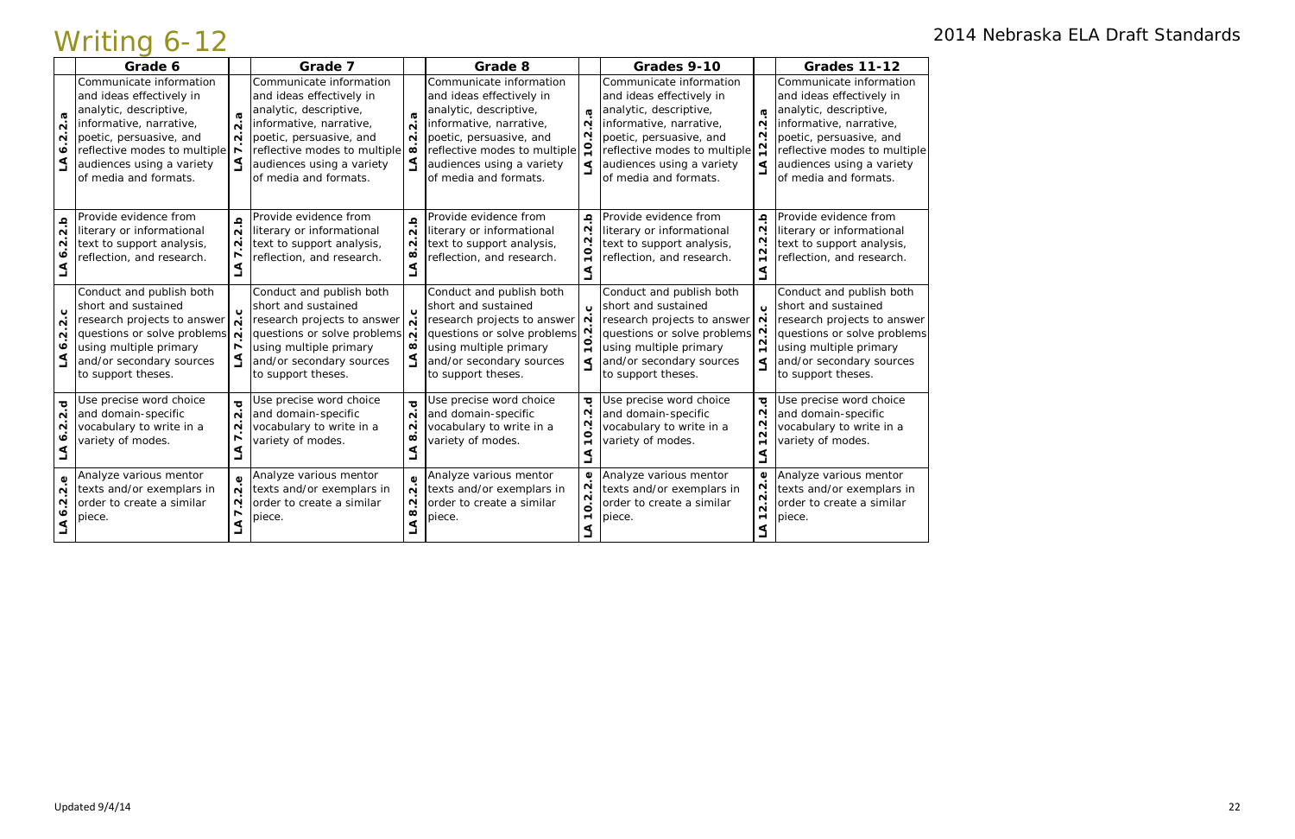|                                                   | Grade 6                                                                                                                                                                                                                   |                                                                     | Grade 7                                                                                                                                                                                                                   |                                                                                                            | Grade 8                                                                                                                                                                                                                   |                                                                      | Grades 9-10                                                                                                                                                                                                               |                                                                                                    | <b>Grades 11-12</b>                                                                                                                                                                                                       |
|---------------------------------------------------|---------------------------------------------------------------------------------------------------------------------------------------------------------------------------------------------------------------------------|---------------------------------------------------------------------|---------------------------------------------------------------------------------------------------------------------------------------------------------------------------------------------------------------------------|------------------------------------------------------------------------------------------------------------|---------------------------------------------------------------------------------------------------------------------------------------------------------------------------------------------------------------------------|----------------------------------------------------------------------|---------------------------------------------------------------------------------------------------------------------------------------------------------------------------------------------------------------------------|----------------------------------------------------------------------------------------------------|---------------------------------------------------------------------------------------------------------------------------------------------------------------------------------------------------------------------------|
| ω<br>$\dot{\mathsf{n}}$<br>$\mathbf{\Omega}$<br>∘ | Communicate information<br>and ideas effectively in<br>analytic, descriptive,<br>informative, narrative,<br>poetic, persuasive, and<br>reflective modes to multiple<br>audiences using a variety<br>of media and formats. | $\boldsymbol{\varpi}$<br>$\overline{N}$<br>$\overline{N}$           | Communicate information<br>and ideas effectively in<br>analytic, descriptive,<br>informative, narrative,<br>poetic, persuasive, and<br>reflective modes to multiple<br>audiences using a variety<br>of media and formats. | $\boldsymbol{\sigma}$<br>$\overline{\mathsf{N}}$<br>$\overline{\mathbf{N}}$<br>$\infty$<br>$\triangleleft$ | Communicate information<br>and ideas effectively in<br>analytic, descriptive,<br>informative, narrative,<br>poetic, persuasive, and<br>reflective modes to multiple<br>audiences using a variety<br>of media and formats. | $\sigma$<br>$\mathbf{\Omega}$<br>N                                   | Communicate information<br>and ideas effectively in<br>analytic, descriptive,<br>informative, narrative,<br>poetic, persuasive, and<br>reflective modes to multiple<br>audiences using a variety<br>of media and formats. | $\boldsymbol{\sigma}$<br>$\mathbf{\Omega}$<br>$2.\overline{2}$<br>⋖                                | Communicate information<br>and ideas effectively in<br>analytic, descriptive,<br>informative, narrative,<br>poetic, persuasive, and<br>reflective modes to multiple<br>audiences using a variety<br>of media and formats. |
| $\overline{2}.b$<br>$\mathbf{\Omega}$             | Provide evidence from<br>literary or informational<br>text to support analysis,<br>reflection, and research.                                                                                                              | $\Omega$<br>$\dot{\mathsf{N}}$<br>$\overline{N}$<br>⋖               | Provide evidence from<br>literary or informational<br>text to support analysis,<br>reflection, and research.                                                                                                              | $\Omega$<br>$\dot{\mathsf n}$<br>$\mathbf{N}$<br>$\infty$<br>⋖                                             | Provide evidence from<br>literary or informational<br>text to support analysis,<br>reflection, and research.                                                                                                              | $\pmb{\Omega}$<br>N<br>N<br>0                                        | Provide evidence from<br>literary or informational<br>text to support analysis,<br>reflection, and research.                                                                                                              | $\pmb{\Omega}$<br>$\mathbf{\Omega}$<br>$\overline{2}.\overline{2}$<br>$\blacksquare$<br>S          | Provide evidence from<br>literary or informational<br>text to support analysis,<br>reflection, and research.                                                                                                              |
| ب<br>$\overline{\mathbf{N}}$<br>$\sim$<br>∾<br>₹  | Conduct and publish both<br>short and sustained<br>research projects to answer<br>questions or solve problems<br>using multiple primary<br>and/or secondary sources<br>to support theses.                                 | 2.c<br>$\overline{N}$<br>$\overline{ }$                             | Conduct and publish both<br>short and sustained<br>research projects to answer<br>questions or solve problems $\dot{\mathbf{N}}$<br>using multiple primary<br>and/or secondary sources<br>to support theses.              | $\mathbf{o}$<br>$\infty$<br>$\Delta$                                                                       | Conduct and publish both<br>short and sustained<br>research projects to answer<br>questions or solve problems<br>using multiple primary<br>and/or secondary sources<br>to support theses.                                 | Õ<br>$\mathbf{\Omega}$<br>⋖                                          | Conduct and publish both<br>short and sustained<br>research projects to answer<br>questions or solve problems<br>using multiple primary<br>and/or secondary sources<br>to support theses.                                 | $\mathbf{o}$<br>$\mathbf{\Omega}$<br>$\mathbf{\Omega}$<br>$\mathbf{\Omega}$<br>$\blacksquare$<br>⋖ | Conduct and publish both<br>short and sustained<br>research projects to answer<br>questions or solve problems<br>using multiple primary<br>and/or secondary sources<br>to support theses.                                 |
| ত্<br>$\mathbf{\tilde{N}}$<br>$\mathbf{\Omega}$   | Use precise word choice<br>and domain-specific<br>vocabulary to write in a<br>variety of modes.                                                                                                                           | $\overline{\mathbf{o}}$<br>$\overline{N}$<br>$\sim$<br>$\mathbf{z}$ | Use precise word choice<br>and domain-specific<br>vocabulary to write in a<br>variety of modes.                                                                                                                           | $\overline{O}$<br>$\overline{\mathsf{N}}$<br>$\mathbf{\Omega}$<br>$\mathbf{\omega}$<br>$\Delta$            | Jse precise word choice<br>and domain-specific<br>vocabulary to write in a<br>variety of modes.                                                                                                                           | ਹ<br>N<br>N<br>O                                                     | Use precise word choice<br>and domain-specific<br>vocabulary to write in a<br>variety of modes.                                                                                                                           | $\overline{\mathbf{C}}$<br>$\dot{N}$<br>$2.\overline{2}$<br>$\blacktriangledown$<br>LA             | Use precise word choice<br>and domain-specific<br>vocabulary to write in a<br>variety of modes.                                                                                                                           |
| $\mathbf 0$<br>$\mathbf{\Omega}$<br>N             | Analyze various mentor<br>texts and/or exemplars in<br>order to create a similar<br>piece.                                                                                                                                | $\omega$<br>$\mathbf{\Omega}$<br>$\sim$<br>$\trianglelefteq$        | Analyze various mentor<br>texts and/or exemplars in<br>order to create a similar<br>piece.                                                                                                                                | Φ<br>$\mathbf{\Omega}$<br>$\mathbf{\Omega}$<br>$\infty$<br>$\triangleleft$                                 | Analyze various mentor<br>texts and/or exemplars in<br>order to create a similar<br>piece.                                                                                                                                | $\pmb{\mathbb{O}}$<br>N<br>N<br>$\dot{\mathbf{o}}$<br>$\blacksquare$ | Analyze various mentor<br>texts and/or exemplars in<br>order to create a similar<br>piece.                                                                                                                                | $\pmb{\mathbb{Q}}$<br>12.2.2<br>ڲ                                                                  | Analyze various mentor<br>texts and/or exemplars in<br>order to create a similar<br>piece.                                                                                                                                |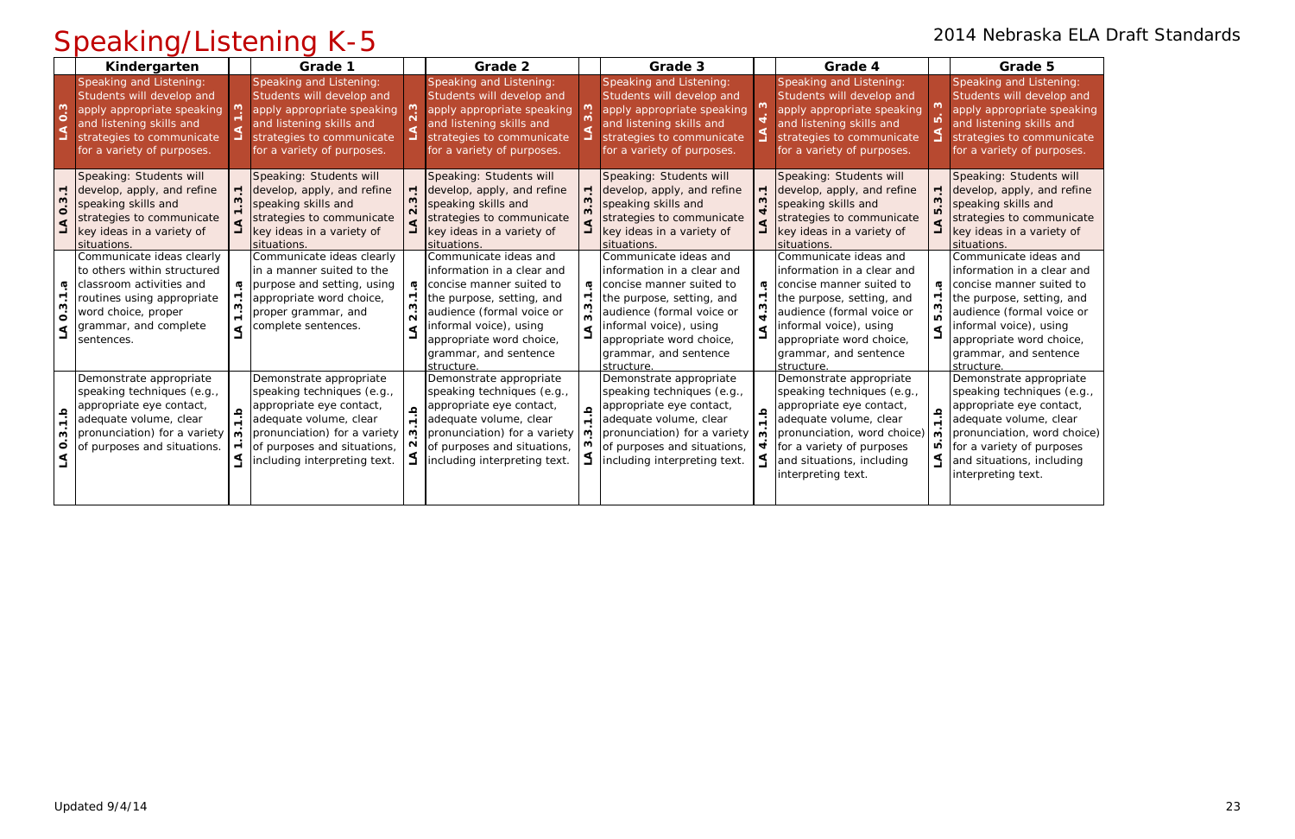Speaking: Students will develop, apply, and refine speaking skills and strategies to communicate key ideas in a variety of situations.

Speaking and Listening: Students will develop and apply appropriate speaking and listening skills and strategies to communicate for a variety of purposes.

Communicate ideas and information in a clear and concise manner suited to the purpose, setting, and audience (formal voice or informal voice), using appropriate word choice, grammar, and sentence structure.

## Speaking/Listening K-5 2014 Nebraska ELA Draft Standards

|                                          | Kindergarten                                                                                                                                                                     |   | Grade 1                                                                                                                                                                                                        |          | Grade 2                                                                                                                                                                                                                                |                | Grade 3                                                                                                                                                                                                                                |                   | Grade 4                                                                                                                                                                                                                                |                          | Grade 5                                                                                                                                                                                       |
|------------------------------------------|----------------------------------------------------------------------------------------------------------------------------------------------------------------------------------|---|----------------------------------------------------------------------------------------------------------------------------------------------------------------------------------------------------------------|----------|----------------------------------------------------------------------------------------------------------------------------------------------------------------------------------------------------------------------------------------|----------------|----------------------------------------------------------------------------------------------------------------------------------------------------------------------------------------------------------------------------------------|-------------------|----------------------------------------------------------------------------------------------------------------------------------------------------------------------------------------------------------------------------------------|--------------------------|-----------------------------------------------------------------------------------------------------------------------------------------------------------------------------------------------|
| $0.\overline{3}$<br>$\triangleleft$      | Speaking and Listening:<br>Students will develop and<br>apply appropriate speaking<br>and listening skills and<br>strategies to communicate<br>for a variety of purposes.        |   | Speaking and Listening:<br>Students will develop and<br>apply appropriate speaking<br>and listening skills and<br>strategies to communicate<br>for a variety of purposes.                                      |          | Speaking and Listening:<br>Students will develop and<br>apply appropriate speaking<br>and listening skills and<br>strategies to communicate<br>for a variety of purposes.                                                              |                | Speaking and Listening:<br>Students will develop and<br>apply appropriate speaking<br>and listening skills and<br>strategies to communicate<br>for a variety of purposes.                                                              |                   | Speaking and Listening:<br>Students will develop and<br>apply appropriate speaking<br>and listening skills and<br>strategies to communicate<br>for a variety of purposes.                                                              |                          | <b>Speaking and Liste</b><br>Students will devel<br>apply appropriate s<br>and listening skills<br>strategies to comm<br>for a variety of pur                                                 |
| S<br>$\circ$                             | Speaking: Students will<br>develop, apply, and refine<br>speaking skills and<br>strategies to communicate<br>key ideas in a variety of<br>situations.                            |   | Speaking: Students will<br>develop, apply, and refine<br>speaking skills and<br>strategies to communicate<br>key ideas in a variety of<br>situations.                                                          |          | Speaking: Students will<br>develop, apply, and refine<br>speaking skills and<br>strategies to communicate<br>key ideas in a variety of<br>situations.                                                                                  |                | Speaking: Students will<br>develop, apply, and refine<br>speaking skills and<br>strategies to communicate<br>key ideas in a variety of<br>situations.                                                                                  |                   | Speaking: Students will<br>develop, apply, and refine<br>speaking skills and<br>strategies to communicate<br>key ideas in a variety of<br>situations.                                                                                  | $\overline{\phantom{0}}$ | Speaking: Students<br>develop, apply, and<br>speaking skills and<br>strategies to comm<br>key ideas in a varie<br>situations.                                                                 |
| æ<br>S<br>$\dot{\mathbf{o}}$<br>$\Delta$ | Communicate ideas clearly<br>to others within structured<br>classroom activities and<br>routines using appropriate<br>word choice, proper<br>grammar, and complete<br>sentences. | ო | Communicate ideas clearly<br>in a manner suited to the<br>purpose and setting, using<br>appropriate word choice,<br>proper grammar, and<br>complete sentences.                                                 | <b>G</b> | Communicate ideas and<br>information in a clear and<br>concise manner suited to<br>the purpose, setting, and<br>audience (formal voice or<br>informal voice), using<br>appropriate word choice,<br>grammar, and sentence<br>structure. | ᢐ              | Communicate ideas and<br>information in a clear and<br>concise manner suited to<br>the purpose, setting, and<br>audience (formal voice or<br>informal voice), using<br>appropriate word choice,<br>grammar, and sentence<br>structure. | ᡴ                 | Communicate ideas and<br>information in a clear and<br>concise manner suited to<br>the purpose, setting, and<br>audience (formal voice or<br>informal voice), using<br>appropriate word choice,<br>grammar, and sentence<br>structure. | <b>G</b><br>ம்<br>٩      | Communicate ideas<br>information in a cle<br>concise manner sui<br>the purpose, settin<br>audience (formal v<br>informal voice), usi<br>appropriate word c<br>grammar, and sent<br>structure. |
| $\frac{a}{7}$<br>ო<br>$\circ$            | Demonstrate appropriate<br>speaking techniques (e.g.,<br>appropriate eye contact,<br>adequate volume, clear<br>pronunciation) for a variety<br>of purposes and situations.       | ო | Demonstrate appropriate<br>speaking techniques (e.g.,<br>appropriate eye contact,<br>adequate volume, clear<br>pronunciation) for a variety   m<br>of purposes and situations,<br>including interpreting text. | $\Omega$ | Demonstrate appropriate<br>speaking techniques (e.g.,<br>appropriate eye contact,<br>adequate volume, clear<br>pronunciation) for a variety<br>of purposes and situations,<br>including interpreting text.                             | $\pmb{\Omega}$ | Demonstrate appropriate<br>speaking techniques (e.g.,<br>appropriate eye contact,<br>adequate volume, clear<br>pronunciation) for a variety<br>of purposes and situations,<br>including interpreting text.                             | $\mathbf{\omega}$ | Demonstrate appropriate<br>speaking techniques (e.g.,<br>appropriate eye contact,<br>adequate volume, clear<br>pronunciation, word choice)<br>for a variety of purposes<br>and situations, including<br>interpreting text.             | م<br>ب<br>ო<br>Ю         | Demonstrate appro<br>speaking technique<br>appropriate eye cor<br>adequate volume, o<br>pronunciation, wor<br>for a variety of pur<br>and situations, incl<br>interpreting text.              |

Demonstrate appropriate speaking techniques (e.g., appropriate eye contact, adequate volume, clear pronunciation, word choice) for a variety of purposes and situations, including interpreting text.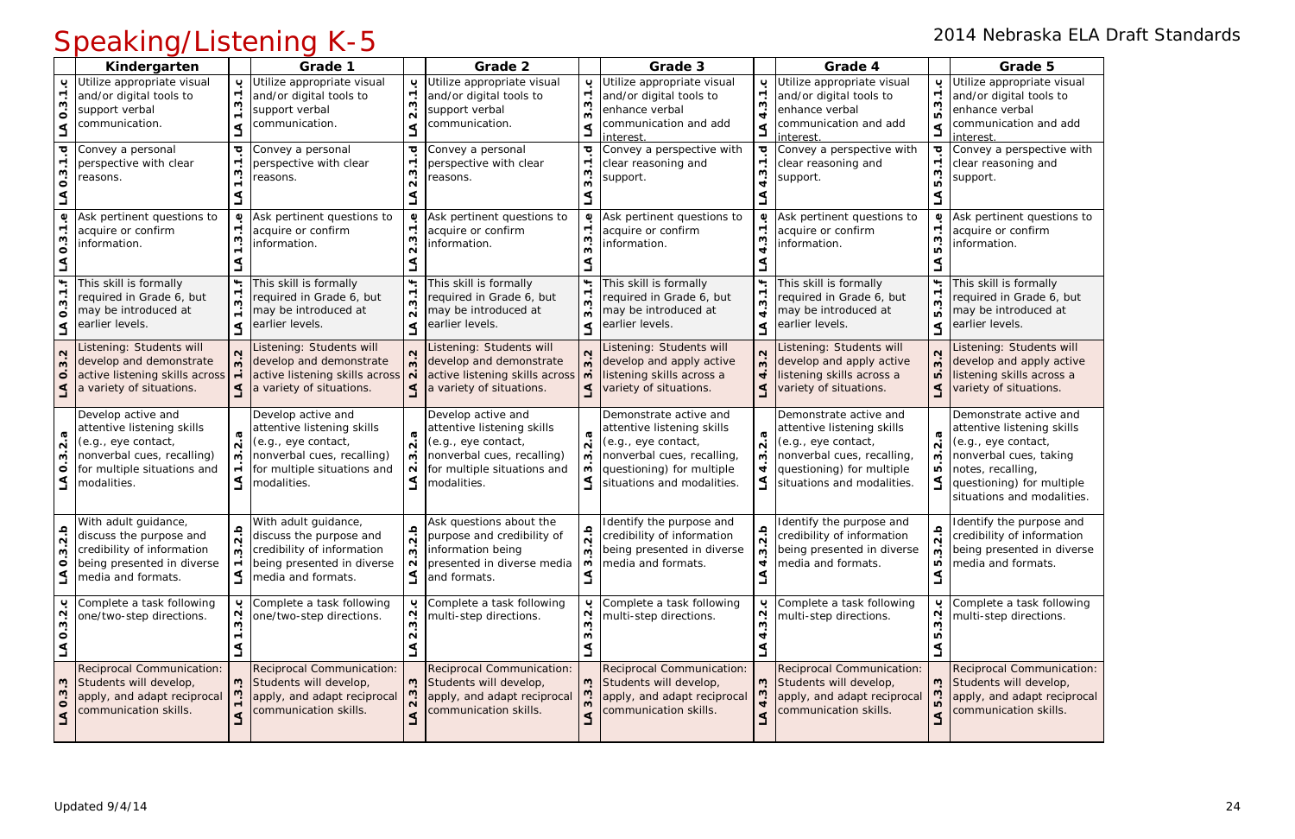|                                                                       | Opcanny Listering is 9                                                                                                                              |                                             |                                                                                                                                                     |                                                                               |                                                                                                                                                     |                                 |                                                                                                                                                                      |                                                                                                 |                                                                                                                                                                      |                                                                              |                                                                                                                                                                                       |  |  |
|-----------------------------------------------------------------------|-----------------------------------------------------------------------------------------------------------------------------------------------------|---------------------------------------------|-----------------------------------------------------------------------------------------------------------------------------------------------------|-------------------------------------------------------------------------------|-----------------------------------------------------------------------------------------------------------------------------------------------------|---------------------------------|----------------------------------------------------------------------------------------------------------------------------------------------------------------------|-------------------------------------------------------------------------------------------------|----------------------------------------------------------------------------------------------------------------------------------------------------------------------|------------------------------------------------------------------------------|---------------------------------------------------------------------------------------------------------------------------------------------------------------------------------------|--|--|
|                                                                       | Kindergarten                                                                                                                                        |                                             | Grade 1                                                                                                                                             |                                                                               | Grade 2                                                                                                                                             |                                 | Grade 3                                                                                                                                                              |                                                                                                 | Grade 4                                                                                                                                                              |                                                                              | Grade 5                                                                                                                                                                               |  |  |
| ب<br>$\overline{3}.1$<br>$\dot{\circ}$<br>$\overline{\mathbf{A}}$     | Utilize appropriate visual<br>and/or digital tools to<br>support verbal<br>communication.                                                           | ڹ<br>$\overline{\phantom{0}}$<br>ω          | Utilize appropriate visual<br>and/or digital tools to<br>support verbal<br>communication.                                                           | ပ<br>$\blacktriangledown$<br>ო<br>$\sim$<br>⋖                                 | Utilize appropriate visual<br>and/or digital tools to<br>support verbal<br>communication.                                                           | ပ<br>ო<br>ო                     | Utilize appropriate visual<br>and/or digital tools to<br>enhance verbal<br>communication and add<br>linterest.                                                       | ڹ<br>$\overline{\phantom{a}}$<br>$\boldsymbol{\omega}$<br>$\dot{+}$<br>$\overline{\mathcal{L}}$ | Utilize appropriate visual<br>and/or digital tools to<br>enhance verbal<br>communication and add<br>interest                                                         | $\blacksquare$<br>ო<br>ம்<br>$\Delta$                                        | Utilize appropriate visual<br>and/or digital tools to<br>enhance verbal<br>communication and add<br>interest.                                                                         |  |  |
| 0.3.1d                                                                | Convey a personal<br>perspective with clear<br>reasons.                                                                                             | ᠇<br>ω                                      | Convey a personal<br>perspective with clear<br>reasons.                                                                                             | $\overline{\mathbf{o}}$<br>$\overline{\phantom{a}}$<br>ო<br>$\mathbf{\Omega}$ | Convey a personal<br>oerspective with clear<br>easons.                                                                                              | ਹ<br>ო<br>ო                     | Convey a perspective with<br>clear reasoning and<br>support.                                                                                                         | $\overline{\mathbf{C}}$<br>$\overline{\phantom{a}}$<br>ო                                        | Convey a perspective with<br>clear reasoning and<br>support.                                                                                                         | ರ<br>$\overline{\phantom{a}}$<br>S<br>LO.                                    | Convey a perspective with<br>clear reasoning and<br>support.                                                                                                                          |  |  |
| به<br>0.3.1                                                           | Ask pertinent questions to<br>acquire or confirm<br>information.                                                                                    | Ф<br>ω                                      | Ask pertinent questions to<br>acquire or confirm<br>information.                                                                                    | $\bullet$<br>ო<br>$\mathbf{\Omega}$                                           | Ask pertinent questions to<br>acquire or confirm<br>information.                                                                                    | Φ<br>ო<br>ო                     | Ask pertinent questions to<br>acquire or confirm<br>information.                                                                                                     | $\pmb{\mathbb{O}}$<br>$\blacktriangledown$<br><u>W</u><br>$\dot{+}$                             | Ask pertinent questions to<br>acquire or confirm<br>information.                                                                                                     | Φ<br>3.1<br>$\overline{10}$                                                  | Ask pertinent questions to<br>acquire or confirm<br>information.                                                                                                                      |  |  |
| 0.3.1.f<br>$\Delta$                                                   | This skill is formally<br>required in Grade 6, but<br>may be introduced at<br>earlier levels.                                                       | ω<br>$\cdot$                                | This skill is formally<br>required in Grade 6, but<br>may be introduced at<br>earlier levels.                                                       | $\ddot{}$<br>$\dot{\mathsf{N}}$<br>⋖                                          | This skill is formally<br>required in Grade 6, but<br>may be introduced at<br>earlier levels.                                                       | ന്<br>₫                         | This skill is formally<br>required in Grade 6, but<br>may be introduced at<br>earlier levels.                                                                        | $\ddot{}$<br>$\mathbf{\tau}$<br>$\mathbf{e}$<br>$\dot{+}$<br>ے                                  | This skill is formally<br>required in Grade 6, but<br>may be introduced at<br>earlier levels.                                                                        | $\ddot{}$<br>$\overline{ }$<br>$\dot{\mathbf{c}}$<br>ம்<br>$\trianglelefteq$ | This skill is formally<br>required in Grade 6, but<br>may be introduced at<br>earlier levels.                                                                                         |  |  |
| 3.2<br>$\dot{\circ}$<br>$\mathbf{A}$                                  | Listening: Students will<br>develop and demonstrate<br>active listening skills across<br>a variety of situations.                                   | $\dot{\mathfrak{c}}$<br>$\overline{ }$<br>٩ | istening: Students will<br>develop and demonstrate<br>active listening skills across<br>a variety of situations.                                    | $\mathbf{\Omega}$<br>$\sim$<br>⋖                                              | istening: Students will<br>develop and demonstrate<br>active listening skills across<br>a variety of situations.                                    | ო<br>$\boldsymbol{\omega}$<br>⋖ | Listening: Students will<br>develop and apply active<br>listening skills across a<br>variety of situations.                                                          | $\mathbf{\Omega}$<br>$\dot{\mathbf{c}}$<br>$\dot{a}$<br>$\mathbf{z}$                            | Listening: Students will<br>develop and apply active<br>listening skills across a<br>variety of situations.                                                          | $\sim$<br>. ന<br>ம்<br>$\triangleleft$                                       | Listening: Students will<br>develop and apply active<br>listening skills across a<br>variety of situations.                                                                           |  |  |
| ā<br>$\dot{\mathbf{v}}$<br><b>M</b><br>$\dot{\mathbf{o}}$<br>$\Delta$ | Develop active and<br>attentive listening skills<br>(e.g., eye contact,<br>nonverbal cues, recalling)<br>for multiple situations and<br>modalities. | $\dot{\mathsf{N}}$<br>$\dot{\mathsf{c}}$    | Develop active and<br>attentive listening skills<br>(e.g., eye contact,<br>nonverbal cues, recalling)<br>for multiple situations and<br>modalities. | σ<br>$\mathbf{N}$<br>$\mathbf{\omega}$<br>N                                   | Develop active and<br>attentive listening skills<br>(e.g., eye contact,<br>nonverbal cues, recalling)<br>for multiple situations and<br>modalities. | $\overline{N}$<br>w<br>ಌ        | Demonstrate active and<br>attentive listening skills<br>(e.g., eye contact,<br>nonverbal cues, recalling,<br>questioning) for multiple<br>situations and modalities. | $\sigma$<br>$\dot{\mathbf{N}}$<br>$\mathbf{\omega}$<br>4<br>$\Delta$                            | Demonstrate active and<br>attentive listening skills<br>(e.g., eye contact,<br>nonverbal cues, recalling,<br>questioning) for multiple<br>situations and modalities. | $\dot{\mathbf{N}}$<br><b>m</b><br>5                                          | Demonstrate active and<br>attentive listening skills<br>(e.g., eye contact,<br>nonverbal cues, taking<br>notes, recalling,<br>questioning) for multiple<br>situations and modalities. |  |  |
| 3.2.b<br>$\dot{\mathbf{o}}$<br>₹                                      | With adult guidance,<br>discuss the purpose and<br>credibility of information<br>being presented in diverse<br>media and formats.                   | ≏<br>N<br>٣                                 | With adult guidance,<br>discuss the purpose and<br>$\sigma$ credibility of information<br>being presented in diverse<br>media and formats.          | ڢ<br><b>m</b>                                                                 | Ask questions about the<br>purpose and credibility of<br>information being<br>presented in diverse media<br>and formats.                            | $\mathbf{\tilde{N}}$<br>ო<br>ო  | Identify the purpose and<br>credibility of information<br>being presented in diverse<br>media and formats.                                                           | a.p<br>$\dot{\mathsf{c}}$<br>4                                                                  | Identify the purpose and<br>credibility of information<br>being presented in diverse<br>media and formats.                                                           | 요<br>$\overline{N}$<br>ო<br>5                                                | Identify the purpose and<br>credibility of information<br>being presented in diverse<br>media and formats.                                                                            |  |  |
| ب<br>$3.\overline{2}$<br>$\circ$<br>₹                                 | Complete a task following<br>one/two-step directions.                                                                                               | ო                                           | Complete a task following<br>one/two-step directions.                                                                                               | ပ<br>ო                                                                        | Complete a task following<br>multi-step directions.                                                                                                 |                                 | Complete a task following<br>multi-step directions.                                                                                                                  | ڹ<br>$\sim$<br>$\dot{\mathbf{c}}$                                                               | Complete a task following<br>multi-step directions.                                                                                                                  | $\mathbf{\Omega}$<br>ო                                                       | Complete a task following<br>multi-step directions.                                                                                                                                   |  |  |
| w<br>$0.\overline{3}$                                                 | Reciprocal Communication:<br>Students will develop,<br>apply, and adapt reciprocal<br>communication skills.                                         | ຕົ                                          | Reciprocal Communication:<br>Students will develop,<br>apply, and adapt reciprocal<br>communication skills.                                         | w<br>ო                                                                        | Reciprocal Communication:<br>Students will develop,<br>apply, and adapt reciprocal<br>communication skills.                                         | ო<br>M                          | Reciprocal Communication:<br>Students will develop,<br>apply, and adapt reciprocal<br>communication skills.                                                          | ີ ແ<br>ن<br>س<br>4<br>⋖                                                                         | Reciprocal Communication:<br>Students will develop,<br>apply, and adapt reciprocal<br>communication skills.                                                          | w<br><b>LO</b><br>๔                                                          | Reciprocal Communication:<br>Students will develop,<br>apply, and adapt reciprocal<br>communication skills.                                                                           |  |  |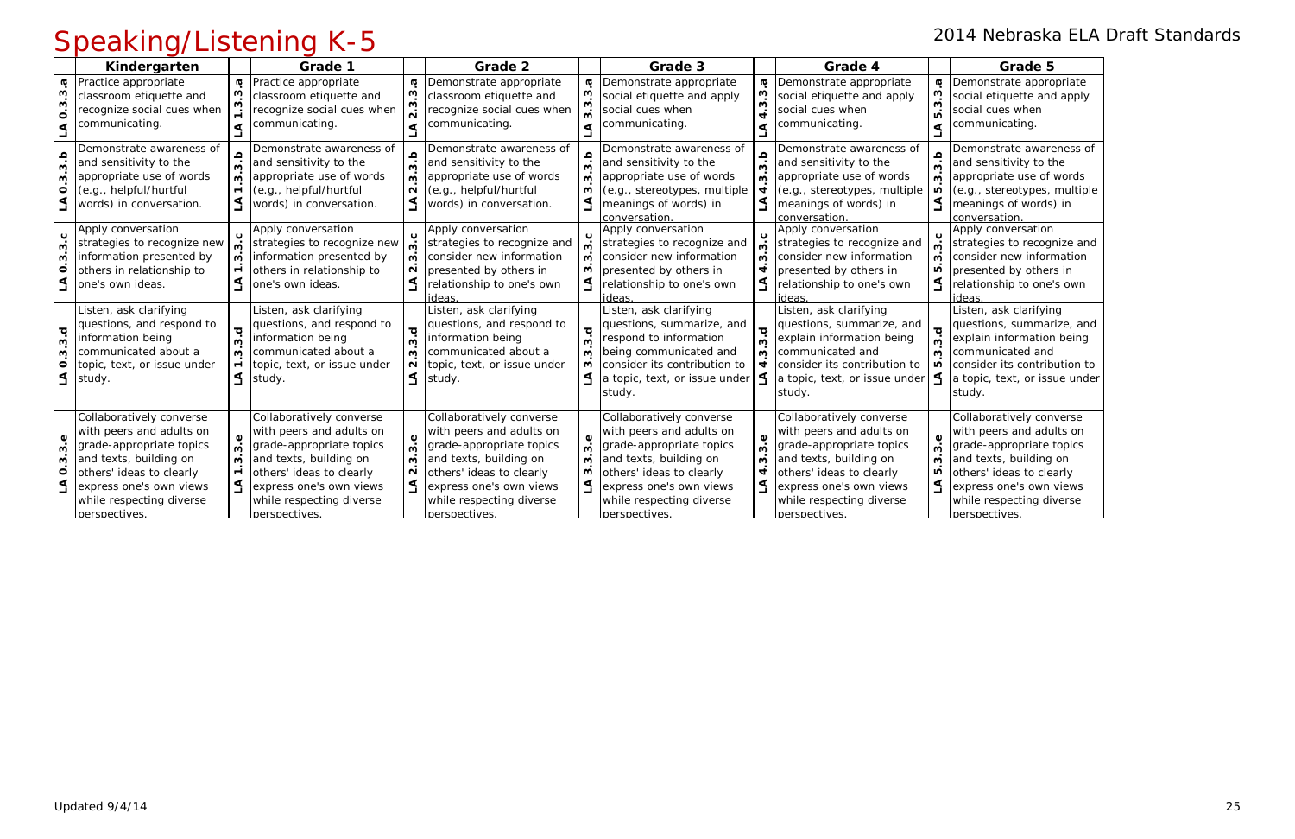Demonstrate appropriate social etiquette and apply social cues when communicating.

Demonstrate awareness of and sensitivity to the appropriate use of words (e.g., stereotypes, multiple meanings of words) in conversation.

Apply conversation strategies to recognize and consider new information presented by others in relationship to one's own ideas.

### Speaking/Listening K-5 2014 Nebraska ELA Draft Standards

|                                  | Kindergarten                                                                                                                                                                                                   |                        | Grade 1                                                                                                                                                                                                        |                             | Grade 2                                                                                                                                                                                                        |                        | Grade 3                                                                                                                                                                                                        |               | Grade 4                                                                                                                                                                                                        |                                                       | Grade 5                                                                                                                                                                      |
|----------------------------------|----------------------------------------------------------------------------------------------------------------------------------------------------------------------------------------------------------------|------------------------|----------------------------------------------------------------------------------------------------------------------------------------------------------------------------------------------------------------|-----------------------------|----------------------------------------------------------------------------------------------------------------------------------------------------------------------------------------------------------------|------------------------|----------------------------------------------------------------------------------------------------------------------------------------------------------------------------------------------------------------|---------------|----------------------------------------------------------------------------------------------------------------------------------------------------------------------------------------------------------------|-------------------------------------------------------|------------------------------------------------------------------------------------------------------------------------------------------------------------------------------|
| S<br>S<br>$\dot{\mathbf{o}}$     | Practice appropriate<br>classroom etiquette and<br>recognize social cues when<br>communicating.                                                                                                                | a                      | Practice appropriate<br>classroom etiquette and<br>recognize social cues when<br>communicating.                                                                                                                | Ф                           | Demonstrate appropriate<br>classroom etiquette and<br>recognize social cues when<br>communicating.                                                                                                             | ø<br>$\mathbf{\infty}$ | Demonstrate appropriate<br>social etiquette and apply<br>social cues when<br>communicating.                                                                                                                    | <b>G</b><br>ო | Demonstrate appropriate<br>social etiquette and apply<br>social cues when<br>communicating.                                                                                                                    | <b>G</b><br>ო<br>$\overline{a}$                       | Demonstrate appro<br>social etiquette and<br>social cues when<br>communicating.                                                                                              |
| 3.b<br>S<br>$\circ$<br>$\preceq$ | Demonstrate awareness of<br>and sensitivity to the<br>appropriate use of words<br>(e.g., helpful/hurtful<br>words) in conversation.                                                                            | $\overline{3}$<br>ო    | Demonstrate awareness of<br>and sensitivity to the<br>appropriate use of words<br>(e.g., helpful/hurtful<br>words) in conversation.                                                                            | a.s<br>$\sim$               | Demonstrate awareness of<br>and sensitivity to the<br>appropriate use of words<br>(e.g., helpful/hurtful<br>words) in conversation.                                                                            | a.p<br>ო               | Demonstrate awareness of<br>and sensitivity to the<br>appropriate use of words<br>(e.g., stereotypes, multiple<br>meanings of words) in<br>conversation                                                        | م<br>∾<br>ო   | Demonstrate awareness of<br>and sensitivity to the<br>appropriate use of words<br>(e.g., stereotypes, multiple<br>meanings of words) in<br>conversation                                                        | $\frac{5}{3}$<br>ω<br>ю<br>$\blacktriangleleft$       | Demonstrate aware<br>and sensitivity to tl<br>appropriate use of<br>(e.g., stereotypes,<br>meanings of words<br>conversation.                                                |
| ო<br>S<br>$\circ$                | Apply conversation<br>strategies to recognize new<br>information presented by<br>others in relationship to<br>one's own ideas.                                                                                 | ຕໍ<br>ω                | Apply conversation<br>strategies to recognize new<br>information presented by<br>others in relationship to<br>one's own ideas.                                                                                 | ო<br>$\sim$                 | Apply conversation<br>strategies to recognize and<br>consider new information<br>presented by others in<br>relationship to one's own<br>ideas                                                                  | ო<br>w                 | Apply conversation<br>strategies to recognize and<br>consider new information<br>presented by others in<br>relationship to one's own<br>ideas                                                                  | ო             | Apply conversation<br>strategies to recognize and<br>consider new information<br>presented by others in<br>relationship to one's own<br>ideas                                                                  | $\epsilon$<br>$\mathbf{\omega}$<br>ო<br>Ю<br><u>ร</u> | Apply conversation<br>strategies to recogi<br>consider new inforr<br>presented by other<br>relationship to one'<br>ideas                                                     |
| ਹ<br>ო<br>ო<br>$\circ$           | Listen, ask clarifying<br>questions, and respond to<br>information being<br>communicated about a<br>topic, text, or issue under<br>study.                                                                      | ত<br>ო<br>ო            | Listen, ask clarifying<br>questions, and respond to<br>information being<br>communicated about a<br>topic, text, or issue under<br>study.                                                                      | ਹ<br>ო<br>$\mathbf{\Omega}$ | Listen, ask clarifying<br>questions, and respond to<br>information being<br>communicated about a<br>topic, text, or issue under<br>study.                                                                      | ত<br>ო<br>w<br>ო       | Listen, ask clarifying<br>questions, summarize, and<br>respond to information<br>being communicated and<br>consider its contribution to<br>a topic, text, or issue under<br>study.                             | ო<br>ო<br>4   | Listen, ask clarifying<br>questions, summarize, and<br>explain information being<br>communicated and<br>consider its contribution to<br>a topic, text, or issue under<br>study.                                | ত<br>$\dot{\mathbf{c}}$<br>$\dot{\mathbf{c}}$<br>Ю    | Listen, ask clarifyin<br>questions, summar<br>explain information<br>communicated and<br>consider its contrib<br>a topic, text, or isse<br>study.                            |
| به<br>ო<br>ო<br>$\circ$          | Collaboratively converse<br>with peers and adults on<br>grade-appropriate topics<br>and texts, building on<br>others' ideas to clearly<br>express one's own views<br>while respecting diverse<br>perspectives. | $\mathbf{\infty}$<br>ო | Collaboratively converse<br>with peers and adults on<br>grade-appropriate topics<br>and texts, building on<br>others' ideas to clearly<br>express one's own views<br>while respecting diverse<br>perspectives. | ო<br>N                      | Collaboratively converse<br>with peers and adults on<br>grade-appropriate topics<br>and texts, building on<br>others' ideas to clearly<br>express one's own views<br>while respecting diverse<br>perspectives. | ო<br>S                 | Collaboratively converse<br>with peers and adults on<br>grade-appropriate topics<br>and texts, building on<br>others' ideas to clearly<br>express one's own views<br>while respecting diverse<br>perspectives. | ω             | Collaboratively converse<br>with peers and adults on<br>grade-appropriate topics<br>and texts, building on<br>others' ideas to clearly<br>express one's own views<br>while respecting diverse<br>perspectives. | <u>ვ.</u><br>S<br>ഥ                                   | Collaboratively con<br>with peers and adu<br>grade-appropriate<br>and texts, building<br>others' ideas to clea<br>express one's own<br>while respecting div<br>perspectives. |

Listen, ask clarifying questions, summarize, and explain information being communicated and consider its contribution to a topic, text, or issue under study.

Collaboratively converse with peers and adults on grade-appropriate topics and texts, building on others' ideas to clearly express one's own views while respecting diverse perspectives.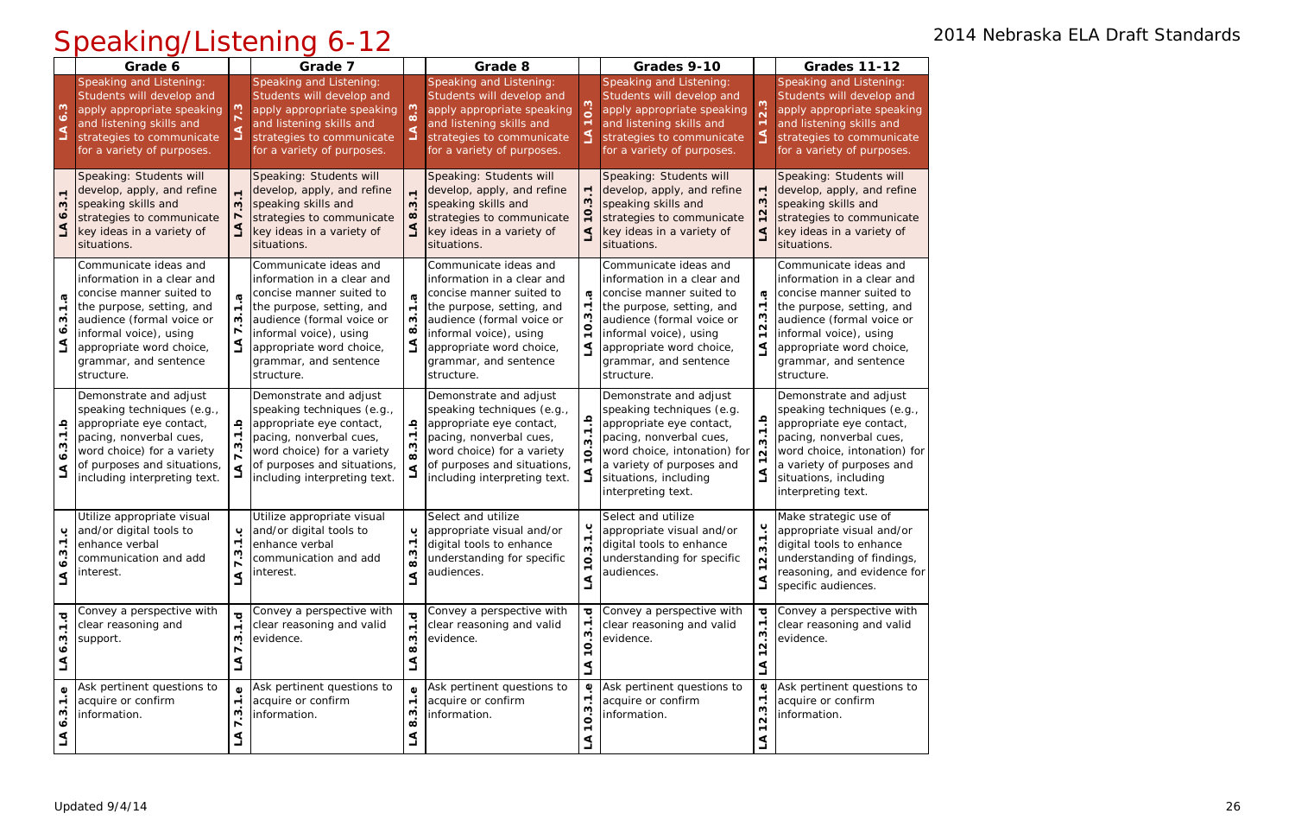|                                                            | Grade 6                                                                                                                                                                                                                                |                          | Grade 7                                                                                                                                                                                                                                |                                                                           | Grade 8                                                                                                                                                                                                                                |                                                      | Grades 9-10                                                                                                                                                                                                                            |                                                                                         | <b>Grades 11-12</b>                                                                                                                                                                                                                    |
|------------------------------------------------------------|----------------------------------------------------------------------------------------------------------------------------------------------------------------------------------------------------------------------------------------|--------------------------|----------------------------------------------------------------------------------------------------------------------------------------------------------------------------------------------------------------------------------------|---------------------------------------------------------------------------|----------------------------------------------------------------------------------------------------------------------------------------------------------------------------------------------------------------------------------------|------------------------------------------------------|----------------------------------------------------------------------------------------------------------------------------------------------------------------------------------------------------------------------------------------|-----------------------------------------------------------------------------------------|----------------------------------------------------------------------------------------------------------------------------------------------------------------------------------------------------------------------------------------|
| <b>ვ.</b>                                                  | Speaking and Listening:<br>Students will develop and<br>apply appropriate speaking<br>and listening skills and<br>strategies to communicate<br>for a variety of purposes.                                                              |                          | Speaking and Listening:<br>Students will develop and<br>apply appropriate speaking<br>and listening skills and<br>strategies to communicate<br>for a variety of purposes.                                                              | $\infty$<br>⋖                                                             | Speaking and Listening:<br>Students will develop and<br>apply appropriate speaking<br>and listening skills and<br>strategies to communicate<br>for a variety of purposes.                                                              | S                                                    | Speaking and Listening:<br>Students will develop and<br>apply appropriate speaking<br>and listening skills and<br>strategies to communicate<br>for a variety of purposes.                                                              | S                                                                                       | Speaking and Listening:<br>Students will develop and<br>apply appropriate speaking<br>and listening skills and<br>strategies to communicate<br>for a variety of purposes.                                                              |
| S<br>$\bullet$                                             | Speaking: Students will<br>develop, apply, and refine<br>speaking skills and<br>strategies to communicate<br>key ideas in a variety of<br>situations.                                                                                  | ω                        | Speaking: Students will<br>develop, apply, and refine<br>speaking skills and<br>strategies to communicate<br>key ideas in a variety of<br>situations.                                                                                  | S<br>$\infty$                                                             | Speaking: Students will<br>develop, apply, and refine<br>speaking skills and<br>strategies to communicate<br>key ideas in a variety of<br>situations.                                                                                  |                                                      | Speaking: Students will<br>develop, apply, and refine<br>speaking skills and<br>strategies to communicate<br>key ideas in a variety of<br>situations.                                                                                  | $\blacktriangledown$<br>S<br>$\mathbf{\Omega}$<br>٩                                     | Speaking: Students will<br>develop, apply, and refine<br>speaking skills and<br>strategies to communicate<br>key ideas in a variety of<br>situations.                                                                                  |
| G<br>$\blacktriangledown$<br>w<br>ò.<br>$\Delta$           | Communicate ideas and<br>information in a clear and<br>concise manner suited to<br>the purpose, setting, and<br>audience (formal voice or<br>informal voice), using<br>appropriate word choice,<br>grammar, and sentence<br>structure. | w                        | Communicate ideas and<br>information in a clear and<br>concise manner suited to<br>the purpose, setting, and<br>audience (formal voice or<br>informal voice), using<br>appropriate word choice,<br>grammar, and sentence<br>structure. | $\dot{ }$<br>S<br>$\infty$<br>$\Delta$                                    | Communicate ideas and<br>information in a clear and<br>concise manner suited to<br>the purpose, setting, and<br>audience (formal voice or<br>informal voice), using<br>appropriate word choice,<br>grammar, and sentence<br>structure. | $\boldsymbol{\sigma}$<br>$\overline{Q}$              | Communicate ideas and<br>information in a clear and<br>concise manner suited to<br>the purpose, setting, and<br>audience (formal voice or<br>informal voice), using<br>appropriate word choice,<br>grammar, and sentence<br>structure. | <b>G</b><br>$\overline{\phantom{a}}$<br>ო<br>$\dot{\mathbf{N}}$<br>$\mathbf{\tau}$<br>٩ | Communicate ideas and<br>information in a clear and<br>concise manner suited to<br>the purpose, setting, and<br>audience (formal voice or<br>informal voice), using<br>appropriate word choice,<br>grammar, and sentence<br>structure. |
| $\frac{a}{1}$<br>S<br>$\bullet$<br>گ                       | Demonstrate and adjust<br>speaking techniques (e.g.,<br>appropriate eye contact,<br>pacing, nonverbal cues,<br>word choice) for a variety<br>of purposes and situations,<br>including interpreting text.                               | ڢ<br>⋖                   | Demonstrate and adjust<br>speaking techniques (e.g.,<br>appropriate eye contact,<br>pacing, nonverbal cues,<br>word choice) for a variety<br>of purposes and situations,<br>including interpreting text.                               | $\frac{a}{1}$ .<br>ვ<br>ვ<br>$\Delta$                                     | Demonstrate and adjust<br>speaking techniques (e.g.,<br>appropriate eye contact,<br>pacing, nonverbal cues,<br>word choice) for a variety<br>of purposes and situations,<br>including interpreting text.                               | $\frac{a}{7}$                                        | Demonstrate and adjust<br>speaking techniques (e.g.<br>appropriate eye contact,<br>pacing, nonverbal cues,<br>word choice, intonation) for<br>a variety of purposes and<br>situations, including<br>interpreting text.                 | $\frac{a}{1}$<br>က<br>$\overline{N}$<br>$\overline{\phantom{0}}$<br>$\Delta$            | Demonstrate and adjust<br>speaking techniques (e.g.,<br>appropriate eye contact,<br>pacing, nonverbal cues,<br>word choice, intonation) for<br>a variety of purposes and<br>situations, including<br>interpreting text.                |
| $\blacktriangledown$<br>w<br>$\dot{\bullet}$<br>⋖          | Utilize appropriate visual<br>p and/or digital tools to<br>enhance verbal<br>communication and add<br>interest.                                                                                                                        | $\overline{r}$<br>ო<br>⋖ | Utilize appropriate visual<br>p and/or digital tools to<br>enhance verbal<br>communication and add<br>interest.                                                                                                                        | ပ<br>$\overline{\phantom{a}}$<br>w<br>$\dot{\infty}$<br>$\trianglelefteq$ | Select and utilize<br>appropriate visual and/or<br>digital tools to enhance<br>understanding for specific<br>audiences.                                                                                                                | ပ<br>ო<br>$\dot{\mathbf{o}}$<br>⋖                    | Select and utilize<br>appropriate visual and/or<br>digital tools to enhance<br>understanding for specific<br>audiences.                                                                                                                | ب<br>ო<br>$\overline{N}$<br>L                                                           | Make strategic use of<br>appropriate visual and/or<br>digital tools to enhance<br>understanding of findings,<br>reasoning, and evidence for<br>specific audiences.                                                                     |
| ত্<br>$\overline{\phantom{a}}$<br>ن<br>و<br>$\bullet$<br>L | Convey a perspective with<br>clear reasoning and<br>support.                                                                                                                                                                           | $\blacksquare$<br>ო<br>₹ | Convey a perspective with<br>clear reasoning and valid<br>evidence.                                                                                                                                                                    | $\overline{r}$<br>ო.<br>$\infty$<br>$\Delta$                              | Convey a perspective with<br>clear reasoning and valid<br>evidence.                                                                                                                                                                    | $\overline{\mathbf{o}}$<br>3.1<br>$\dot{\mathbf{o}}$ | Convey a perspective with<br>clear reasoning and valid<br>evidence.                                                                                                                                                                    | $\overline{\sigma}$<br>2.3.1<br>$\mathbf{\tau}$<br>L                                    | Convey a perspective with<br>clear reasoning and valid<br>evidence.                                                                                                                                                                    |
| ٥<br>$\blacktriangledown$<br>w<br>$\bullet$<br>₹           | Ask pertinent questions to<br>acquire or confirm<br>information.                                                                                                                                                                       | ო<br>L                   | Ask pertinent questions to<br>acquire or confirm<br>information.                                                                                                                                                                       | $\blacksquare$<br>S<br>$\infty$<br>L                                      | Ask pertinent questions to<br>acquire or confirm<br>information.                                                                                                                                                                       | Φ                                                    | Ask pertinent questions to<br>acquire or confirm<br>information.                                                                                                                                                                       | Ф<br>$\overline{\phantom{a}}$<br>S<br>$\dot{\mathsf n}$<br>$\mathbf{\tau}$<br>⋖         | Ask pertinent questions to<br>acquire or confirm<br>information.                                                                                                                                                                       |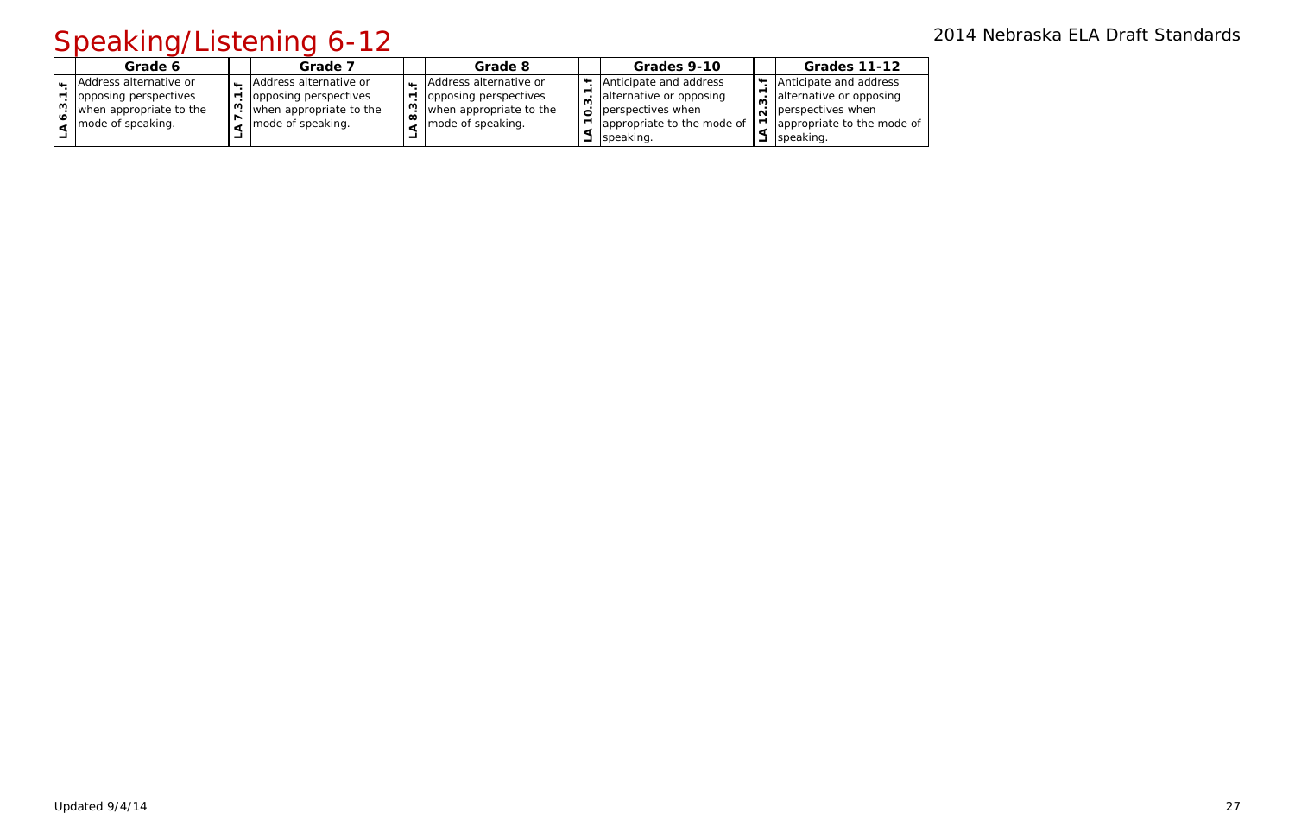|   | Grade 6                                                                                         | Grade 7                                                                                         |     | Grade 8                                                                                         | Grades 9-10                                                                                                       | <b>Grades 11-12</b>                                                                                                                       |
|---|-------------------------------------------------------------------------------------------------|-------------------------------------------------------------------------------------------------|-----|-------------------------------------------------------------------------------------------------|-------------------------------------------------------------------------------------------------------------------|-------------------------------------------------------------------------------------------------------------------------------------------|
| ო | Address alternative or<br>opposing perspectives<br>when appropriate to the<br>mode of speaking. | Address alternative or<br>opposing perspectives<br>when appropriate to the<br>mode of speaking. | ၊ က | Address alternative or<br>opposing perspectives<br>when appropriate to the<br>mode of speaking. | Anticipate and address<br>alternative or opposing<br>perspectives when<br>appropriate to the mode of<br>speaking. | Anticipate and address<br>alternative or opposing<br>$\overline{\mathbf{a}}$ perspectives when<br>appropriate to the mode of<br>speaking. |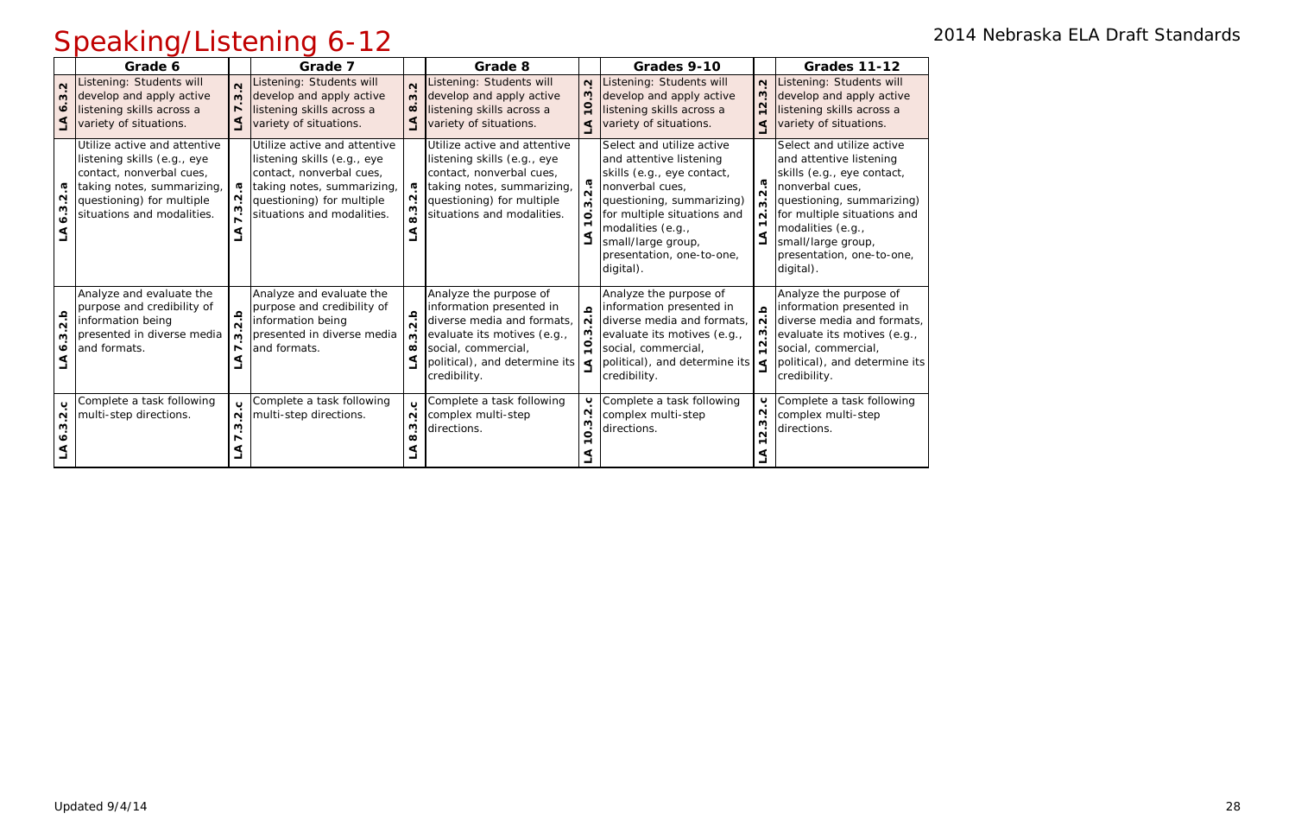|                             | Grade 6                                                                                                                                                                          |                         | Grade 7                                                                                                                                                                          |                                                              | Grade 8                                                                                                                                                                                 |                                   | Grades 9-10                                                                                                                                                                                                                                            |                                                                                       | <b>Grades 11-12</b>                                                                                                                                                                                                                                    |
|-----------------------------|----------------------------------------------------------------------------------------------------------------------------------------------------------------------------------|-------------------------|----------------------------------------------------------------------------------------------------------------------------------------------------------------------------------|--------------------------------------------------------------|-----------------------------------------------------------------------------------------------------------------------------------------------------------------------------------------|-----------------------------------|--------------------------------------------------------------------------------------------------------------------------------------------------------------------------------------------------------------------------------------------------------|---------------------------------------------------------------------------------------|--------------------------------------------------------------------------------------------------------------------------------------------------------------------------------------------------------------------------------------------------------|
| $\mathbf{\Omega}$<br>S<br>∾ | istening: Students will<br>develop and apply active<br>listening skills across a<br>variety of situations.                                                                       | m                       | Listening: Students will<br>develop and apply active<br>listening skills across a<br>variety of situations.                                                                      | $\mathbf{\Omega}$<br>$\mathbf{\omega}$<br>$\infty$<br>$\leq$ | Listening: Students will<br>develop and apply active<br>listening skills across a<br>variety of situations.                                                                             | $\mathbf{\Omega}$<br>$\circ$<br>₫ | Listening: Students will<br>develop and apply active<br>listening skills across a<br>variety of situations.                                                                                                                                            | $\mathbf{\Omega}$<br>ن<br>پ<br>$\overline{\mathbf{N}}$<br>$\mathbf{\overline{}}$<br>⋖ | Listening: Students will<br>develop and apply active<br>listening skills across a<br>variety of situations.                                                                                                                                            |
| N<br>S<br>ة                 | Utilize active and attentive<br>listening skills (e.g., eye<br>contact, nonverbal cues,<br>taking notes, summarizing,<br>questioning) for multiple<br>situations and modalities. |                         | Utilize active and attentive<br>listening skills (e.g., eye<br>contact, nonverbal cues,<br>taking notes, summarizing,<br>questioning) for multiple<br>situations and modalities. | ω<br>Ņ<br>ო<br>$\dot{\mathbf{a}}$                            | Utilize active and attentive<br>listening skills (e.g., eye<br>contact, nonverbal cues,<br>taking notes, summarizing,<br>questioning) for multiple<br>situations and modalities.        | $\mathbf{o}$                      | Select and utilize active<br>and attentive listening<br>skills (e.g., eye contact,<br>nonverbal cues,<br>questioning, summarizing)<br>for multiple situations and<br>modalities (e.g.,<br>small/large group,<br>presentation, one-to-one,<br>digital). | Ø<br>$\mathbf{\Omega}$<br>$\mathbf{\Omega}$<br>⋖                                      | Select and utilize active<br>and attentive listening<br>skills (e.g., eye contact,<br>nonverbal cues,<br>questioning, summarizing)<br>for multiple situations and<br>modalities (e.g.,<br>small/large group,<br>presentation, one-to-one,<br>digital). |
| ڢ<br>$\mathbf{\Omega}$<br>ო | Analyze and evaluate the<br>purpose and credibility of<br>information being<br>presented in diverse media<br>and formats.                                                        | ω                       | Analyze and evaluate the<br>purpose and credibility of<br>information being<br>presented in diverse media<br>and formats.                                                        | $\frac{a}{2}$<br>ო<br>$\infty$<br>$\Delta$                   | Analyze the purpose of<br>information presented in<br>diverse media and formats,<br>evaluate its motives (e.g.,<br>social, commercial,<br>political), and determine its<br>credibility. | $\mathbf{a}$<br>$\sim$            | Analyze the purpose of<br>information presented in<br>diverse media and formats,<br>evaluate its motives (e.g.,<br>social, commercial,<br>political), and determine its $\vert \leq$<br>credibility.                                                   | $\Omega$<br>$\overline{\mathsf{N}}$<br>ო<br>N<br>$\blacksquare$                       | Analyze the purpose of<br>information presented in<br>diverse media and formats,<br>evaluate its motives (e.g.,<br>social, commercial,<br>political), and determine its<br>credibility.                                                                |
| ပ<br>N                      | Complete a task following<br>multi-step directions.                                                                                                                              | Ő.<br>$\mathbf{\Omega}$ | Complete a task following<br>multi-step directions.                                                                                                                              | $\mathbf{\tilde{N}}$<br>S<br>œ                               | Complete a task following<br>complex multi-step<br>directions.                                                                                                                          | ပ<br>$\sim$<br>ო<br>ö             | Complete a task following<br>complex multi-step<br>directions.                                                                                                                                                                                         | ب<br>$\mathbf{\Omega}$<br>ო<br>$\dot{\mathbf{N}}$                                     | Complete a task following<br>complex multi-step<br>directions.                                                                                                                                                                                         |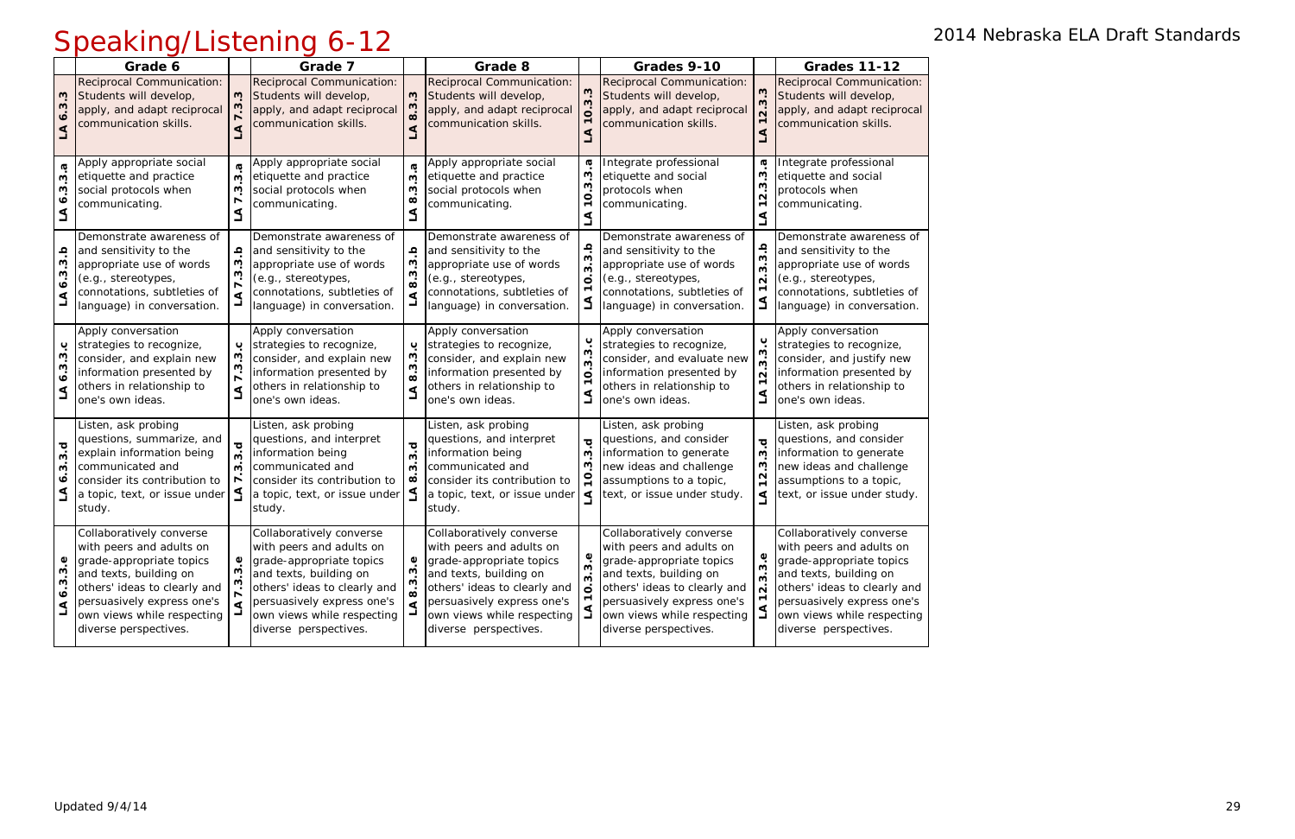|                                                  | Grade 6                                                                                                                                                                                                                         |                                           | Grade 7                                                                                                                                                                                                                         |                                                                                | Grade 8                                                                                                                                                                                                                         |                                                     | Grades 9-10                                                                                                                                                                                                                     |                                                                                             | <b>Grades 11-12</b>                                                                                                                                                                                                             |
|--------------------------------------------------|---------------------------------------------------------------------------------------------------------------------------------------------------------------------------------------------------------------------------------|-------------------------------------------|---------------------------------------------------------------------------------------------------------------------------------------------------------------------------------------------------------------------------------|--------------------------------------------------------------------------------|---------------------------------------------------------------------------------------------------------------------------------------------------------------------------------------------------------------------------------|-----------------------------------------------------|---------------------------------------------------------------------------------------------------------------------------------------------------------------------------------------------------------------------------------|---------------------------------------------------------------------------------------------|---------------------------------------------------------------------------------------------------------------------------------------------------------------------------------------------------------------------------------|
| $\ddot{\bm{\omega}}$<br>ن<br>س<br>$\bullet$<br>⋖ | Reciprocal Communication:<br>Students will develop,<br>apply, and adapt reciprocal<br>communication skills.                                                                                                                     | w<br>$\blacktriangleleft$                 | Reciprocal Communication:<br>Students will develop,<br>apply, and adapt reciprocal<br>communication skills.                                                                                                                     | S<br>w<br>$\dot{\infty}$<br>⋖                                                  | Reciprocal Communication:<br>Students will develop,<br>apply, and adapt reciprocal<br>communication skills.                                                                                                                     | $3.\overline{3}$                                    | Reciprocal Communication:<br>Students will develop,<br>apply, and adapt reciprocal<br>communication skills.                                                                                                                     | $3.\overline{3}$<br>$\dot{\mathbf{N}}$<br>$\blacktriangledown$<br>⋖                         | Reciprocal Communication:<br>Students will develop,<br>apply, and adapt reciprocal<br>communication skills.                                                                                                                     |
| <b>G</b><br>w<br>w<br>∘<br>⋖                     | Apply appropriate social<br>etiquette and practice<br>social protocols when<br>communicating.                                                                                                                                   | $\boldsymbol{\sigma}$<br>S<br>S<br>r<br>گ | Apply appropriate social<br>etiquette and practice<br>social protocols when<br>communicating.                                                                                                                                   | $\boldsymbol{\sigma}$<br><u>ຕ</u><br>S<br>$\infty$<br>⋖                        | Apply appropriate social<br>etiquette and practice<br>social protocols when<br>communicating.                                                                                                                                   | G<br>S<br>က<br>$\dot{\mathbf{o}}$<br>$\blacksquare$ | Integrate professional<br>etiquette and social<br>protocols when<br>communicating.                                                                                                                                              | G<br>ن<br>س<br>w<br>$\overline{N}$<br>$\blacktriangledown$<br>⋖                             | Integrate professional<br>etiquette and social<br>protocols when<br>communicating.                                                                                                                                              |
| 3.b<br>ო<br>$\dot{\bullet}$<br>⋖                 | Demonstrate awareness of<br>and sensitivity to the<br>appropriate use of words<br>(e.g., stereotypes,<br>connotations, subtleties of<br>language) in conversation.                                                              | ڢ<br>W<br>ო                               | Demonstrate awareness of<br>and sensitivity to the<br>appropriate use of words<br>(e.g., stereotypes,<br>connotations, subtleties of<br>language) in conversation.                                                              | ڢ<br>S<br>S<br>$\dot{\infty}$<br>⋖                                             | Demonstrate awareness of<br>and sensitivity to the<br>appropriate use of words<br>(e.g., stereotypes,<br>connotations, subtleties of<br>language) in conversation.                                                              | ڢ<br>က<br>$\circ$                                   | Demonstrate awareness of<br>and sensitivity to the<br>appropriate use of words<br>(e.g., stereotypes,<br>connotations, subtleties of<br>language) in conversation.                                                              | 3.3.b<br>$\dot{\mathsf{N}}$<br>$\overline{\phantom{0}}$<br>$\Delta$                         | Demonstrate awareness of<br>and sensitivity to the<br>appropriate use of words<br>(e.g., stereotypes,<br>connotations, subtleties of<br>language) in conversation.                                                              |
| ڹ<br>w<br>$6.\overline{3}$<br>⋖                  | Apply conversation<br>strategies to recognize,<br>consider, and explain new<br>information presented by<br>others in relationship to<br>one's own ideas.                                                                        | ⋖                                         | Apply conversation<br>strategies to recognize,<br>consider, and explain new<br>information presented by<br>others in relationship to<br>one's own ideas.                                                                        | ب<br>3.3<br>$\dot{\infty}$<br>$\blacktriangleleft$<br>$\overline{\phantom{0}}$ | Apply conversation<br>strategies to recognize,<br>consider, and explain new<br>information presented by<br>others in relationship to<br>one's own ideas.                                                                        | ပ<br>$\mathbf{\omega}$<br>$\circ$                   | Apply conversation<br>strategies to recognize,<br>consider, and evaluate new<br>information presented by<br>others in relationship to<br>one's own ideas.                                                                       | ب<br>$\mathbf{\omega}$<br>$\dot{\mathbf{c}}$<br>$\overline{N}$<br>$\blacktriangledown$<br>ڲ | Apply conversation<br>strategies to recognize,<br>consider, and justify new<br>information presented by<br>others in relationship to<br>one's own ideas.                                                                        |
| ত্<br>w<br>S<br>∾<br>$\Delta$                    | Listen, ask probing<br>questions, summarize, and<br>explain information being<br>communicated and<br>consider its contribution to<br>a topic, text, or issue under<br>study.                                                    | ত<br>Μ<br>ო                               | Listen, ask probing<br>questions, and interpret<br>information being<br>communicated and<br>consider its contribution to<br>a topic, text, or issue under<br>study.                                                             | $\overline{\mathbf{C}}$<br>$\mathbf{\omega}$<br>ო<br>$\infty$                  | Listen, ask probing<br>questions, and interpret<br>information being<br>communicated and<br>consider its contribution to<br>a topic, text, or issue under<br>study.                                                             | ರ<br>S<br>S<br>⋖                                    | Listen, ask probing<br>questions, and consider<br>information to generate<br>new ideas and challenge<br>assumptions to a topic,<br>text, or issue under study.                                                                  | $\bf \bar o$<br>w<br>w<br>$\frac{2}{3}$<br>⋖                                                | Listen, ask probing<br>questions, and consider<br>information to generate<br>new ideas and challenge<br>assumptions to a topic,<br>text, or issue under study.                                                                  |
| ڢ<br>نې<br>ო<br>$\bullet$<br>⋖                   | Collaboratively converse<br>with peers and adults on<br>grade-appropriate topics<br>and texts, building on<br>others' ideas to clearly and<br>persuasively express one's<br>own views while respecting<br>diverse perspectives. | $\blacktriangleleft$                      | Collaboratively converse<br>with peers and adults on<br>grade-appropriate topics<br>and texts, building on<br>others' ideas to clearly and<br>persuasively express one's<br>own views while respecting<br>diverse perspectives. | ە<br>ო<br>$\infty$                                                             | Collaboratively converse<br>with peers and adults on<br>grade-appropriate topics<br>and texts, building on<br>others' ideas to clearly and<br>persuasively express one's<br>own views while respecting<br>diverse perspectives. | $\mathbf{\omega}$                                   | Collaboratively converse<br>with peers and adults on<br>grade-appropriate topics<br>and texts, building on<br>others' ideas to clearly and<br>persuasively express one's<br>own views while respecting<br>diverse perspectives. | <u>ვ.</u><br>ვ<br>$\dot{\mathbf{c}}$<br>$\overline{N}$<br>$\mathbf{\tau}$<br>$\Delta$       | Collaboratively converse<br>with peers and adults on<br>grade-appropriate topics<br>and texts, building on<br>others' ideas to clearly and<br>persuasively express one's<br>own views while respecting<br>diverse perspectives. |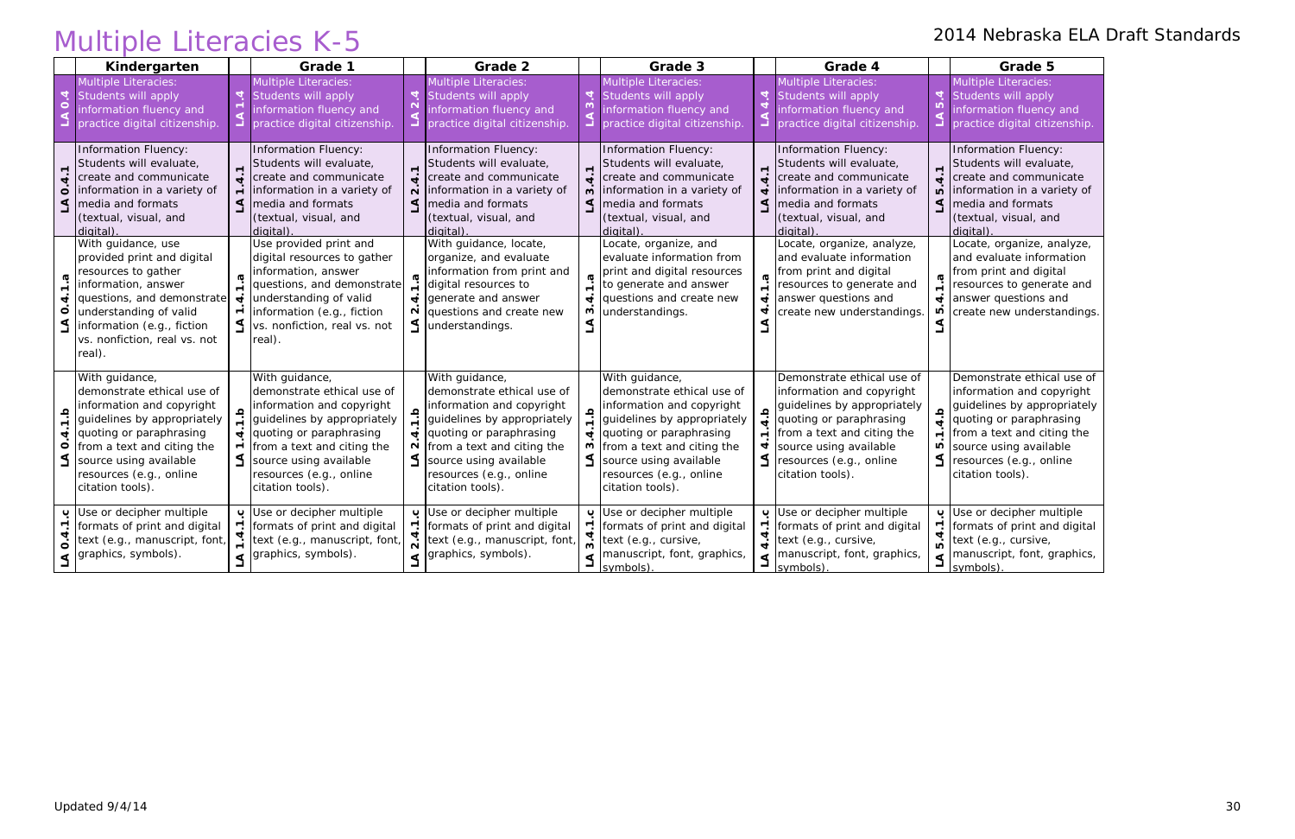|                                                       | <b>Multiple Literacies K-5</b>                                                                                                                                                                                                             |                                                 |                                                                                                                                                                                                                                            |                |                                                                                                                                                                                                                                                                      |                             |                                                                                                                                                                                                                                                                                   |                                                     |                                                                                                                                                                                                                                 |                                                 | 2014 Nebraska ELA Draft Standards                                                                                                                                                                                        |
|-------------------------------------------------------|--------------------------------------------------------------------------------------------------------------------------------------------------------------------------------------------------------------------------------------------|-------------------------------------------------|--------------------------------------------------------------------------------------------------------------------------------------------------------------------------------------------------------------------------------------------|----------------|----------------------------------------------------------------------------------------------------------------------------------------------------------------------------------------------------------------------------------------------------------------------|-----------------------------|-----------------------------------------------------------------------------------------------------------------------------------------------------------------------------------------------------------------------------------------------------------------------------------|-----------------------------------------------------|---------------------------------------------------------------------------------------------------------------------------------------------------------------------------------------------------------------------------------|-------------------------------------------------|--------------------------------------------------------------------------------------------------------------------------------------------------------------------------------------------------------------------------|
|                                                       | Kindergarten                                                                                                                                                                                                                               |                                                 | Grade 1                                                                                                                                                                                                                                    |                | Grade 2                                                                                                                                                                                                                                                              |                             | Grade 3                                                                                                                                                                                                                                                                           |                                                     | Grade 4                                                                                                                                                                                                                         |                                                 | Grade 5                                                                                                                                                                                                                  |
| 4<br>$\dot{\mathbf{o}}$                               | <b>Multiple Literacies:</b><br>Students will apply<br>information fluency and<br>practice digital citizenship                                                                                                                              |                                                 | Multiple Literacies:<br>Students will apply<br>information fluency and<br>practice digital citizenship.                                                                                                                                    | $\overline{a}$ | Multiple Literacies:<br>Students will apply<br>information fluency and<br>practice digital citizenship.                                                                                                                                                              | $\overline{4}$              | <b>Multiple Literacies:</b><br>Students will apply<br>information fluency and<br>practice digital citizenship.                                                                                                                                                                    | $\overline{4}$                                      | Multiple Literacies:<br>Students will apply<br>information fluency and<br>practice digital citizenship.                                                                                                                         | $\overline{\mathbf{4}}$                         | Multiple Literacies:<br>Students will apply<br>information fluency and<br>practice digital citizenship.                                                                                                                  |
| $\overline{4}$ . $\overline{1}$<br>$\circ$<br>S       | Information Fluency:<br>Students will evaluate,<br>create and communicate<br>information in a variety of<br>media and formats<br>(textual, visual, and<br>digital)                                                                         | $\dot{\mathbf{r}}$                              | <b>Information Fluency:</b><br>Students will evaluate,<br>create and communicate<br>$\div$ information in a variety of<br>$\leq$ media and formats<br>(textual, visual, and<br>digital)                                                    |                | Information Fluency:<br>Students will evaluate,<br>$\frac{1}{\mathbf{t}}$ create and communicate<br>$\overrightarrow{N}$ information in a variety of<br>$\leq$ media and formats<br>(textual, visual, and<br>digital).                                               | $\dot{a}$                   | Information Fluency:<br>Students will evaluate,<br>create and communicate<br>m information in a variety of<br>$\leq$   media and formats<br>(textual, visual, and<br>digital)                                                                                                     | ਚ<br>$\triangleleft$                                | Information Fluency:<br>Students will evaluate,<br>create and communicate<br>information in a variety of<br>media and formats<br>(textual, visual, and<br>digital).                                                             | $\dot{ }$<br>$\overline{10}$<br>$\triangleleft$ | Information Fluency:<br>Students will evaluate,<br>create and communicate<br>information in a variety of<br>media and formats<br>(textual, visual, and<br>digital)                                                       |
| $\dot{+}$<br>$\circ$<br><u>گ</u>                      | With guidance, use<br>provided print and digital<br>resources to gather<br>information, answer<br>questions, and demonstrate<br>understanding of valid<br>information (e.g., fiction<br>vs. nonfiction, real vs. not<br>real).             | $\blacktriangleleft$<br>$\blacksquare$          | Use provided print and<br>digital resources to gather<br>information, answer<br>questions, and demonstrate<br>understanding of valid<br>information (e.g., fiction<br>$\leq$  vs. nonfiction, real vs. not<br>real).                       |                | With guidance, locate,<br>organize, and evaluate<br>information from print and<br>digital resources to<br>$\frac{1}{2}$ generate and answer<br>$\frac{N}{N}$ questions and create new<br>$\leq$ understandings.                                                      | $\blacktriangleleft$<br>S.  | Locate, organize, and<br>evaluate information from<br>print and digital resources<br>to generate and answer<br>questions and create new<br>understandings.                                                                                                                        | 4.1.a<br>$\overline{\mathbf{r}}$                    | Locate, organize, analyze,<br>and evaluate information<br>from print and digital<br>resources to generate and<br>answer questions and<br>create new understandings.                                                             | $\overline{\mathbf{d}}$<br>FU                   | Locate, organize, analyze,<br>and evaluate information<br>from print and digital<br>resources to generate and<br>answer questions and<br>create new understandings.                                                      |
| $\frac{a}{1}$<br>$\dot{a}$<br>$\overline{\mathbf{o}}$ | With guidance,<br>demonstrate ethical use of<br>information and copyright<br>guidelines by appropriately<br>quoting or paraphrasing<br>from a text and citing the<br>source using available<br>resources (e.g., online<br>citation tools). | $\frac{q}{1}$<br>$\mathbf{r}$<br>$\blacksquare$ | With guidance,<br>demonstrate ethical use of<br>information and copyright<br>guidelines by appropriately<br>quoting or paraphrasing<br>from a text and citing the<br>source using available<br>resources (e.g., online<br>citation tools). |                | With guidance,<br>demonstrate ethical use of<br>information and copyright<br>guidelines by appropriately<br>$\vec{v}$ quoting or paraphrasing<br>$\frac{N}{n}$ from a text and citing the<br>S source using available<br>resources (e.g., online<br>citation tools). |                             | With guidance,<br>demonstrate ethical use of<br>information and copyright<br>guidelines by appropriately<br>$\frac{1}{\mathbf{y}}$ quoting or paraphrasing<br>$\infty$ from a text and citing the<br>$\leq$ source using available<br>resources (e.g., online<br>citation tools). | $\mathbf{a}$ :<br>$\blacktriangledown$<br>$\dot{a}$ | Demonstrate ethical use of<br>information and copyright<br>guidelines by appropriately<br>quoting or paraphrasing<br>from a text and citing the<br>source using available<br>$\leq$ resources (e.g., online<br>citation tools). | $\frac{a}{4}$<br>Ю                              | Demonstrate ethical use of<br>information and copyright<br>quidelines by appropriately<br>quoting or paraphrasing<br>from a text and citing the<br>source using available<br>resources (e.g., online<br>citation tools). |
| $\blacktriangledown$<br>4<br>$\mathbf{o}$<br>⋖        | Use or decipher multiple<br>formats of print and digital<br>text (e.g., manuscript, font,<br>graphics, symbols).                                                                                                                           |                                                 | Use or decipher multiple<br>r. formats of print and digital<br>text (e.g., manuscript, font,<br>graphics, symbols).                                                                                                                        |                | Use or decipher multiple<br>r. formats of print and digital<br>$\frac{4}{N}$ text (e.g., manuscript, font,<br>$\triangleleft$ graphics, symbols).                                                                                                                    | 3.4<br>$\blacktriangleleft$ | Use or decipher multiple<br>$\Gamma$ formats of print and digital<br>text (e.g., cursive,<br>manuscript, font, graphics,<br>$\frac{I_{symbols}}{I_{symbols}}$                                                                                                                     | ပ<br>4.4<br>$\Delta$                                | Use or decipher multiple<br>formats of print and digital<br>text (e.g., cursive,<br>manuscript, font, graphics,<br>symbols)                                                                                                     | ပ<br>5.4<br>$\Delta$                            | Use or decipher multiple<br>formats of print and digital<br>text (e.g., cursive,<br>manuscript, font, graphics,<br>symbols)                                                                                              |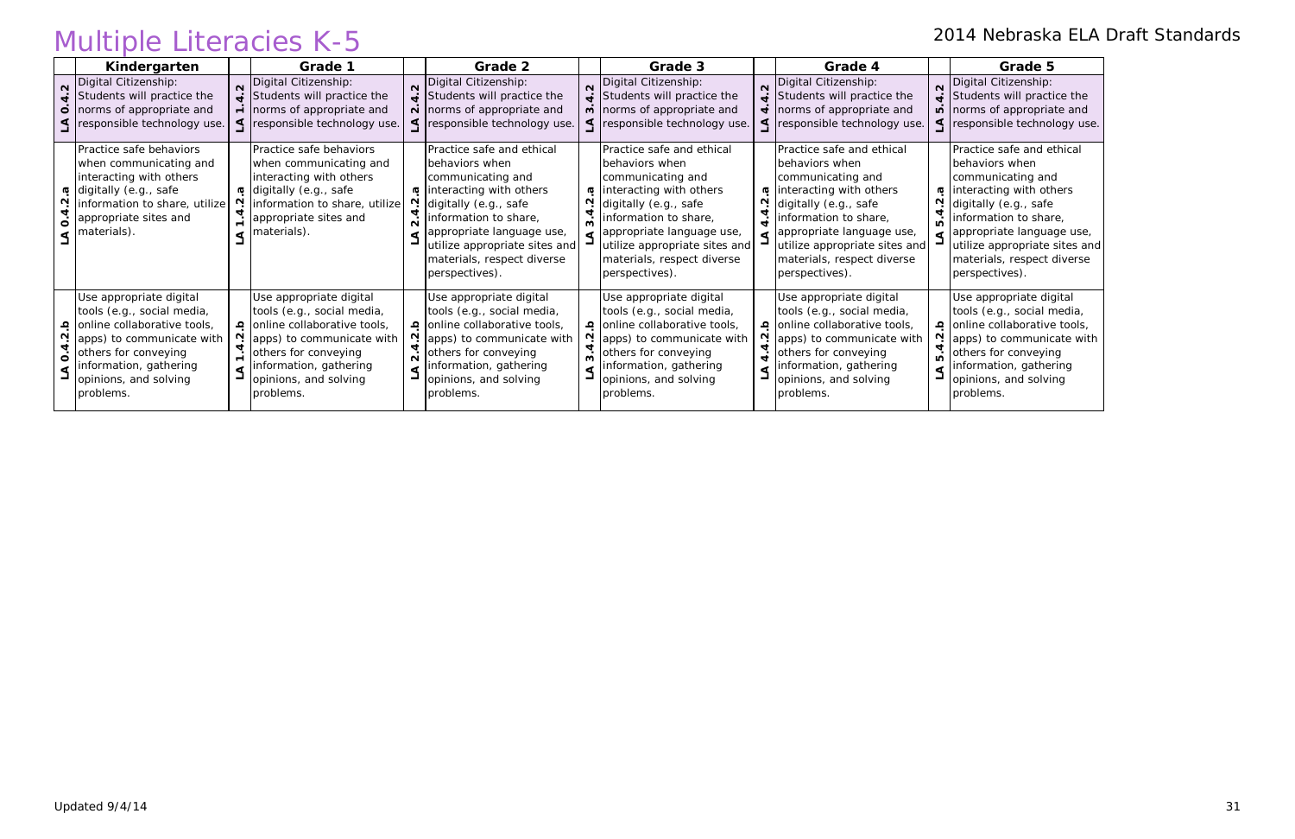|                   | <b>Multiple Literacies K-5</b>                                                                                                                                                                            |                                                                                                                                                                                                                                                          |   |                                                                                                                                                                                                                                                                                |                                                                                                                                                                                                                                                                                         |         |                                                                                                                                                                                                                                                             |                 | 2014 Nebraska ELA Draft Standards                                                                                                                                                                                                                           |
|-------------------|-----------------------------------------------------------------------------------------------------------------------------------------------------------------------------------------------------------|----------------------------------------------------------------------------------------------------------------------------------------------------------------------------------------------------------------------------------------------------------|---|--------------------------------------------------------------------------------------------------------------------------------------------------------------------------------------------------------------------------------------------------------------------------------|-----------------------------------------------------------------------------------------------------------------------------------------------------------------------------------------------------------------------------------------------------------------------------------------|---------|-------------------------------------------------------------------------------------------------------------------------------------------------------------------------------------------------------------------------------------------------------------|-----------------|-------------------------------------------------------------------------------------------------------------------------------------------------------------------------------------------------------------------------------------------------------------|
|                   | Kindergarten                                                                                                                                                                                              | Grade 1                                                                                                                                                                                                                                                  |   | Grade 2                                                                                                                                                                                                                                                                        | Grade 3                                                                                                                                                                                                                                                                                 |         | Grade 4                                                                                                                                                                                                                                                     |                 | Grade 5                                                                                                                                                                                                                                                     |
| $\mathbf{\Omega}$ | Digital Citizenship:<br>$\frac{1}{\sqrt{2}}$ Students will practice the<br>$\dot{\circ}$ norms of appropriate and<br>< responsible technology use.                                                        | Digital Citizenship:<br>$\frac{1}{\pi}$ Students will practice the<br>$\div$ norms of appropriate and<br>< responsible technology use.                                                                                                                   |   | N Digital Citizenship:<br>$\ddot{=}$ Students will practice the<br>$\overrightarrow{N}$ norms of appropriate and<br>< responsible technology use.                                                                                                                              | N Digital Citizenship:<br>$\ddot{=}$ Students will practice the<br>$\dot{\mathsf{n}}$ norms of appropriate and<br>< responsible technology use.                                                                                                                                         |         | Digital Citizenship:<br>$\ddot{=}$ Students will practice the<br>$\frac{1}{\sqrt{1}}$ norms of appropriate and<br>responsible technology use.                                                                                                               | $\triangleleft$ | Digital Citizenship:<br>Students will practice the<br>$\overrightarrow{p}$ norms of appropriate and<br>responsible technology use.                                                                                                                          |
| ö                 | Practice safe behaviors<br>when communicating and<br>interacting with others<br><b>σ</b> digitally (e.g., safe<br>information to share, utilize<br>appropriate sites and<br>materials).<br>⋖              | Practice safe behaviors<br>when communicating and<br>interacting with others<br><b>σ</b> digitally (e.g., safe<br>N information to share, utilize<br>$\frac{4}{1}$ appropriate sites and<br>$\triangleleft$ materials).                                  | ⋖ | Practice safe and ethical<br>behaviors when<br>communicating and<br>ब  interacting with others<br>N digitally (e.g., safe<br>$\frac{4}{N}$ information to share,<br>appropriate language use,<br>utilize appropriate sites and<br>materials, respect diverse<br>perspectives). | Practice safe and ethical<br>behaviors when<br>communicating and<br>m interacting with others<br>digitally (e.g., safe<br>$\frac{1}{\omega}$ information to share,<br>$\leq$ appropriate language use,<br>utilize appropriate sites and<br>materials, respect diverse<br>perspectives). | $\sim$  | Practice safe and ethical<br>behaviors when<br>communicating and<br>interacting with others<br>digitally (e.g., safe<br>information to share,<br>appropriate language use,<br>utilize appropriate sites and<br>materials, respect diverse<br>perspectives). |                 | Practice safe and ethical<br>behaviors when<br>communicating and<br>interacting with others<br>digitally (e.g., safe<br>information to share,<br>appropriate language use,<br>utilize appropriate sites and<br>materials, respect diverse<br>perspectives). |
| $\circ$           | Use appropriate digital<br>tools (e.g., social media,<br>online collaborative tools,<br>apps) to communicate with<br>others for conveying<br>information, gathering<br>opinions, and solving<br>problems. | Use appropriate digital<br>tools (e.g., social media,<br>online collaborative tools,<br>N (apps) to communicate with<br>$\frac{4}{1}$ others for conveying<br><b>F</b> information, gathering<br>$\overrightarrow{J}$ opinions, and solving<br>problems. |   | Use appropriate digital<br>tools (e.g., social media,<br>online collaborative tools,<br>N (apps) to communicate with<br>$\frac{d}{d}$ others for conveying<br>information, gathering<br>opinions, and solving<br>problems.                                                     | Use appropriate digital<br>tools (e.g., social media,<br><b>online collaborative tools</b> ,<br>$\frac{N}{n}$ apps) to communicate with<br>$\frac{1}{2}$ others for conveying<br>information, gathering<br>opinions, and solving<br>problems.                                           | ⋖<br>Г. | Use appropriate digital<br>tools (e.g., social media,<br><b>online collaborative tools,</b><br>$\frac{N}{n}$ apps) to communicate with<br>others for conveying<br>information, gathering<br>opinions, and solving<br>problems.                              |                 | Use appropriate digital<br>tools (e.g., social media,<br>online collaborative tools,<br>apps) to communicate with<br>others for conveying<br>information, gathering<br>opinions, and solving<br>problems.                                                   |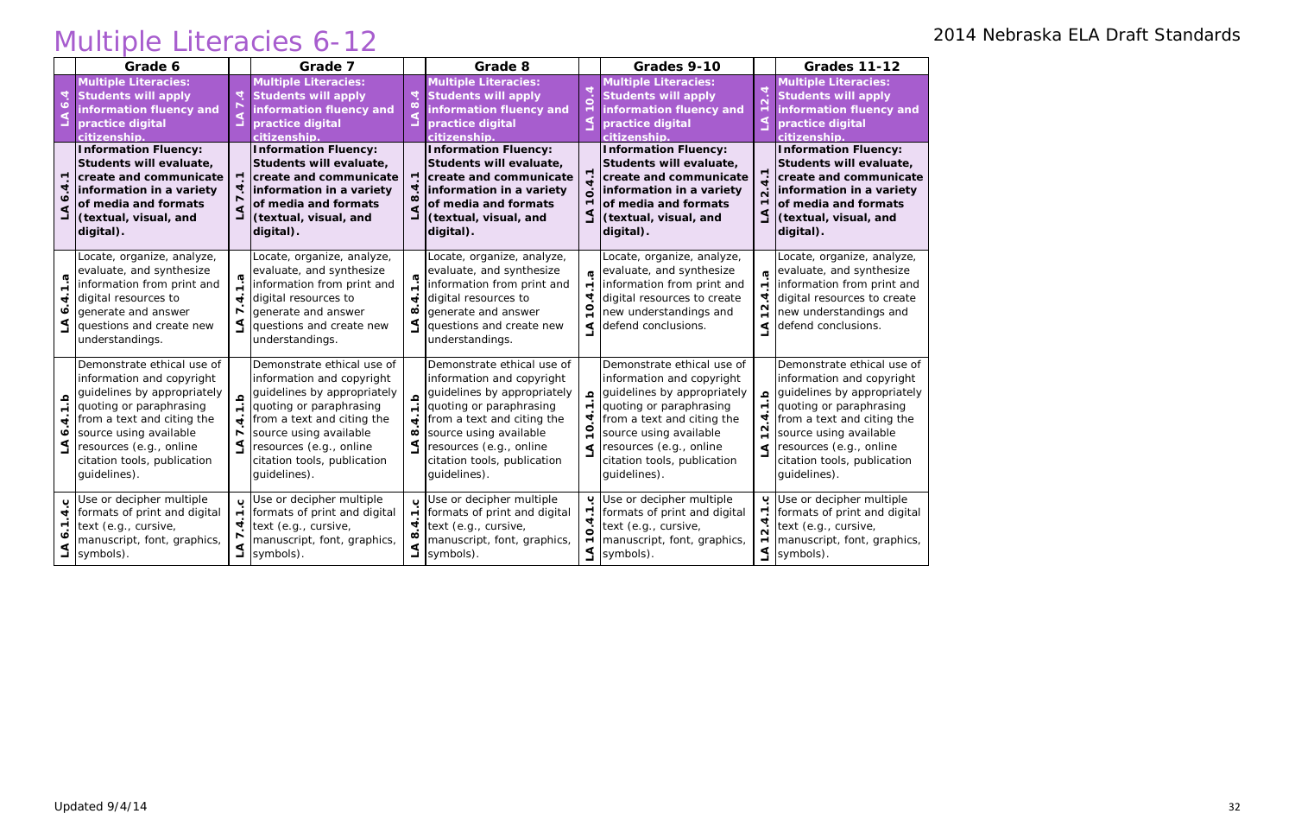# Multiple Literacies 6-12 2014 Nebraska ELA Draft Standards

|                              | Grade 6                                                                                                                                                                                                                                             |                                 | Grade 7                                                                                                                                                                                                                                             |                                                                 | Grade 8                                                                                                                                                                                                                                             |                                                        | Grades 9-10                                                                                                                                                                                                                                         |                                                                                                | <b>Grades 11-12</b>                                                                                                                                                                                                                                 |
|------------------------------|-----------------------------------------------------------------------------------------------------------------------------------------------------------------------------------------------------------------------------------------------------|---------------------------------|-----------------------------------------------------------------------------------------------------------------------------------------------------------------------------------------------------------------------------------------------------|-----------------------------------------------------------------|-----------------------------------------------------------------------------------------------------------------------------------------------------------------------------------------------------------------------------------------------------|--------------------------------------------------------|-----------------------------------------------------------------------------------------------------------------------------------------------------------------------------------------------------------------------------------------------------|------------------------------------------------------------------------------------------------|-----------------------------------------------------------------------------------------------------------------------------------------------------------------------------------------------------------------------------------------------------|
| ۰o                           | <b>Multiple Literacies:</b><br><b>Students will apply</b><br>information fluency and<br>practice digital<br>citizenship.                                                                                                                            | 4                               | <b>Multiple Literacies:</b><br><b>Students will apply</b><br>information fluency and<br>practice digital<br>citizenship                                                                                                                             | 4<br>$\infty$                                                   | <b>Multiple Literacies:</b><br><b>Students will apply</b><br>information fluency and<br>practice digital<br>citizenship.                                                                                                                            | 0.4                                                    | <b>Multiple Literacies:</b><br><b>Students will apply</b><br>information fluency and<br>practice digital<br>citizenship.                                                                                                                            | 2.4                                                                                            | <b>Multiple Literacies:</b><br><b>Students will apply</b><br>information fluency and<br>practice digital<br>citizenship.                                                                                                                            |
| $\blacktriangledown$         | <b>Information Fluency:</b><br>Students will evaluate,<br>create and communicate<br>information in a variety<br>of media and formats<br>(textual, visual, and<br>digital).                                                                          | 1<br>⊒                          | <b>Information Fluency:</b><br>Students will evaluate,<br>create and communicate<br>information in a variety<br>of media and formats<br>(textual, visual, and<br>digital).                                                                          | $\mathbf{\tau}$<br>$\blacktriangleleft$<br>$\infty$<br>$\Delta$ | <b>Information Fluency:</b><br>Students will evaluate,<br>create and communicate<br>information in a variety<br>of media and formats<br>(textual, visual, and<br>digital).                                                                          | ٣<br>Ö<br>₹                                            | <b>Information Fluency:</b><br>Students will evaluate,<br>create and communicate<br>information in a variety<br>of media and formats<br>(textual, visual, and<br>digital).                                                                          | 4.1<br>$\overline{N}$<br>₹                                                                     | <b>Information Fluency:</b><br>Students will evaluate,<br>create and communicate<br>information in a variety<br>of media and formats<br>(textual, visual, and<br>digital).                                                                          |
| æ<br>4<br>ه                  | Locate, organize, analyze,<br>evaluate, and synthesize<br>information from print and<br>digital resources to<br>generate and answer<br>questions and create new<br>understandings.                                                                  | <b>G</b><br>₹                   | Locate, organize, analyze,<br>evaluate, and synthesize<br>information from print and<br>digital resources to<br>generate and answer<br>questions and create new<br>understandings.                                                                  | σ<br>$\vec{r}$<br>$\infty$<br>L                                 | Locate, organize, analyze,<br>evaluate, and synthesize<br>information from print and<br>digital resources to<br>generate and answer<br>questions and create new<br>understandings.                                                                  | $\boldsymbol{\omega}$<br>$\blacksquare$<br>4<br>0<br>⋖ | Locate, organize, analyze,<br>evaluate, and synthesize<br>information from print and<br>digital resources to create<br>new understandings and<br>defend conclusions.                                                                                | $\boldsymbol{\varpi}$<br>$\blacktriangledown$<br>4<br>$\mathbf{\Omega}$<br>$\blacksquare$<br>⋖ | Locate, organize, analyze,<br>evaluate, and synthesize<br>information from print and<br>digital resources to create<br>new understandings and<br>defend conclusions.                                                                                |
| $\frac{a}{7}$<br>4<br>∘<br>⋖ | Demonstrate ethical use of<br>information and copyright<br>guidelines by appropriately<br>quoting or paraphrasing<br>from a text and citing the<br>source using available<br>resources (e.g., online<br>citation tools, publication<br>quidelines). | $\Omega$<br>$\overline{ }$<br>4 | Demonstrate ethical use of<br>information and copyright<br>guidelines by appropriately<br>quoting or paraphrasing<br>from a text and citing the<br>source using available<br>resources (e.g., online<br>citation tools, publication<br>guidelines). | $\frac{a}{1}$<br>$\blacktriangleleft$<br>$\infty$<br>$\preceq$  | Demonstrate ethical use of<br>information and copyright<br>guidelines by appropriately<br>quoting or paraphrasing<br>from a text and citing the<br>source using available<br>resources (e.g., online<br>citation tools, publication<br>quidelines). | Q<br>$\blacktriangledown$<br>4<br>⋖                    | Demonstrate ethical use of<br>information and copyright<br>guidelines by appropriately<br>quoting or paraphrasing<br>from a text and citing the<br>source using available<br>resources (e.g., online<br>citation tools, publication<br>guidelines). | $\pmb{\Omega}$<br>$\blacksquare$<br>4<br>$\mathbf{\Omega}$<br>$\equiv$<br>⋖                    | Demonstrate ethical use of<br>information and copyright<br>guidelines by appropriately<br>quoting or paraphrasing<br>from a text and citing the<br>source using available<br>resources (e.g., online<br>citation tools, publication<br>guidelines). |
| $\mathbf c$<br>4<br>٣        | Use or decipher multiple<br>formats of print and digital<br>text (e.g., cursive,<br>manuscript, font, graphics,<br>symbols).                                                                                                                        | $\mathbf c$<br>4                | Use or decipher multiple<br>formats of print and digital<br>text (e.g., cursive,<br>manuscript, font, graphics,<br>symbols).                                                                                                                        | $\mathbf{o}$<br>$\mathbf{\tau}$<br>4<br>$\infty$<br>⋖           | Use or decipher multiple<br>formats of print and digital<br>text (e.g., cursive,<br>manuscript, font, graphics,<br>symbols).                                                                                                                        | $\mathbf c$<br>4<br>Ö                                  | Use or decipher multiple<br>formats of print and digital<br>text (e.g., cursive,<br>manuscript, font, graphics,<br>symbols).                                                                                                                        | $\mathbf c$<br>$\overline{\phantom{0}}$<br>$\blacktriangledown$<br>$\dot{\mathsf{N}}$<br>᠇     | Use or decipher multiple<br>formats of print and digital<br>text (e.g., cursive,<br>manuscript, font, graphics,<br>symbols).                                                                                                                        |